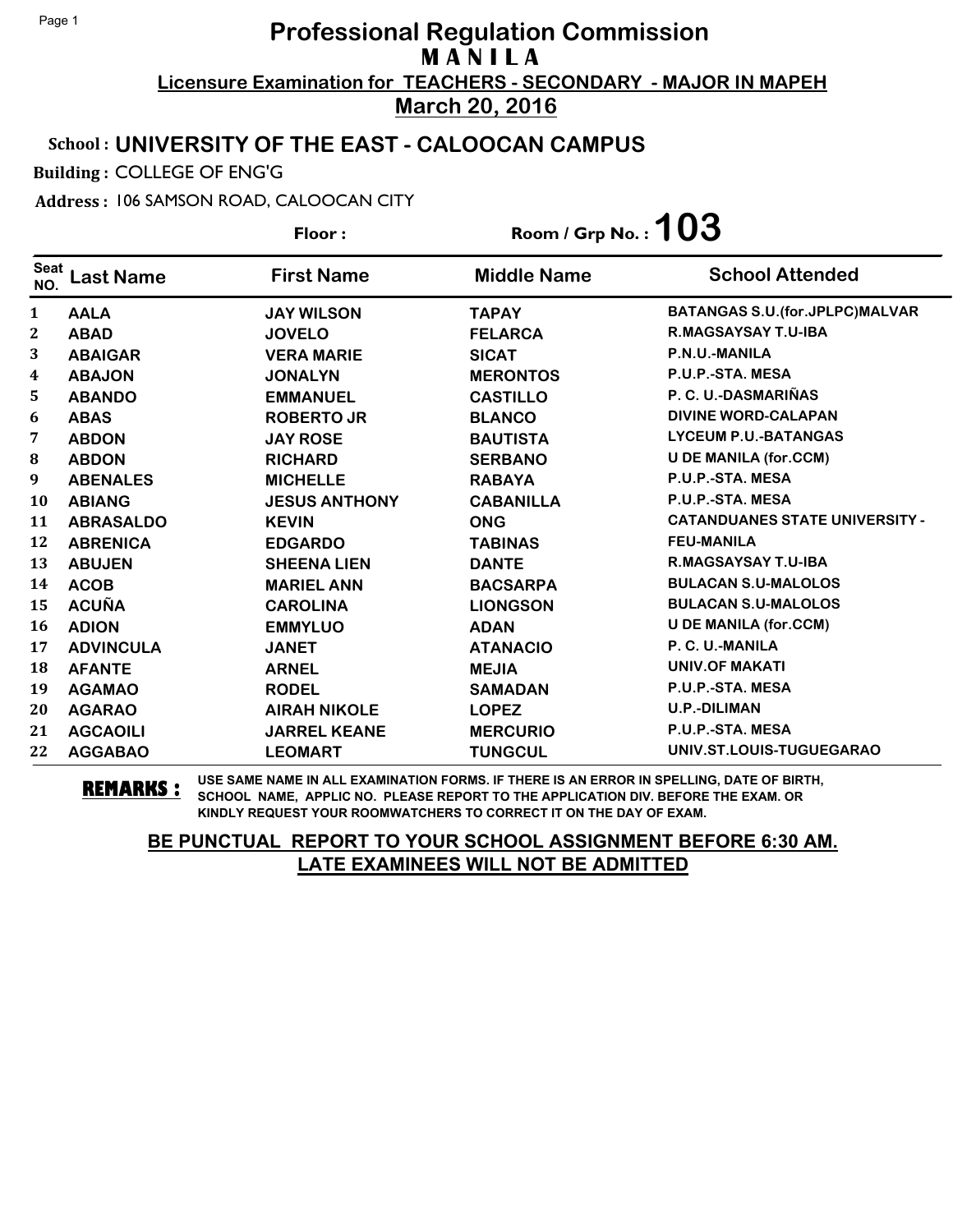### School : **UNIVERSITY OF THE EAST - CALOOCAN CAMPUS**

Building : COLLEGE OF ENG'G

Address : 106 SAMSON ROAD, CALOOCAN CITY

**Last Name First Name Middle Name** Floor : Room / Grp No. :**103** Seat <sup>Seat</sup> Last Name First Name Middle Name School Attended **AALA JAY WILSON TAPAY BATANGAS S.U.(for.JPLPC)MALVAR ABAD JOVELO FELARCA R.MAGSAYSAY T.U-IBA ABAIGAR VERA MARIE SICAT P.N.U.-MANILA ABAJON JONALYN MERONTOS P.U.P.-STA. MESA ABANDO EMMANUEL CASTILLO P. C. U.-DASMARIÑAS ABAS ROBERTO JR BLANCO DIVINE WORD-CALAPAN ABDON JAY ROSE BAUTISTA LYCEUM P.U.-BATANGAS ABDON RICHARD SERBANO U DE MANILA (for.CCM) ABENALES MICHELLE RABAYA P.U.P.-STA. MESA ABIANG JESUS ANTHONY CABANILLA P.U.P.-STA. MESA ABRASALDO KEVIN ONG CATANDUANES STATE UNIVERSITY - ABRENICA EDGARDO TABINAS FEU-MANILA ABUJEN SHEENA LIEN DANTE R.MAGSAYSAY T.U-IBA ACOB MARIEL ANN BACSARPA BULACAN S.U-MALOLOS ACUÑA CAROLINA LIONGSON BULACAN S.U-MALOLOS ADION EMMYLUO ADAN U DE MANILA (for.CCM) ADVINCULA JANET ATANACIO P. C. U.-MANILA AFANTE ARNEL MEJIA UNIV.OF MAKATI AGAMAO RODEL SAMADAN P.U.P.-STA. MESA AGARAO AIRAH NIKOLE LOPEZ U.P.-DILIMAN AGCAOILI JARREL KEANE MERCURIO P.U.P.-STA. MESA AGGABAO LEOMART TUNGCUL UNIV.ST.LOUIS-TUGUEGARAO**

**REMARKS :** USE SAME NAME IN ALL EXAMINATION FORMS. IF THERE IS AN ERROR IN SPELLING, DATE OF BIRTH, SCHOOL NAME, APPLIC NO. PLEASE REPORT TO THE APPLICATION DIV. BEFORE THE EXAM. OR KINDLY REQUEST YOUR ROOMWATCHERS TO CORRECT IT ON THE DAY OF EXAM.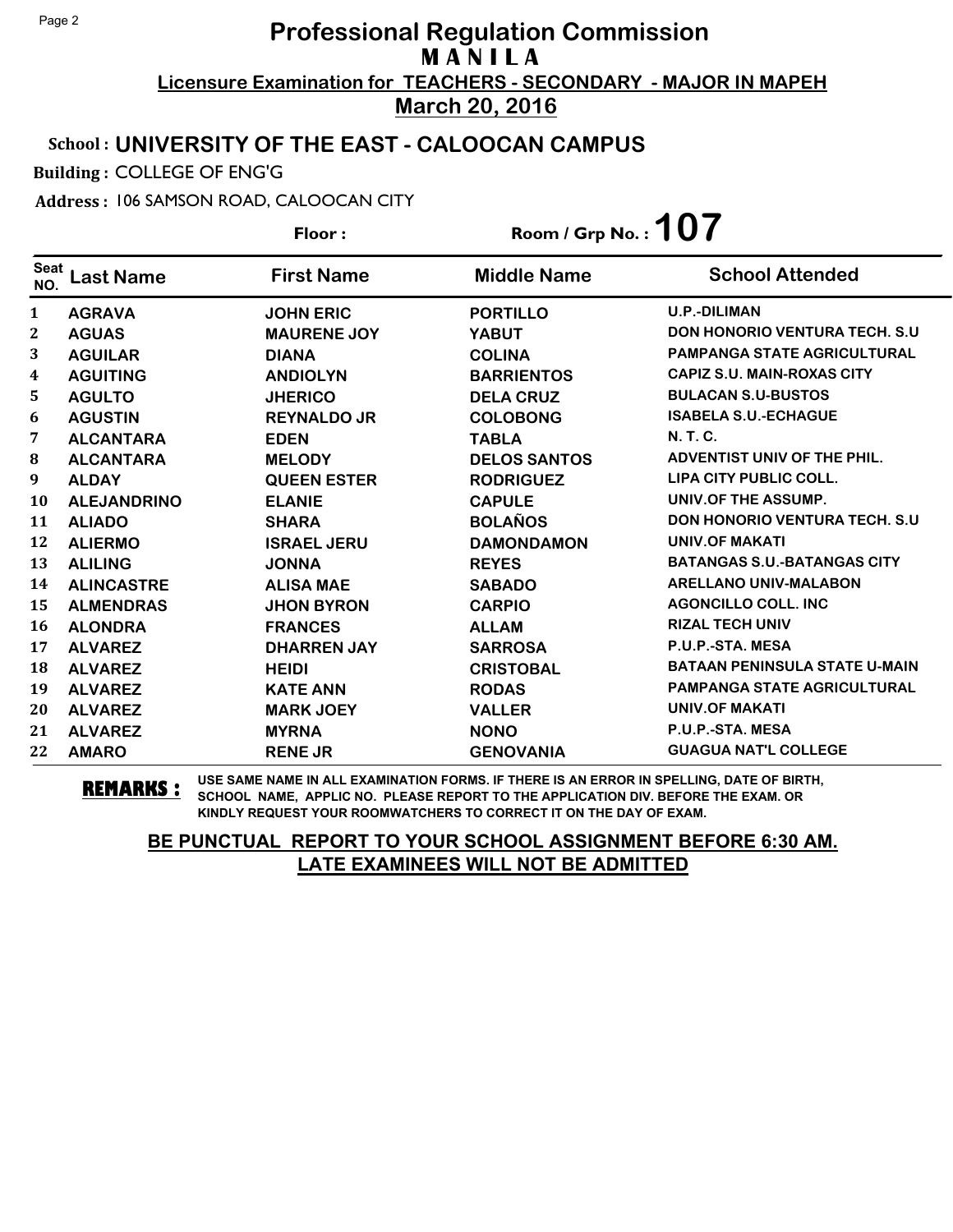### School : **UNIVERSITY OF THE EAST - CALOOCAN CAMPUS**

Building : COLLEGE OF ENG'G

Address : 106 SAMSON ROAD, CALOOCAN CITY

**Last Name First Name Middle Name** Floor : Room / Grp No. :**107** Seat <sup>seat</sup> Last Name First Name Middle Name School Attended **AGRAVA JOHN ERIC PORTILLO U.P.-DILIMAN AGUAS MAURENE JOY YABUT DON HONORIO VENTURA TECH. S.U AGUILAR DIANA COLINA PAMPANGA STATE AGRICULTURAL AGUITING ANDIOLYN BARRIENTOS CAPIZ S.U. MAIN-ROXAS CITY AGULTO JHERICO DELA CRUZ BULACAN S.U-BUSTOS AGUSTIN REYNALDO JR COLOBONG ISABELA S.U.-ECHAGUE ALCANTARA EDEN TABLA N. T. C. ALCANTARA MELODY DELOS SANTOS ADVENTIST UNIV OF THE PHIL. ALDAY QUEEN ESTER RODRIGUEZ LIPA CITY PUBLIC COLL. ALEJANDRINO ELANIE CAPULE UNIV.OF THE ASSUMP. ALIADO SHARA BOLAÑOS DON HONORIO VENTURA TECH. S.U ALIERMO ISRAEL JERU DAMONDAMON UNIV.OF MAKATI ALILING JONNA REYES BATANGAS S.U.-BATANGAS CITY ALINCASTRE ALISA MAE SABADO ARELLANO UNIV-MALABON ALMENDRAS JHON BYRON CARPIO AGONCILLO COLL. INC ALONDRA FRANCES ALLAM RIZAL TECH UNIV ALVAREZ DHARREN JAY SARROSA P.U.P.-STA. MESA ALVAREZ HEIDI CRISTOBAL BATAAN PENINSULA STATE U-MAIN ALVAREZ KATE ANN RODAS PAMPANGA STATE AGRICULTURAL ALVAREZ MARK JOEY VALLER UNIV.OF MAKATI ALVAREZ MYRNA NONO P.U.P.-STA. MESA AMARO RENE JR GENOVANIA GUAGUA NAT'L COLLEGE**

**REMARKS :** USE SAME NAME IN ALL EXAMINATION FORMS. IF THERE IS AN ERROR IN SPELLING, DATE OF BIRTH, SCHOOL NAME, APPLIC NO. PLEASE REPORT TO THE APPLICATION DIV. BEFORE THE EXAM. OR KINDLY REQUEST YOUR ROOMWATCHERS TO CORRECT IT ON THE DAY OF EXAM.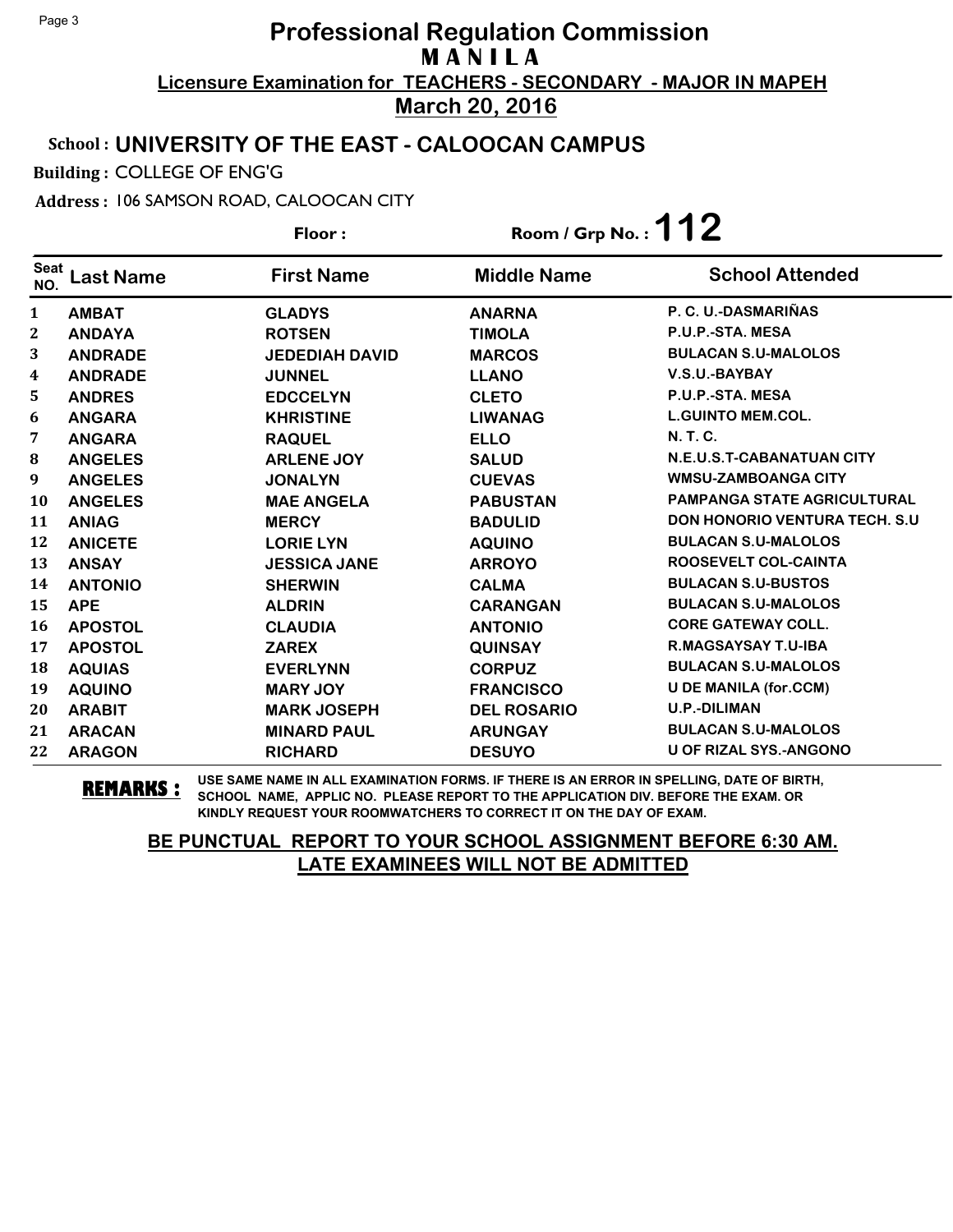### School : **UNIVERSITY OF THE EAST - CALOOCAN CAMPUS**

Building : COLLEGE OF ENG'G

#### Address : 106 SAMSON ROAD, CALOOCAN CITY

**Last Name First Name Middle Name** Floor : Room / Grp No. :**112** Seat <sup>seat</sup> Last Name First Name Middle Name School Attended **AMBAT GLADYS ANARNA P. C. U.-DASMARIÑAS ANDAYA ROTSEN TIMOLA P.U.P.-STA. MESA ANDRADE JEDEDIAH DAVID MARCOS BULACAN S.U-MALOLOS ANDRADE JUNNEL LLANO V.S.U.-BAYBAY ANDRES EDCCELYN CLETO P.U.P.-STA. MESA ANGARA KHRISTINE LIWANAG L.GUINTO MEM.COL. ANGARA RAQUEL ELLO N. T. C. ANGELES ARLENE JOY SALUD N.E.U.S.T-CABANATUAN CITY ANGELES JONALYN CUEVAS WMSU-ZAMBOANGA CITY ANGELES MAE ANGELA PABUSTAN PAMPANGA STATE AGRICULTURAL ANIAG MERCY BADULID DON HONORIO VENTURA TECH. S.U ANICETE LORIE LYN AQUINO BULACAN S.U-MALOLOS ANSAY JESSICA JANE ARROYO ROOSEVELT COL-CAINTA ANTONIO SHERWIN CALMA BULACAN S.U-BUSTOS APE ALDRIN CARANGAN BULACAN S.U-MALOLOS APOSTOL CLAUDIA ANTONIO CORE GATEWAY COLL. APOSTOL ZAREX QUINSAY R.MAGSAYSAY T.U-IBA AQUIAS EVERLYNN CORPUZ BULACAN S.U-MALOLOS AQUINO MARY JOY FRANCISCO U DE MANILA (for.CCM) ARABIT MARK JOSEPH DEL ROSARIO U.P.-DILIMAN ARACAN MINARD PAUL ARUNGAY BULACAN S.U-MALOLOS ARAGON RICHARD DESUYO U OF RIZAL SYS.-ANGONO**

**REMARKS :** USE SAME NAME IN ALL EXAMINATION FORMS. IF THERE IS AN ERROR IN SPELLING, DATE OF BIRTH, SCHOOL NAME, APPLIC NO. PLEASE REPORT TO THE APPLICATION DIV. BEFORE THE EXAM. OR KINDLY REQUEST YOUR ROOMWATCHERS TO CORRECT IT ON THE DAY OF EXAM.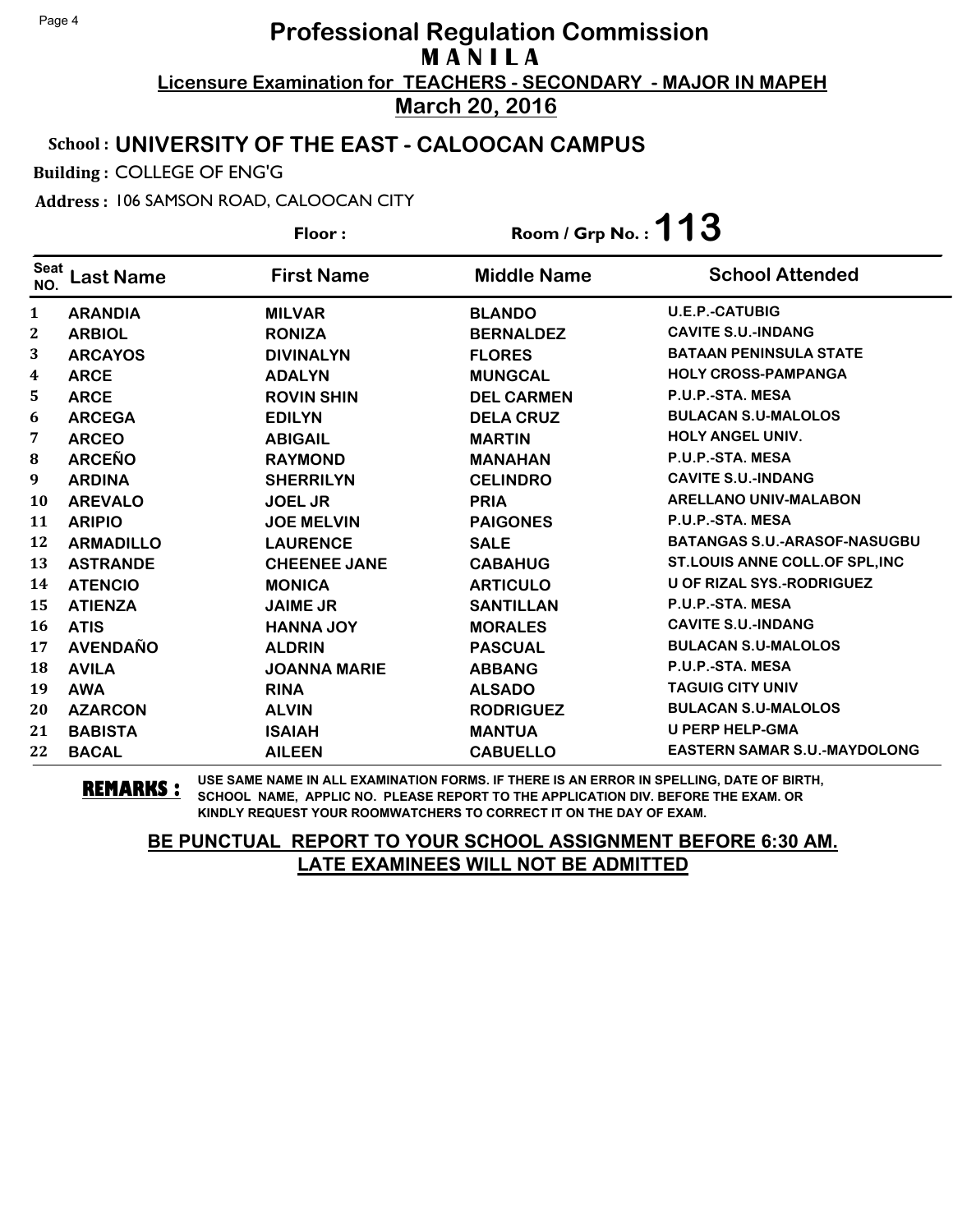### School : **UNIVERSITY OF THE EAST - CALOOCAN CAMPUS**

Building : COLLEGE OF ENG'G

Address : 106 SAMSON ROAD, CALOOCAN CITY

**Last Name First Name Middle Name** Floor : Room / Grp No. :**113** Seat <sup>seat</sup> Last Name First Name Middle Name School Attended **ARANDIA MILVAR BLANDO U.E.P.-CATUBIG ARBIOL RONIZA BERNALDEZ CAVITE S.U.-INDANG ARCAYOS DIVINALYN FLORES BATAAN PENINSULA STATE ARCE ADALYN MUNGCAL HOLY CROSS-PAMPANGA ARCE ROVIN SHIN DEL CARMEN P.U.P.-STA. MESA ARCEGA EDILYN DELA CRUZ BULACAN S.U-MALOLOS ARCEO ABIGAIL MARTIN HOLY ANGEL UNIV. ARCEÑO RAYMOND MANAHAN P.U.P.-STA. MESA ARDINA SHERRILYN CELINDRO CAVITE S.U.-INDANG AREVALO JOEL JR PRIA ARELLANO UNIV-MALABON ARIPIO JOE MELVIN PAIGONES P.U.P.-STA. MESA ARMADILLO LAURENCE SALE BATANGAS S.U.-ARASOF-NASUGBU ASTRANDE CHEENEE JANE CABAHUG ST.LOUIS ANNE COLL.OF SPL,INC ATENCIO MONICA ARTICULO U OF RIZAL SYS.-RODRIGUEZ ATIENZA JAIME JR SANTILLAN P.U.P.-STA. MESA ATIS HANNA JOY MORALES CAVITE S.U.-INDANG AVENDAÑO ALDRIN PASCUAL BULACAN S.U-MALOLOS AVILA JOANNA MARIE ABBANG P.U.P.-STA. MESA AWA RINA ALSADO TAGUIG CITY UNIV AZARCON ALVIN RODRIGUEZ BULACAN S.U-MALOLOS BABISTA ISAIAH MANTUA U PERP HELP-GMA BACAL AILEEN CABUELLO EASTERN SAMAR S.U.-MAYDOLONG**

**REMARKS :** USE SAME NAME IN ALL EXAMINATION FORMS. IF THERE IS AN ERROR IN SPELLING, DATE OF BIRTH, SCHOOL NAME, APPLIC NO. PLEASE REPORT TO THE APPLICATION DIV. BEFORE THE EXAM. OR KINDLY REQUEST YOUR ROOMWATCHERS TO CORRECT IT ON THE DAY OF EXAM.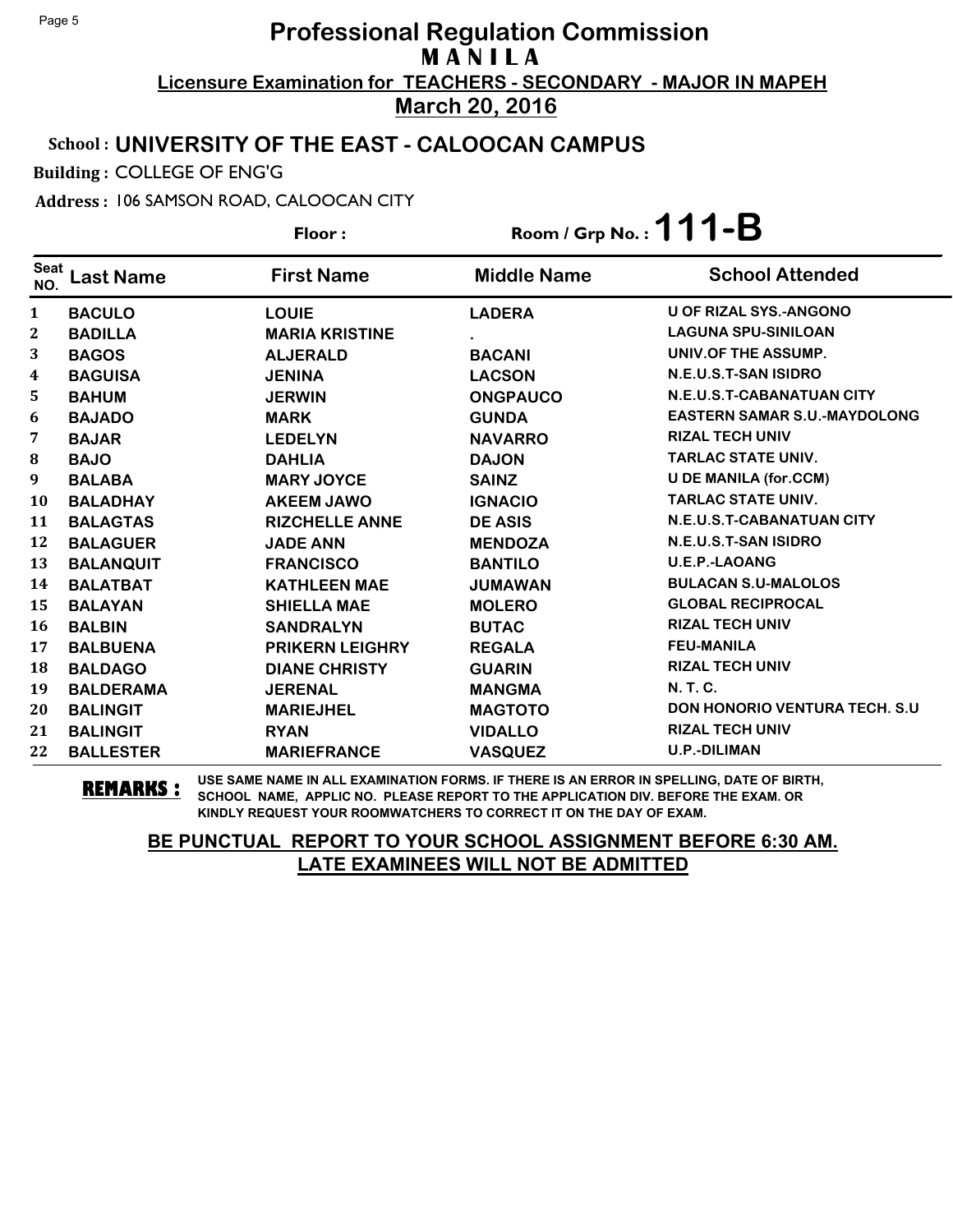### School : **UNIVERSITY OF THE EAST - CALOOCAN CAMPUS**

Building : COLLEGE OF ENG'G

#### Address : 106 SAMSON ROAD, CALOOCAN CITY

Floor : Room / Grp No. :**111-B**

| <b>Seat</b><br>NO. | <b>Last Name</b> | <b>First Name</b>      | <b>Middle Name</b> | <b>School Attended</b>                |
|--------------------|------------------|------------------------|--------------------|---------------------------------------|
| $\mathbf{1}$       | <b>BACULO</b>    | <b>LOUIE</b>           | <b>LADERA</b>      | <b>U OF RIZAL SYS.-ANGONO</b>         |
| $\mathbf{2}$       | <b>BADILLA</b>   | <b>MARIA KRISTINE</b>  |                    | <b>LAGUNA SPU-SINILOAN</b>            |
| 3                  | <b>BAGOS</b>     | <b>ALJERALD</b>        | <b>BACANI</b>      | UNIV.OF THE ASSUMP.                   |
| 4                  | <b>BAGUISA</b>   | <b>JENINA</b>          | <b>LACSON</b>      | N.E.U.S.T-SAN ISIDRO                  |
| 5                  | <b>BAHUM</b>     | <b>JERWIN</b>          | <b>ONGPAUCO</b>    | N.E.U.S.T-CABANATUAN CITY             |
| 6                  | <b>BAJADO</b>    | <b>MARK</b>            | <b>GUNDA</b>       | <b>EASTERN SAMAR S.U.-MAYDOLONG</b>   |
| 7                  | <b>BAJAR</b>     | <b>LEDELYN</b>         | <b>NAVARRO</b>     | <b>RIZAL TECH UNIV</b>                |
| ${\bf 8}$          | <b>BAJO</b>      | <b>DAHLIA</b>          | <b>DAJON</b>       | <b>TARLAC STATE UNIV.</b>             |
| 9                  | <b>BALABA</b>    | <b>MARY JOYCE</b>      | <b>SAINZ</b>       | <b>U DE MANILA (for.CCM)</b>          |
| 10                 | <b>BALADHAY</b>  | <b>AKEEM JAWO</b>      | <b>IGNACIO</b>     | <b>TARLAC STATE UNIV.</b>             |
| 11                 | <b>BALAGTAS</b>  | <b>RIZCHELLE ANNE</b>  | <b>DE ASIS</b>     | N.E.U.S.T-CABANATUAN CITY             |
| 12                 | <b>BALAGUER</b>  | <b>JADE ANN</b>        | <b>MENDOZA</b>     | N.E.U.S.T-SAN ISIDRO                  |
| 13                 | <b>BALANQUIT</b> | <b>FRANCISCO</b>       | <b>BANTILO</b>     | <b>U.E.P.-LAOANG</b>                  |
| 14                 | <b>BALATBAT</b>  | <b>KATHLEEN MAE</b>    | <b>JUMAWAN</b>     | <b>BULACAN S.U-MALOLOS</b>            |
| 15                 | <b>BALAYAN</b>   | <b>SHIELLA MAE</b>     | <b>MOLERO</b>      | <b>GLOBAL RECIPROCAL</b>              |
| 16                 | <b>BALBIN</b>    | <b>SANDRALYN</b>       | <b>BUTAC</b>       | <b>RIZAL TECH UNIV</b>                |
| 17                 | <b>BALBUENA</b>  | <b>PRIKERN LEIGHRY</b> | <b>REGALA</b>      | <b>FEU-MANILA</b>                     |
| 18                 | <b>BALDAGO</b>   | <b>DIANE CHRISTY</b>   | <b>GUARIN</b>      | <b>RIZAL TECH UNIV</b>                |
| 19                 | <b>BALDERAMA</b> | <b>JERENAL</b>         | <b>MANGMA</b>      | <b>N.T.C.</b>                         |
| 20                 | <b>BALINGIT</b>  | <b>MARIEJHEL</b>       | <b>MAGTOTO</b>     | <b>DON HONORIO VENTURA TECH. S.U.</b> |
| 21                 | <b>BALINGIT</b>  | <b>RYAN</b>            | <b>VIDALLO</b>     | <b>RIZAL TECH UNIV</b>                |
| 22                 | <b>BALLESTER</b> | <b>MARIEFRANCE</b>     | <b>VASQUEZ</b>     | <b>U.P.-DILIMAN</b>                   |

**REMARKS :** USE SAME NAME IN ALL EXAMINATION FORMS. IF THERE IS AN ERROR IN SPELLING, DATE OF BIRTH, SCHOOL NAME, APPLIC NO. PLEASE REPORT TO THE APPLICATION DIV. BEFORE THE EXAM. OR KINDLY REQUEST YOUR ROOMWATCHERS TO CORRECT IT ON THE DAY OF EXAM.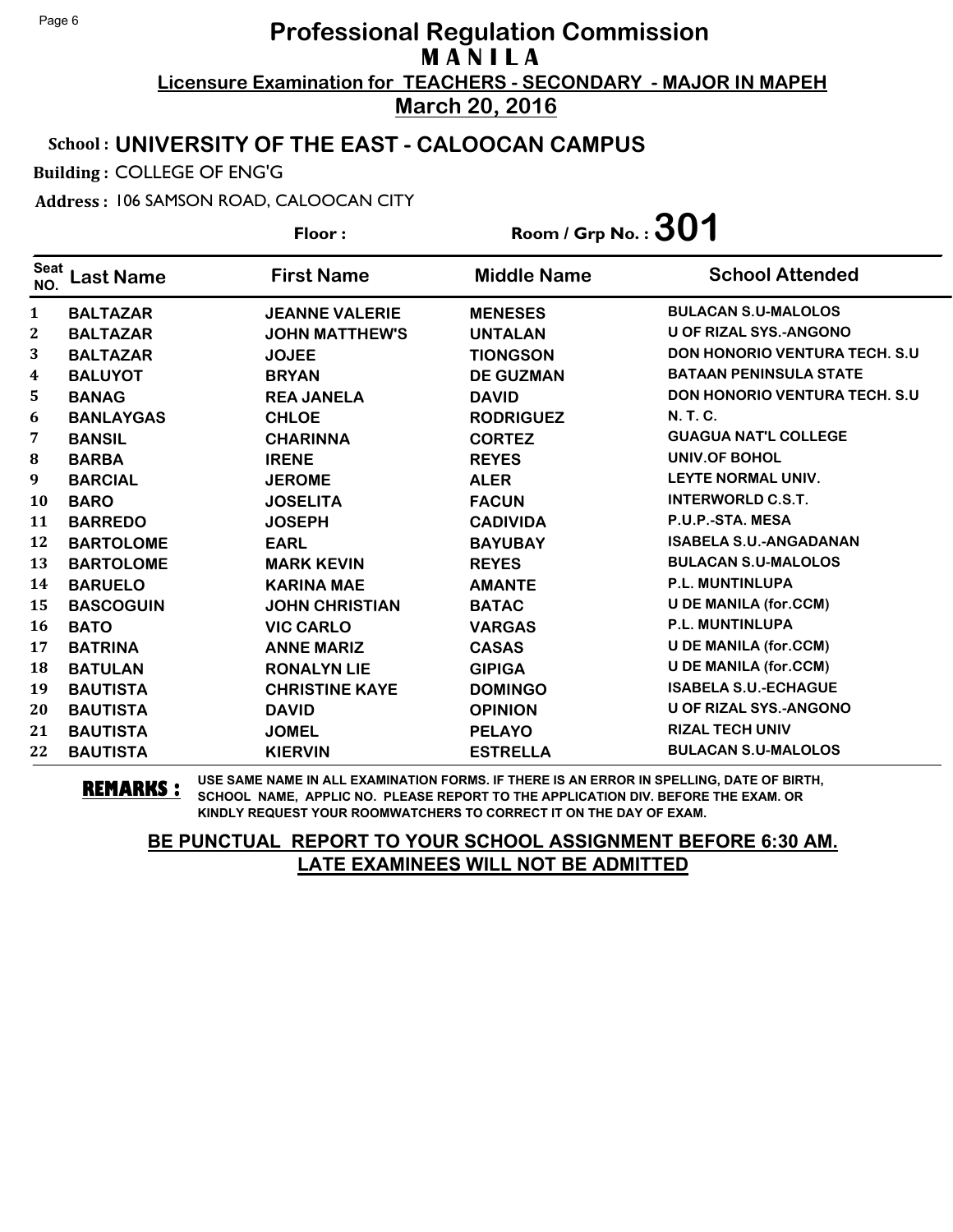### School : **UNIVERSITY OF THE EAST - CALOOCAN CAMPUS**

Building : COLLEGE OF ENG'G

Address : 106 SAMSON ROAD, CALOOCAN CITY

**Last Name First Name Middle Name** Floor : Room / Grp No. :**301** Seat <sup>seat</sup> Last Name First Name Middle Name School Attended **BALTAZAR JEANNE VALERIE MENESES BULACAN S.U-MALOLOS BALTAZAR JOHN MATTHEW'S UNTALAN U OF RIZAL SYS.-ANGONO BALTAZAR JOJEE TIONGSON DON HONORIO VENTURA TECH. S.U BALUYOT BRYAN DE GUZMAN BATAAN PENINSULA STATE BANAG REA JANELA DAVID DON HONORIO VENTURA TECH. S.U BANLAYGAS CHLOE RODRIGUEZ N. T. C. BANSIL CHARINNA CORTEZ GUAGUA NAT'L COLLEGE BARBA IRENE REYES UNIV.OF BOHOL BARCIAL JEROME ALER LEYTE NORMAL UNIV. BARO JOSELITA FACUN INTERWORLD C.S.T. BARREDO JOSEPH CADIVIDA P.U.P.-STA. MESA BARTOLOME EARL BAYUBAY ISABELA S.U.-ANGADANAN BARTOLOME MARK KEVIN REYES BULACAN S.U-MALOLOS BARUELO KARINA MAE AMANTE P.L. MUNTINLUPA BASCOGUIN JOHN CHRISTIAN BATAC U DE MANILA (for.CCM) BATO VIC CARLO VARGAS P.L. MUNTINLUPA BATRINA ANNE MARIZ CASAS U DE MANILA (for.CCM) BATULAN RONALYN LIE GIPIGA U DE MANILA (for.CCM) BAUTISTA CHRISTINE KAYE DOMINGO ISABELA S.U.-ECHAGUE BAUTISTA DAVID OPINION U OF RIZAL SYS.-ANGONO BAUTISTA JOMEL PELAYO RIZAL TECH UNIV BAUTISTA KIERVIN ESTRELLA BULACAN S.U-MALOLOS**

**REMARKS :** USE SAME NAME IN ALL EXAMINATION FORMS. IF THERE IS AN ERROR IN SPELLING, DATE OF BIRTH, SCHOOL NAME, APPLIC NO. PLEASE REPORT TO THE APPLICATION DIV. BEFORE THE EXAM. OR KINDLY REQUEST YOUR ROOMWATCHERS TO CORRECT IT ON THE DAY OF EXAM.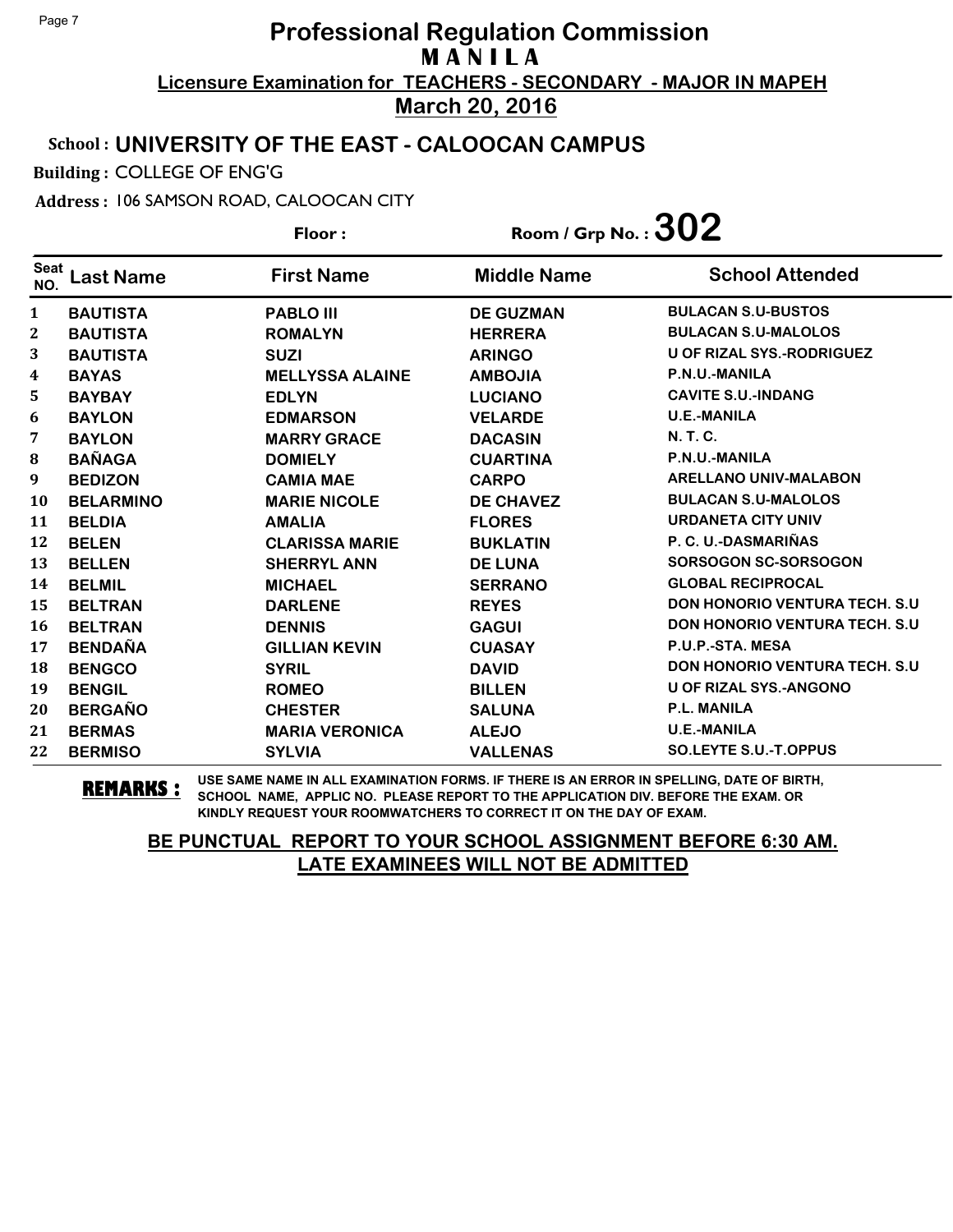### School : **UNIVERSITY OF THE EAST - CALOOCAN CAMPUS**

Building : COLLEGE OF ENG'G

Address : 106 SAMSON ROAD, CALOOCAN CITY

**Last Name First Name Middle Name** Floor : Room / Grp No. :  $302$ Seat <sup>seat</sup> Last Name First Name Middle Name School Attended **BAUTISTA PABLO III DE GUZMAN BULACAN S.U-BUSTOS BAUTISTA ROMALYN HERRERA BULACAN S.U-MALOLOS BAUTISTA SUZI ARINGO U OF RIZAL SYS.-RODRIGUEZ BAYAS MELLYSSA ALAINE AMBOJIA P.N.U.-MANILA BAYBAY EDLYN LUCIANO CAVITE S.U.-INDANG BAYLON EDMARSON VELARDE U.E.-MANILA BAYLON MARRY GRACE DACASIN N. T. C. BAÑAGA DOMIELY CUARTINA P.N.U.-MANILA BEDIZON CAMIA MAE CARPO ARELLANO UNIV-MALABON BELARMINO MARIE NICOLE DE CHAVEZ BULACAN S.U-MALOLOS BELDIA AMALIA FLORES URDANETA CITY UNIV BELEN CLARISSA MARIE BUKLATIN P. C. U.-DASMARIÑAS BELLEN SHERRYL ANN DE LUNA SORSOGON SC-SORSOGON BELMIL MICHAEL SERRANO GLOBAL RECIPROCAL BELTRAN DARLENE REYES DON HONORIO VENTURA TECH. S.U BELTRAN DENNIS GAGUI DON HONORIO VENTURA TECH. S.U BENDAÑA GILLIAN KEVIN CUASAY P.U.P.-STA. MESA BENGCO SYRIL DAVID DON HONORIO VENTURA TECH. S.U BENGIL ROMEO BILLEN U OF RIZAL SYS.-ANGONO BERGAÑO CHESTER SALUNA P.L. MANILA BERMAS MARIA VERONICA ALEJO U.E.-MANILA BERMISO SYLVIA VALLENAS SO.LEYTE S.U.-T.OPPUS**

**REMARKS :** USE SAME NAME IN ALL EXAMINATION FORMS. IF THERE IS AN ERROR IN SPELLING, DATE OF BIRTH, SCHOOL NAME, APPLIC NO. PLEASE REPORT TO THE APPLICATION DIV. BEFORE THE EXAM. OR KINDLY REQUEST YOUR ROOMWATCHERS TO CORRECT IT ON THE DAY OF EXAM.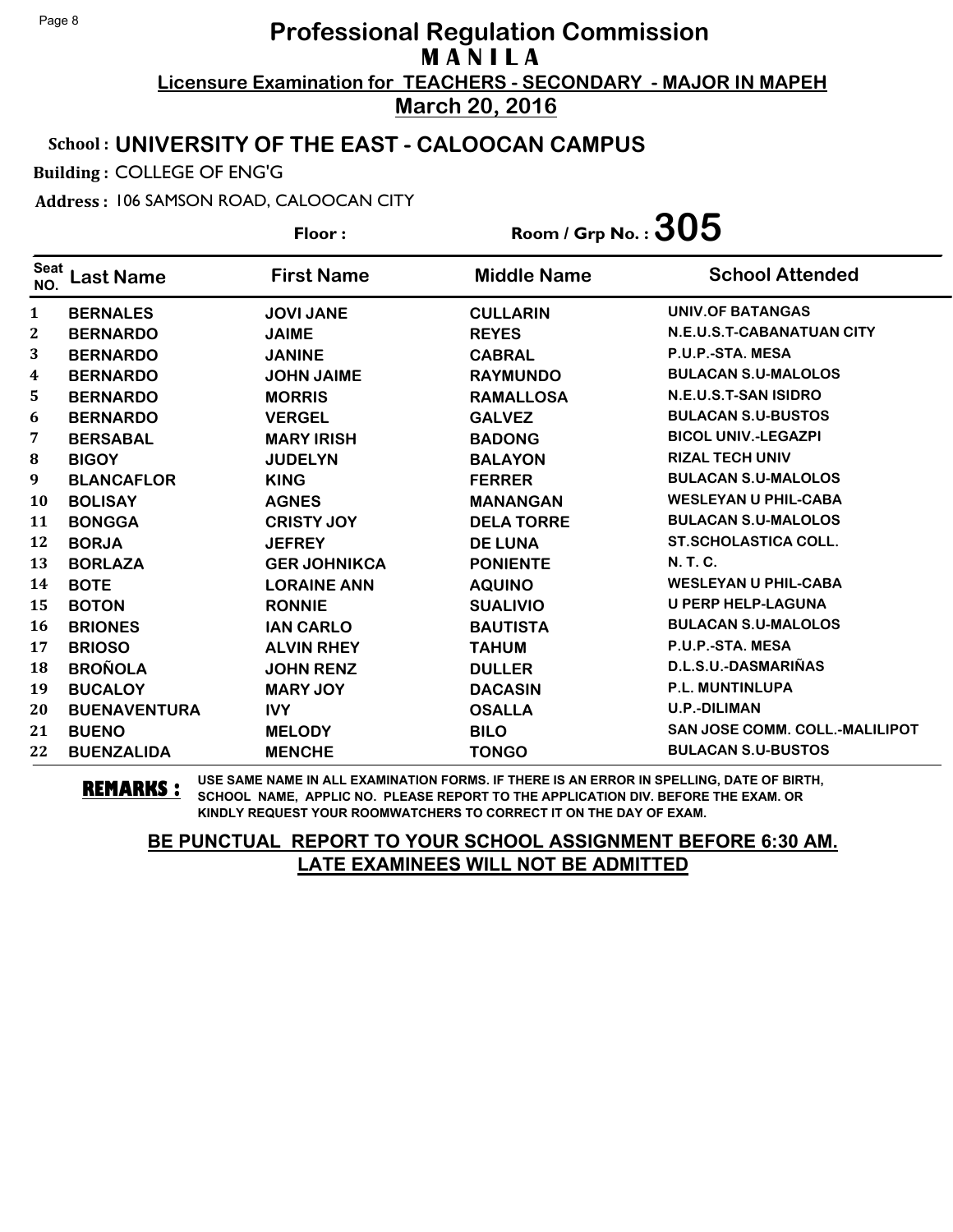### School : **UNIVERSITY OF THE EAST - CALOOCAN CAMPUS**

Building : COLLEGE OF ENG'G

Address : 106 SAMSON ROAD, CALOOCAN CITY

**Last Name First Name Middle Name** Floor : Room / Grp No. :  $305$ Seat <sup>seat</sup> Last Name First Name Middle Name School Attended **BERNALES JOVI JANE CULLARIN UNIV.OF BATANGAS BERNARDO JAIME REYES N.E.U.S.T-CABANATUAN CITY BERNARDO JANINE CABRAL P.U.P.-STA. MESA BERNARDO JOHN JAIME RAYMUNDO BULACAN S.U-MALOLOS BERNARDO MORRIS RAMALLOSA N.E.U.S.T-SAN ISIDRO BERNARDO VERGEL GALVEZ BULACAN S.U-BUSTOS BERSABAL MARY IRISH BADONG BICOL UNIV.-LEGAZPI BIGOY JUDELYN BALAYON RIZAL TECH UNIV BLANCAFLOR KING FERRER BULACAN S.U-MALOLOS BOLISAY AGNES MANANGAN WESLEYAN U PHIL-CABA BONGGA CRISTY JOY DELA TORRE BULACAN S.U-MALOLOS BORJA JEFREY DE LUNA ST.SCHOLASTICA COLL. BORLAZA GER JOHNIKCA PONIENTE N. T. C. BOTE LORAINE ANN AQUINO WESLEYAN U PHIL-CABA BOTON RONNIE SUALIVIO U PERP HELP-LAGUNA BRIONES IAN CARLO BAUTISTA BULACAN S.U-MALOLOS BRIOSO ALVIN RHEY TAHUM P.U.P.-STA. MESA BROÑOLA JOHN RENZ DULLER D.L.S.U.-DASMARIÑAS BUCALOY MARY JOY DACASIN P.L. MUNTINLUPA BUENAVENTURA IVY OSALLA U.P.-DILIMAN BUENO MELODY BILO SAN JOSE COMM. COLL.-MALILIPOT BUENZALIDA MENCHE TONGO BULACAN S.U-BUSTOS**

**REMARKS :** USE SAME NAME IN ALL EXAMINATION FORMS. IF THERE IS AN ERROR IN SPELLING, DATE OF BIRTH, SCHOOL NAME, APPLIC NO. PLEASE REPORT TO THE APPLICATION DIV. BEFORE THE EXAM. OR KINDLY REQUEST YOUR ROOMWATCHERS TO CORRECT IT ON THE DAY OF EXAM.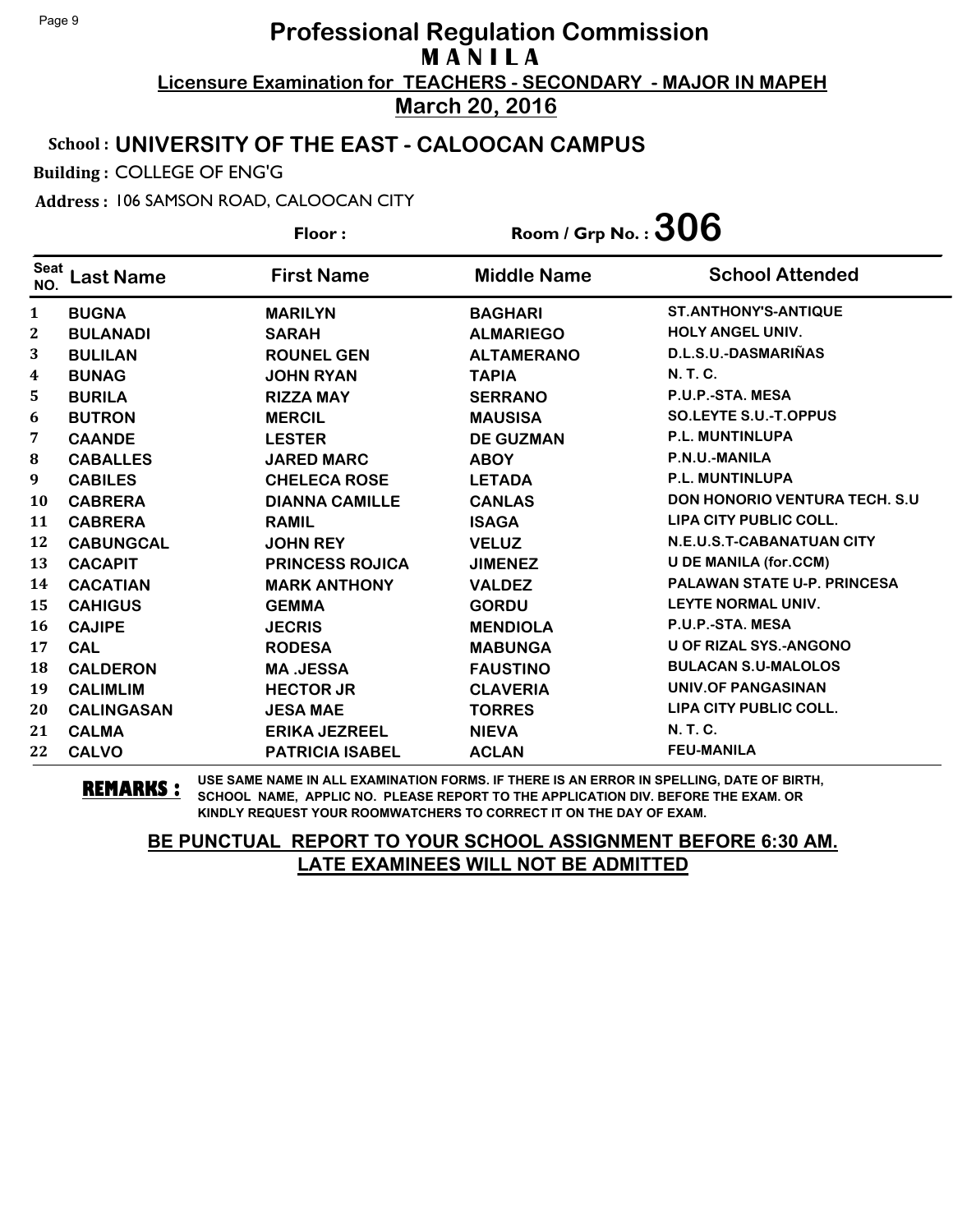### School : **UNIVERSITY OF THE EAST - CALOOCAN CAMPUS**

Building : COLLEGE OF ENG'G

Address : 106 SAMSON ROAD, CALOOCAN CITY

**Last Name First Name Middle Name** Floor : Room / Grp No. :  $306$ Seat <sup>seat</sup> Last Name First Name Middle Name School Attended **BUGNA MARILYN BAGHARI ST.ANTHONY'S-ANTIQUE BULANADI SARAH ALMARIEGO HOLY ANGEL UNIV. BULILAN ROUNEL GEN ALTAMERANO D.L.S.U.-DASMARIÑAS BUNAG JOHN RYAN TAPIA N. T. C. BURILA RIZZA MAY SERRANO P.U.P.-STA. MESA BUTRON MERCIL MAUSISA SO.LEYTE S.U.-T.OPPUS CAANDE LESTER DE GUZMAN P.L. MUNTINLUPA CABALLES JARED MARC ABOY P.N.U.-MANILA CABILES CHELECA ROSE LETADA P.L. MUNTINLUPA CABRERA DIANNA CAMILLE CANLAS DON HONORIO VENTURA TECH. S.U CABRERA RAMIL ISAGA LIPA CITY PUBLIC COLL. CABUNGCAL JOHN REY VELUZ N.E.U.S.T-CABANATUAN CITY CACAPIT PRINCESS ROJICA JIMENEZ U DE MANILA (for.CCM) CACATIAN MARK ANTHONY VALDEZ PALAWAN STATE U-P. PRINCESA CAHIGUS GEMMA GORDU LEYTE NORMAL UNIV. CAJIPE JECRIS MENDIOLA P.U.P.-STA. MESA CAL RODESA MABUNGA U OF RIZAL SYS.-ANGONO CALDERON MA .JESSA FAUSTINO BULACAN S.U-MALOLOS CALIMLIM HECTOR JR CLAVERIA UNIV.OF PANGASINAN CALINGASAN JESA MAE TORRES LIPA CITY PUBLIC COLL. CALMA ERIKA JEZREEL NIEVA N. T. C. CALVO PATRICIA ISABEL ACLAN FEU-MANILA**

**REMARKS :** USE SAME NAME IN ALL EXAMINATION FORMS. IF THERE IS AN ERROR IN SPELLING, DATE OF BIRTH, SCHOOL NAME, APPLIC NO. PLEASE REPORT TO THE APPLICATION DIV. BEFORE THE EXAM. OR KINDLY REQUEST YOUR ROOMWATCHERS TO CORRECT IT ON THE DAY OF EXAM.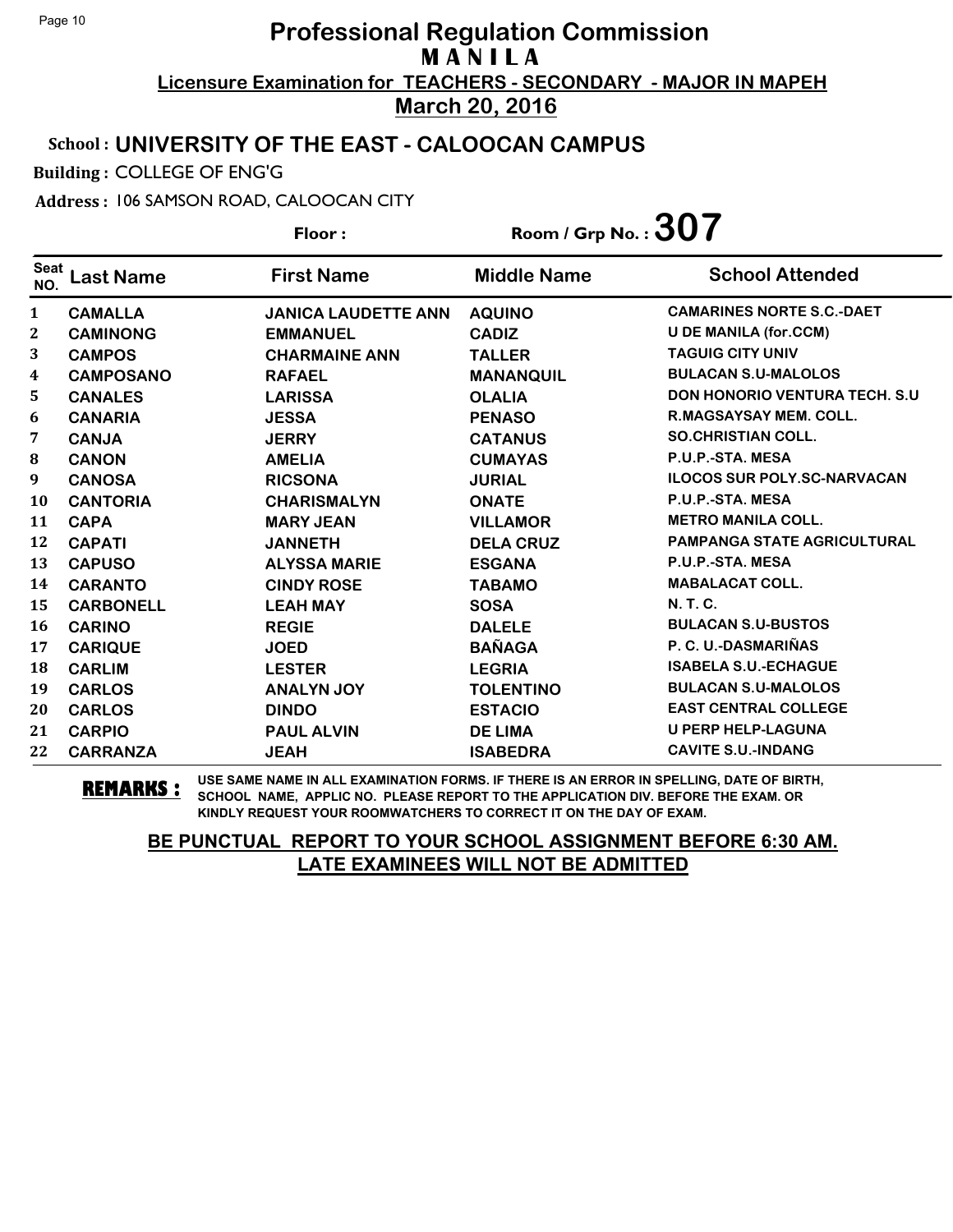### School : **UNIVERSITY OF THE EAST - CALOOCAN CAMPUS**

Building : COLLEGE OF ENG'G

Address : 106 SAMSON ROAD, CALOOCAN CITY

**Last Name First Name Middle Name** Floor : Room / Grp No. :  $307$ Seat <sup>seat</sup> Last Name First Name Middle Name School Attended **CAMALLA JANICA LAUDETTE ANN AQUINO CAMARINES NORTE S.C.-DAET CAMINONG EMMANUEL CADIZ U DE MANILA (for.CCM) CAMPOS CHARMAINE ANN TALLER TAGUIG CITY UNIV CAMPOSANO RAFAEL MANANQUIL BULACAN S.U-MALOLOS CANALES LARISSA OLALIA DON HONORIO VENTURA TECH. S.U CANARIA JESSA PENASO R.MAGSAYSAY MEM. COLL. CANJA JERRY CATANUS SO.CHRISTIAN COLL. CANON AMELIA CUMAYAS P.U.P.-STA. MESA CANOSA RICSONA JURIAL ILOCOS SUR POLY.SC-NARVACAN CANTORIA CHARISMALYN ONATE P.U.P.-STA. MESA CAPA MARY JEAN VILLAMOR METRO MANILA COLL. CAPATI JANNETH DELA CRUZ PAMPANGA STATE AGRICULTURAL CAPUSO ALYSSA MARIE ESGANA P.U.P.-STA. MESA CARANTO CINDY ROSE TABAMO MABALACAT COLL. CARBONELL LEAH MAY SOSA N. T. C. CARINO REGIE DALELE BULACAN S.U-BUSTOS CARIQUE JOED BAÑAGA P. C. U.-DASMARIÑAS CARLIM LESTER LEGRIA ISABELA S.U.-ECHAGUE CARLOS ANALYN JOY TOLENTINO BULACAN S.U-MALOLOS CARLOS DINDO ESTACIO EAST CENTRAL COLLEGE CARPIO PAUL ALVIN DE LIMA U PERP HELP-LAGUNA CARRANZA JEAH ISABEDRA CAVITE S.U.-INDANG**

**REMARKS :** USE SAME NAME IN ALL EXAMINATION FORMS. IF THERE IS AN ERROR IN SPELLING, DATE OF BIRTH, SCHOOL NAME, APPLIC NO. PLEASE REPORT TO THE APPLICATION DIV. BEFORE THE EXAM. OR KINDLY REQUEST YOUR ROOMWATCHERS TO CORRECT IT ON THE DAY OF EXAM.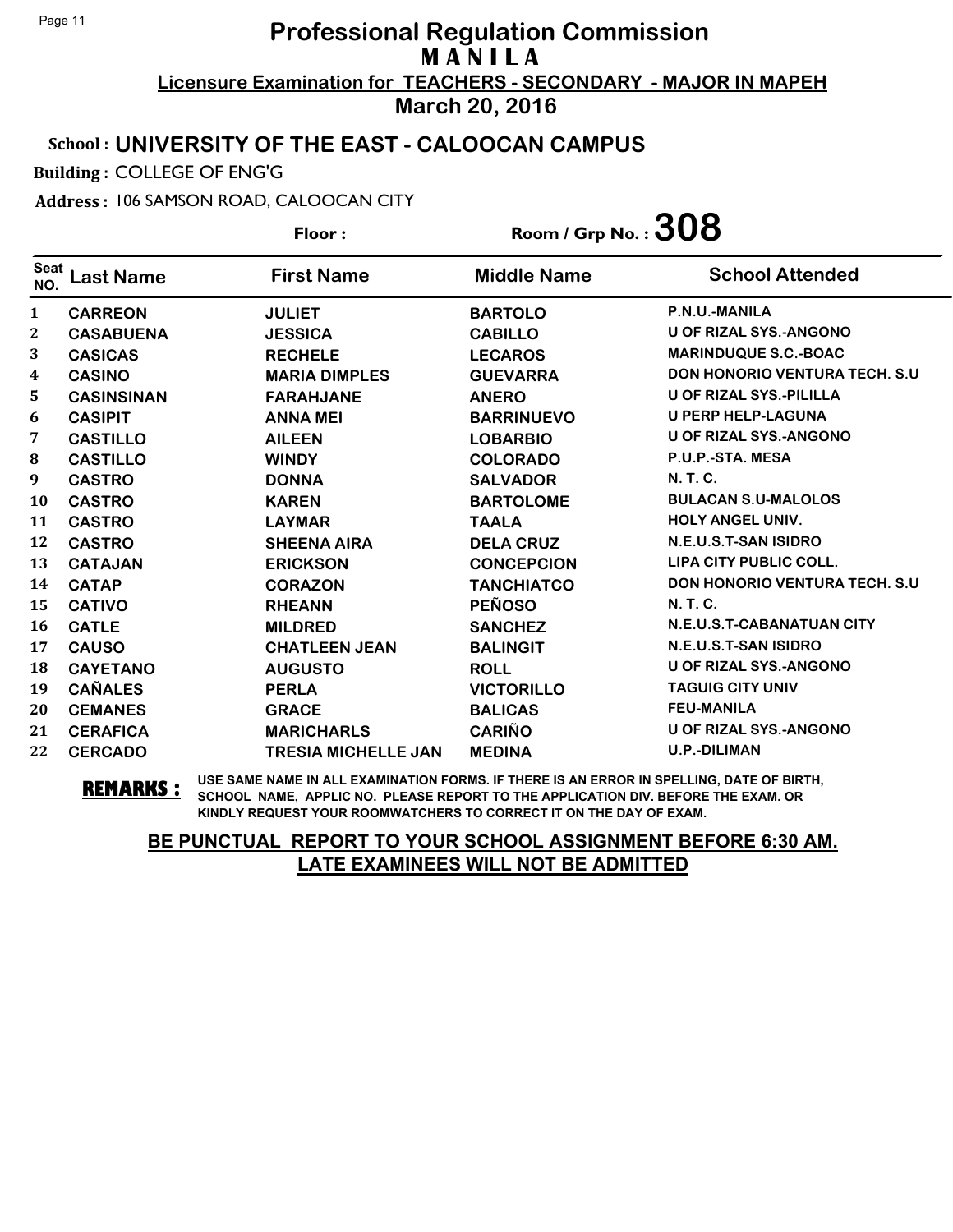### School : **UNIVERSITY OF THE EAST - CALOOCAN CAMPUS**

Building : COLLEGE OF ENG'G

Address : 106 SAMSON ROAD, CALOOCAN CITY

**Last Name First Name Middle Name** Floor : Room / Grp No. :  $308$ Seat <sup>seat</sup> Last Name First Name Middle Name School Attended **CARREON JULIET BARTOLO P.N.U.-MANILA CASABUENA JESSICA CABILLO U OF RIZAL SYS.-ANGONO CASICAS RECHELE LECAROS MARINDUQUE S.C.-BOAC CASINO MARIA DIMPLES GUEVARRA DON HONORIO VENTURA TECH. S.U CASINSINAN FARAHJANE ANERO U OF RIZAL SYS.-PILILLA CASIPIT ANNA MEI BARRINUEVO U PERP HELP-LAGUNA CASTILLO AILEEN LOBARBIO U OF RIZAL SYS.-ANGONO CASTILLO WINDY COLORADO P.U.P.-STA. MESA CASTRO DONNA SALVADOR N. T. C. CASTRO KAREN BARTOLOME BULACAN S.U-MALOLOS CASTRO LAYMAR TAALA HOLY ANGEL UNIV. CASTRO SHEENA AIRA DELA CRUZ N.E.U.S.T-SAN ISIDRO CATAJAN ERICKSON CONCEPCION LIPA CITY PUBLIC COLL. CATAP CORAZON TANCHIATCO DON HONORIO VENTURA TECH. S.U CATIVO RHEANN PEÑOSO N. T. C. CATLE MILDRED SANCHEZ N.E.U.S.T-CABANATUAN CITY CAUSO CHATLEEN JEAN BALINGIT N.E.U.S.T-SAN ISIDRO CAYETANO AUGUSTO ROLL U OF RIZAL SYS.-ANGONO CAÑALES PERLA VICTORILLO TAGUIG CITY UNIV CEMANES GRACE BALICAS FEU-MANILA CERAFICA MARICHARLS CARIÑO U OF RIZAL SYS.-ANGONO CERCADO TRESIA MICHELLE JAN MEDINA U.P.-DILIMAN**

**REMARKS :** USE SAME NAME IN ALL EXAMINATION FORMS. IF THERE IS AN ERROR IN SPELLING, DATE OF BIRTH, SCHOOL NAME, APPLIC NO. PLEASE REPORT TO THE APPLICATION DIV. BEFORE THE EXAM. OR KINDLY REQUEST YOUR ROOMWATCHERS TO CORRECT IT ON THE DAY OF EXAM.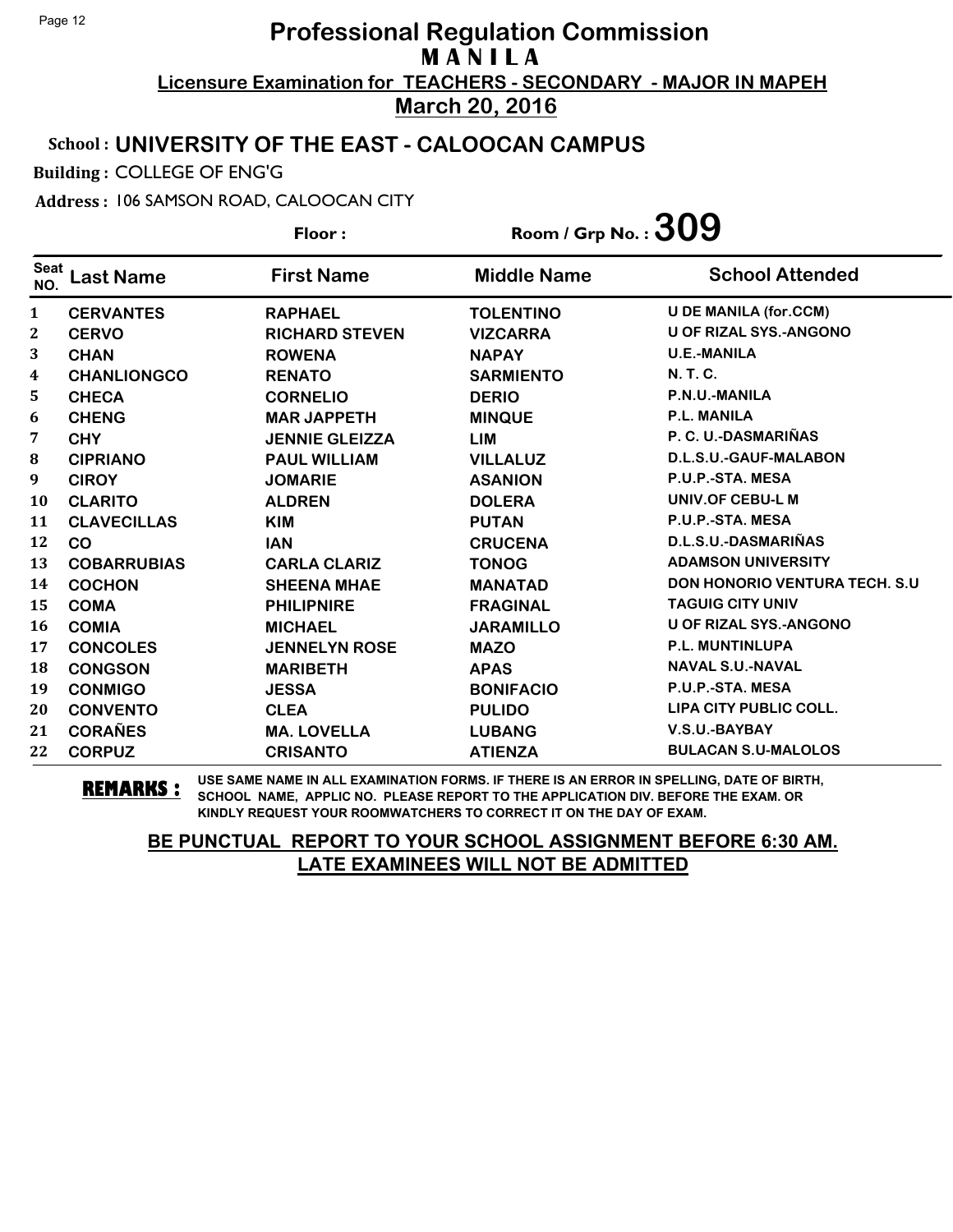### School : **UNIVERSITY OF THE EAST - CALOOCAN CAMPUS**

Building : COLLEGE OF ENG'G

Address : 106 SAMSON ROAD, CALOOCAN CITY

**Last Name First Name Middle Name** Floor : Room / Grp No. :**309** Seat <sup>Seat</sup> Last Name First Name Middle Name School Attended **CERVANTES RAPHAEL TOLENTINO U DE MANILA (for.CCM) CERVO RICHARD STEVEN VIZCARRA U OF RIZAL SYS.-ANGONO CHAN ROWENA NAPAY U.E.-MANILA CHANLIONGCO RENATO SARMIENTO N. T. C. CHECA CORNELIO DERIO P.N.U.-MANILA CHENG MAR JAPPETH MINQUE P.L. MANILA CHY JENNIE GLEIZZA LIM P. C. U.-DASMARIÑAS CIPRIANO PAUL WILLIAM VILLALUZ D.L.S.U.-GAUF-MALABON CIROY JOMARIE ASANION P.U.P.-STA. MESA CLARITO ALDREN DOLERA UNIV.OF CEBU-L M CLAVECILLAS KIM PUTAN P.U.P.-STA. MESA CO IAN CRUCENA D.L.S.U.-DASMARIÑAS COBARRUBIAS CARLA CLARIZ TONOG ADAMSON UNIVERSITY COCHON SHEENA MHAE MANATAD DON HONORIO VENTURA TECH. S.U COMA PHILIPNIRE FRAGINAL TAGUIG CITY UNIV COMIA MICHAEL JARAMILLO U OF RIZAL SYS.-ANGONO CONCOLES JENNELYN ROSE MAZO P.L. MUNTINLUPA CONGSON MARIBETH APAS NAVAL S.U.-NAVAL CONMIGO JESSA BONIFACIO P.U.P.-STA. MESA CONVENTO CLEA PULIDO LIPA CITY PUBLIC COLL. CORAÑES MA. LOVELLA LUBANG V.S.U.-BAYBAY CORPUZ CRISANTO ATIENZA BULACAN S.U-MALOLOS**

**REMARKS :** USE SAME NAME IN ALL EXAMINATION FORMS. IF THERE IS AN ERROR IN SPELLING, DATE OF BIRTH, SCHOOL NAME, APPLIC NO. PLEASE REPORT TO THE APPLICATION DIV. BEFORE THE EXAM. OR KINDLY REQUEST YOUR ROOMWATCHERS TO CORRECT IT ON THE DAY OF EXAM.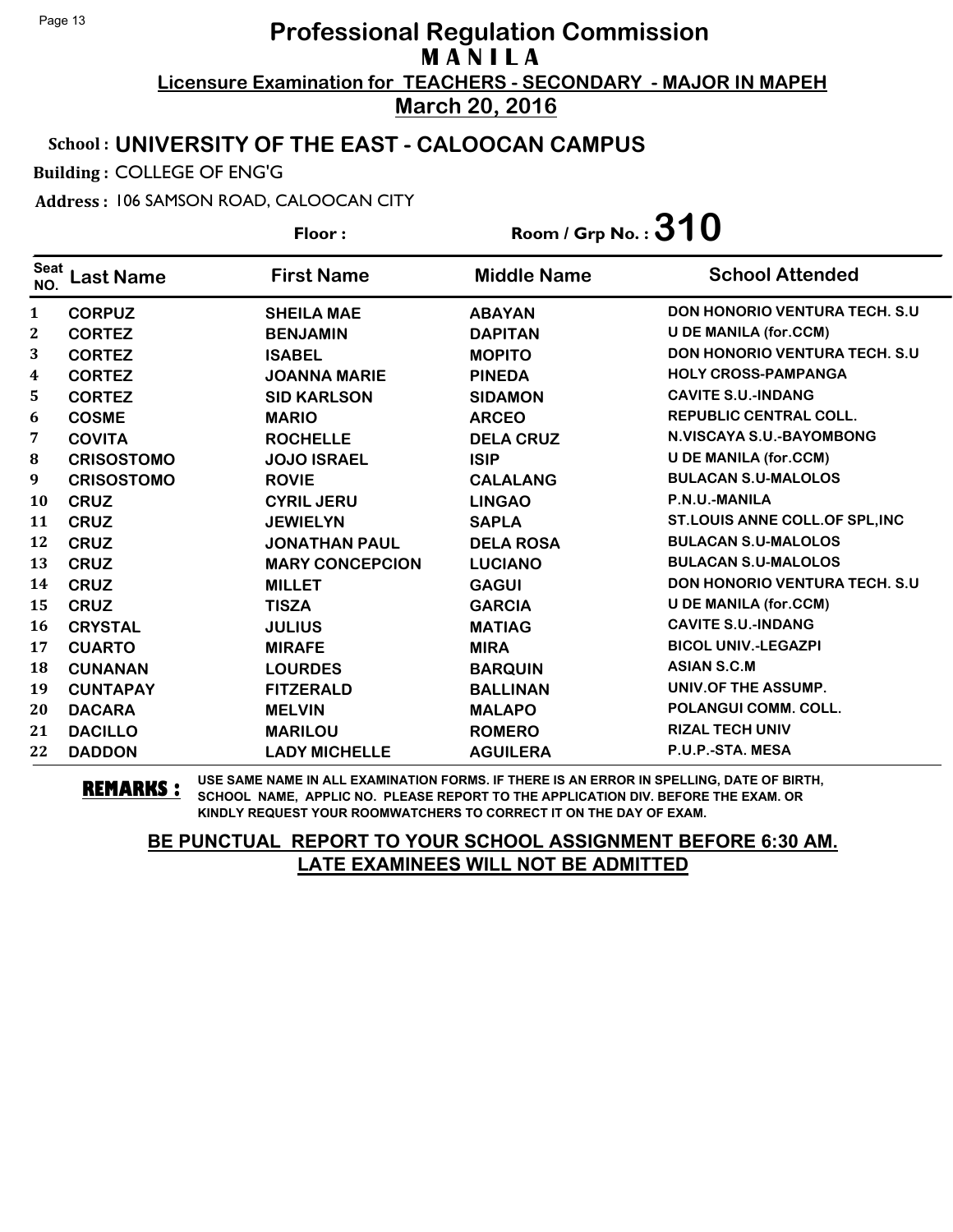### School : **UNIVERSITY OF THE EAST - CALOOCAN CAMPUS**

Building : COLLEGE OF ENG'G

Address : 106 SAMSON ROAD, CALOOCAN CITY

**Last Name First Name Middle Name** Floor : Room / Grp No. :**310** Seat <sup>seat</sup> Last Name First Name Middle Name School Attended **CORPUZ SHEILA MAE ABAYAN DON HONORIO VENTURA TECH. S.U CORTEZ BENJAMIN DAPITAN U DE MANILA (for.CCM) CORTEZ ISABEL MOPITO DON HONORIO VENTURA TECH. S.U CORTEZ JOANNA MARIE PINEDA HOLY CROSS-PAMPANGA CORTEZ SID KARLSON SIDAMON CAVITE S.U.-INDANG COSME MARIO ARCEO REPUBLIC CENTRAL COLL. COVITA ROCHELLE DELA CRUZ N.VISCAYA S.U.-BAYOMBONG CRISOSTOMO JOJO ISRAEL ISIP U DE MANILA (for.CCM) CRISOSTOMO ROVIE CALALANG BULACAN S.U-MALOLOS CRUZ CYRIL JERU LINGAO P.N.U.-MANILA CRUZ JEWIELYN SAPLA ST.LOUIS ANNE COLL.OF SPL,INC CRUZ JONATHAN PAUL DELA ROSA BULACAN S.U-MALOLOS CRUZ MARY CONCEPCION LUCIANO BULACAN S.U-MALOLOS CRUZ MILLET GAGUI DON HONORIO VENTURA TECH. S.U CRUZ TISZA GARCIA U DE MANILA (for.CCM) CRYSTAL JULIUS MATIAG CAVITE S.U.-INDANG CUARTO MIRAFE MIRA BICOL UNIV.-LEGAZPI CUNANAN LOURDES BARQUIN ASIAN S.C.M CUNTAPAY FITZERALD BALLINAN UNIV.OF THE ASSUMP. DACARA MELVIN MALAPO POLANGUI COMM. COLL. DACILLO MARILOU ROMERO RIZAL TECH UNIV DADDON LADY MICHELLE AGUILERA P.U.P.-STA. MESA**

**REMARKS :** USE SAME NAME IN ALL EXAMINATION FORMS. IF THERE IS AN ERROR IN SPELLING, DATE OF BIRTH, SCHOOL NAME, APPLIC NO. PLEASE REPORT TO THE APPLICATION DIV. BEFORE THE EXAM. OR KINDLY REQUEST YOUR ROOMWATCHERS TO CORRECT IT ON THE DAY OF EXAM.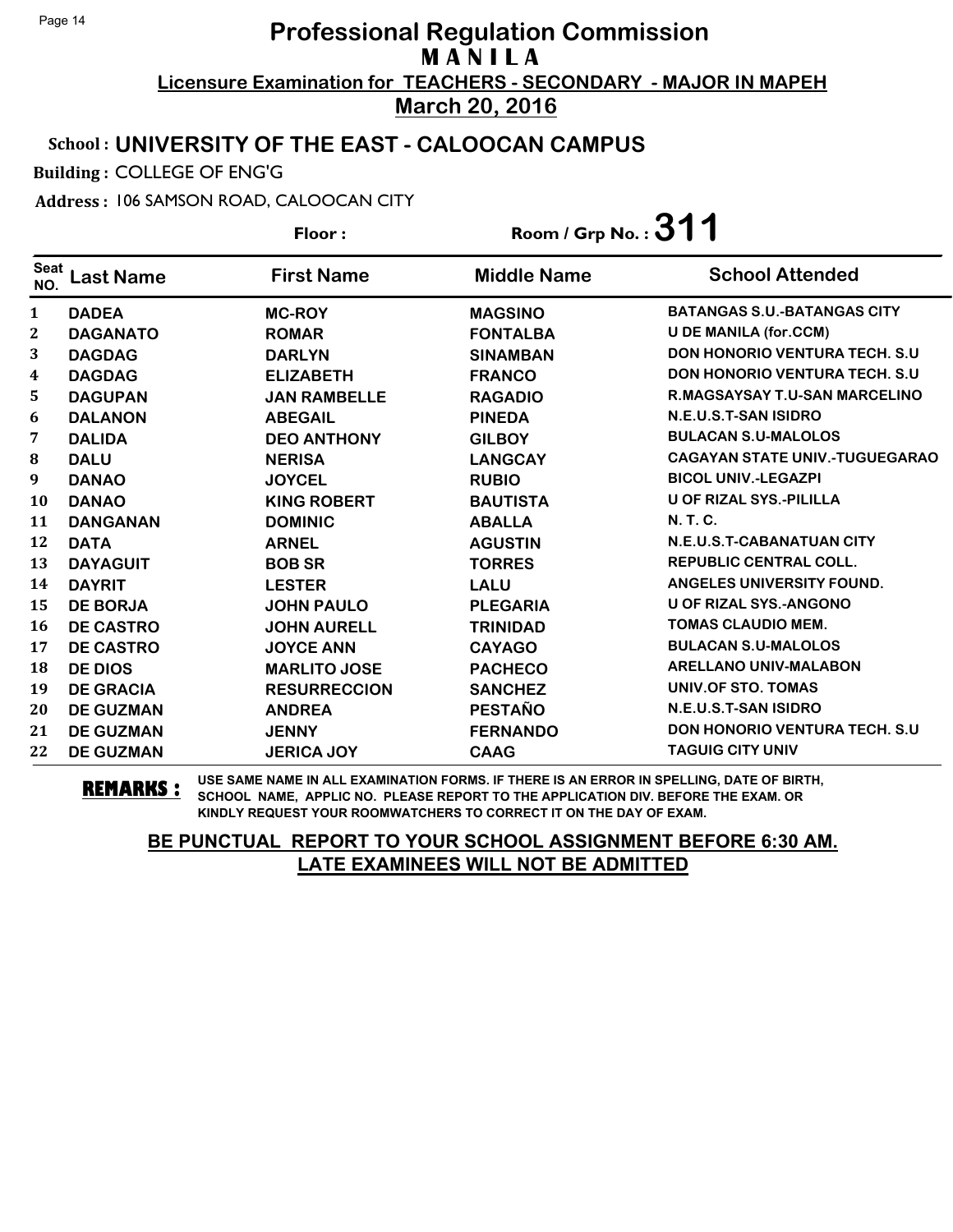### School : **UNIVERSITY OF THE EAST - CALOOCAN CAMPUS**

Building : COLLEGE OF ENG'G

Address : 106 SAMSON ROAD, CALOOCAN CITY

**Last Name First Name Middle Name** Floor : Room / Grp No. :**311** Seat <sup>seat</sup> Last Name First Name Middle Name School Attended **DADEA MC-ROY MAGSINO BATANGAS S.U.-BATANGAS CITY DAGANATO ROMAR FONTALBA U DE MANILA (for.CCM) DAGDAG DARLYN SINAMBAN DON HONORIO VENTURA TECH. S.U DAGDAG ELIZABETH FRANCO DON HONORIO VENTURA TECH. S.U DAGUPAN JAN RAMBELLE RAGADIO R.MAGSAYSAY T.U-SAN MARCELINO DALANON ABEGAIL PINEDA N.E.U.S.T-SAN ISIDRO DALIDA DEO ANTHONY GILBOY BULACAN S.U-MALOLOS DALU NERISA LANGCAY CAGAYAN STATE UNIV.-TUGUEGARAO DANAO JOYCEL RUBIO BICOL UNIV.-LEGAZPI DANAO KING ROBERT BAUTISTA U OF RIZAL SYS.-PILILLA DANGANAN DOMINIC ABALLA N. T. C. DATA ARNEL AGUSTIN N.E.U.S.T-CABANATUAN CITY DAYAGUIT BOB SR TORRES REPUBLIC CENTRAL COLL. DAYRIT LESTER LALU ANGELES UNIVERSITY FOUND. DE BORJA JOHN PAULO PLEGARIA U OF RIZAL SYS.-ANGONO DE CASTRO JOHN AURELL TRINIDAD TOMAS CLAUDIO MEM. DE CASTRO JOYCE ANN CAYAGO BULACAN S.U-MALOLOS DE DIOS MARLITO JOSE PACHECO ARELLANO UNIV-MALABON DE GRACIA RESURRECCION SANCHEZ UNIV.OF STO. TOMAS DE GUZMAN ANDREA PESTAÑO N.E.U.S.T-SAN ISIDRO DE GUZMAN JENNY FERNANDO DON HONORIO VENTURA TECH. S.U DE GUZMAN JERICA JOY CAAG TAGUIG CITY UNIV**

**REMARKS :** USE SAME NAME IN ALL EXAMINATION FORMS. IF THERE IS AN ERROR IN SPELLING, DATE OF BIRTH, SCHOOL NAME, APPLIC NO. PLEASE REPORT TO THE APPLICATION DIV. BEFORE THE EXAM. OR KINDLY REQUEST YOUR ROOMWATCHERS TO CORRECT IT ON THE DAY OF EXAM.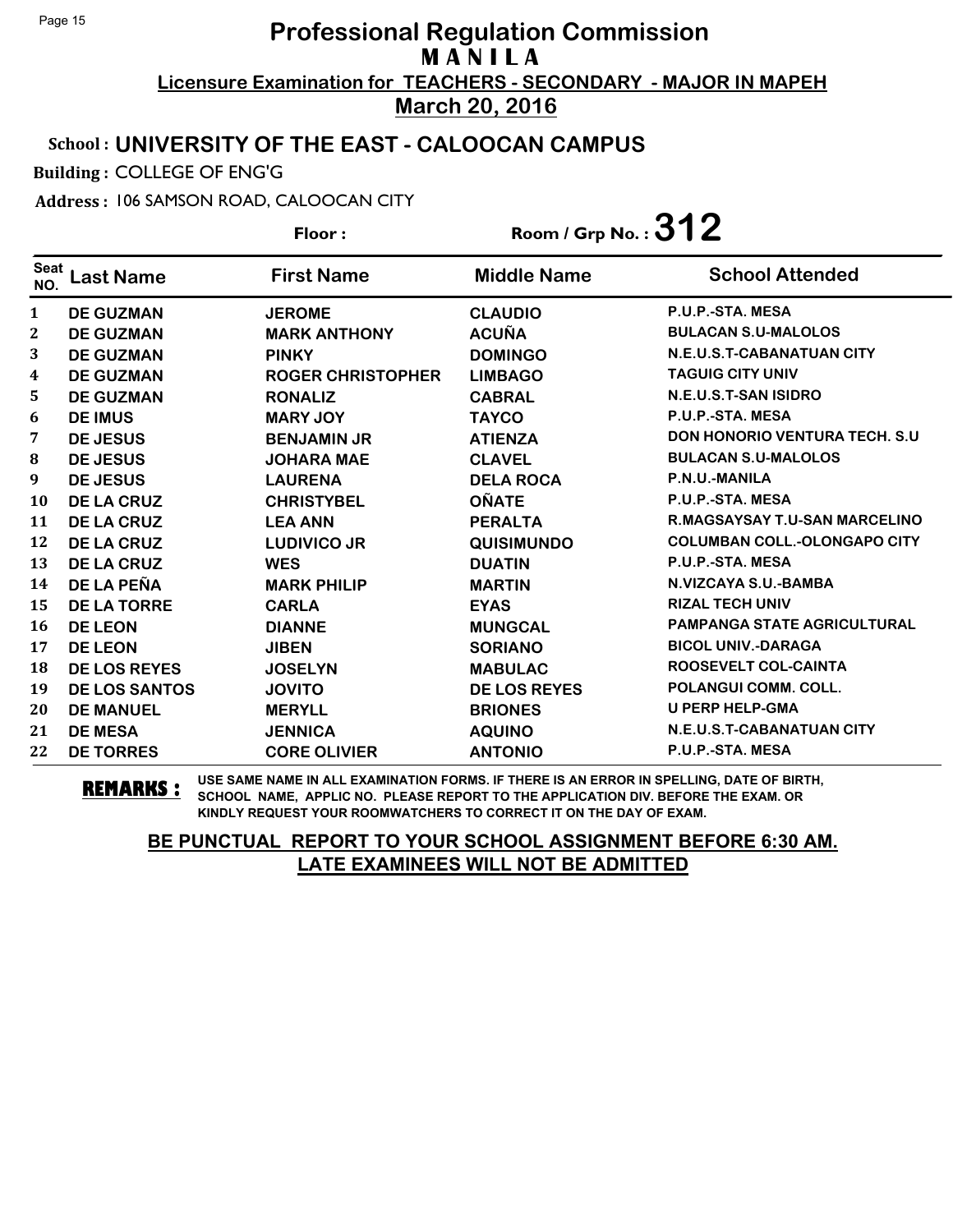### School : **UNIVERSITY OF THE EAST - CALOOCAN CAMPUS**

Building : COLLEGE OF ENG'G

Address : 106 SAMSON ROAD, CALOOCAN CITY

**Last Name First Name Middle Name** Floor : Room / Grp No. :**312** Seat <sup>seat</sup> Last Name First Name Middle Name School Attended **DE GUZMAN JEROME CLAUDIO P.U.P.-STA. MESA DE GUZMAN MARK ANTHONY ACUÑA BULACAN S.U-MALOLOS DE GUZMAN PINKY DOMINGO N.E.U.S.T-CABANATUAN CITY DE GUZMAN ROGER CHRISTOPHER LIMBAGO TAGUIG CITY UNIV DE GUZMAN RONALIZ CABRAL N.E.U.S.T-SAN ISIDRO DE IMUS MARY JOY TAYCO P.U.P.-STA. MESA DE JESUS BENJAMIN JR ATIENZA DON HONORIO VENTURA TECH. S.U DE JESUS JOHARA MAE CLAVEL BULACAN S.U-MALOLOS DE JESUS LAURENA DELA ROCA P.N.U.-MANILA DE LA CRUZ CHRISTYBEL OÑATE P.U.P.-STA. MESA DE LA CRUZ LEA ANN PERALTA R.MAGSAYSAY T.U-SAN MARCELINO DE LA CRUZ LUDIVICO JR QUISIMUNDO COLUMBAN COLL.-OLONGAPO CITY DE LA CRUZ WES DUATIN P.U.P.-STA. MESA DE LA PEÑA MARK PHILIP MARTIN N.VIZCAYA S.U.-BAMBA DE LA TORRE CARLA EYAS RIZAL TECH UNIV DE LEON DIANNE MUNGCAL PAMPANGA STATE AGRICULTURAL DE LEON JIBEN SORIANO BICOL UNIV.-DARAGA DE LOS REYES JOSELYN MABULAC ROOSEVELT COL-CAINTA DE LOS SANTOS JOVITO DE LOS REYES POLANGUI COMM. COLL. DE MANUEL MERYLL BRIONES U PERP HELP-GMA DE MESA JENNICA AQUINO N.E.U.S.T-CABANATUAN CITY DE TORRES CORE OLIVIER ANTONIO P.U.P.-STA. MESA**

**REMARKS :** USE SAME NAME IN ALL EXAMINATION FORMS. IF THERE IS AN ERROR IN SPELLING, DATE OF BIRTH, SCHOOL NAME, APPLIC NO. PLEASE REPORT TO THE APPLICATION DIV. BEFORE THE EXAM. OR KINDLY REQUEST YOUR ROOMWATCHERS TO CORRECT IT ON THE DAY OF EXAM.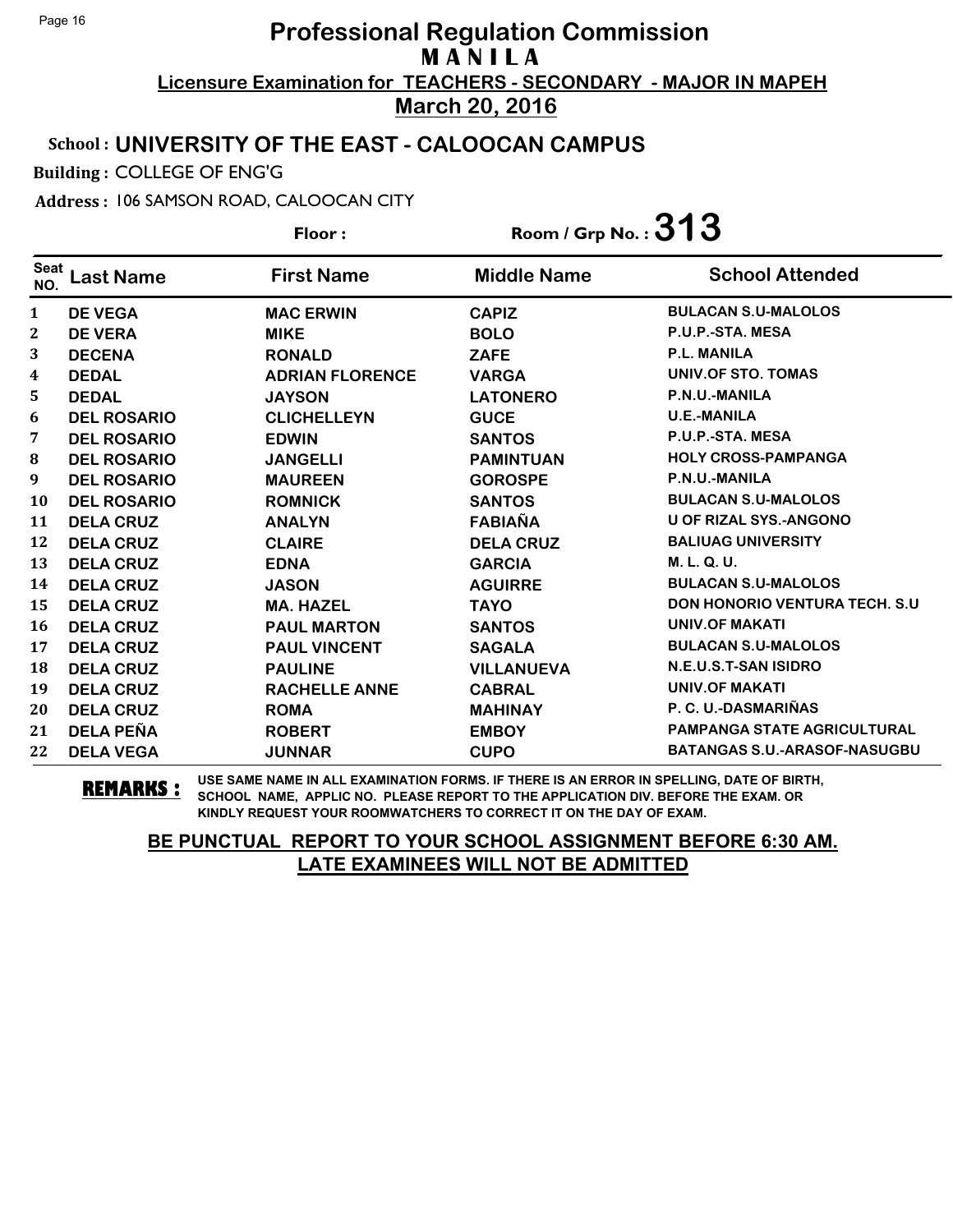#### School : **UNIVERSITY OF THE EAST - CALOOCAN CAMPUS**

Building : COLLEGE OF ENG'G

Address : 106 SAMSON ROAD, CALOOCAN CITY

**Last Name First Name Middle Name** Floor : Room / Grp No. :**313** Seat <sup>seat</sup> Last Name First Name Middle Name School Attended **DE VEGA MAC ERWIN CAPIZ BULACAN S.U-MALOLOS DE VERA MIKE BOLO P.U.P.-STA. MESA DECENA RONALD ZAFE P.L. MANILA DEDAL ADRIAN FLORENCE VARGA UNIV.OF STO. TOMAS DEDAL JAYSON LATONERO P.N.U.-MANILA DEL ROSARIO CLICHELLEYN GUCE U.E.-MANILA DEL ROSARIO EDWIN SANTOS P.U.P.-STA. MESA DEL ROSARIO JANGELLI PAMINTUAN HOLY CROSS-PAMPANGA DEL ROSARIO MAUREEN GOROSPE P.N.U.-MANILA DEL ROSARIO ROMNICK SANTOS BULACAN S.U-MALOLOS DELA CRUZ ANALYN FABIAÑA U OF RIZAL SYS.-ANGONO DELA CRUZ CLAIRE DELA CRUZ BALIUAG UNIVERSITY DELA CRUZ EDNA GARCIA M. L. Q. U. DELA CRUZ JASON AGUIRRE BULACAN S.U-MALOLOS DELA CRUZ MA. HAZEL TAYO DON HONORIO VENTURA TECH. S.U DELA CRUZ PAUL MARTON SANTOS UNIV.OF MAKATI DELA CRUZ PAUL VINCENT SAGALA BULACAN S.U-MALOLOS DELA CRUZ PAULINE VILLANUEVA N.E.U.S.T-SAN ISIDRO DELA CRUZ RACHELLE ANNE CABRAL UNIV.OF MAKATI DELA CRUZ ROMA MAHINAY P. C. U.-DASMARIÑAS DELA PEÑA ROBERT EMBOY PAMPANGA STATE AGRICULTURAL DELA VEGA JUNNAR CUPO BATANGAS S.U.-ARASOF-NASUGBU**

**REMARKS :** USE SAME NAME IN ALL EXAMINATION FORMS. IF THERE IS AN ERROR IN SPELLING, DATE OF BIRTH, SCHOOL NAME, APPLIC NO. PLEASE REPORT TO THE APPLICATION DIV. BEFORE THE EXAM. OR KINDLY REQUEST YOUR ROOMWATCHERS TO CORRECT IT ON THE DAY OF EXAM.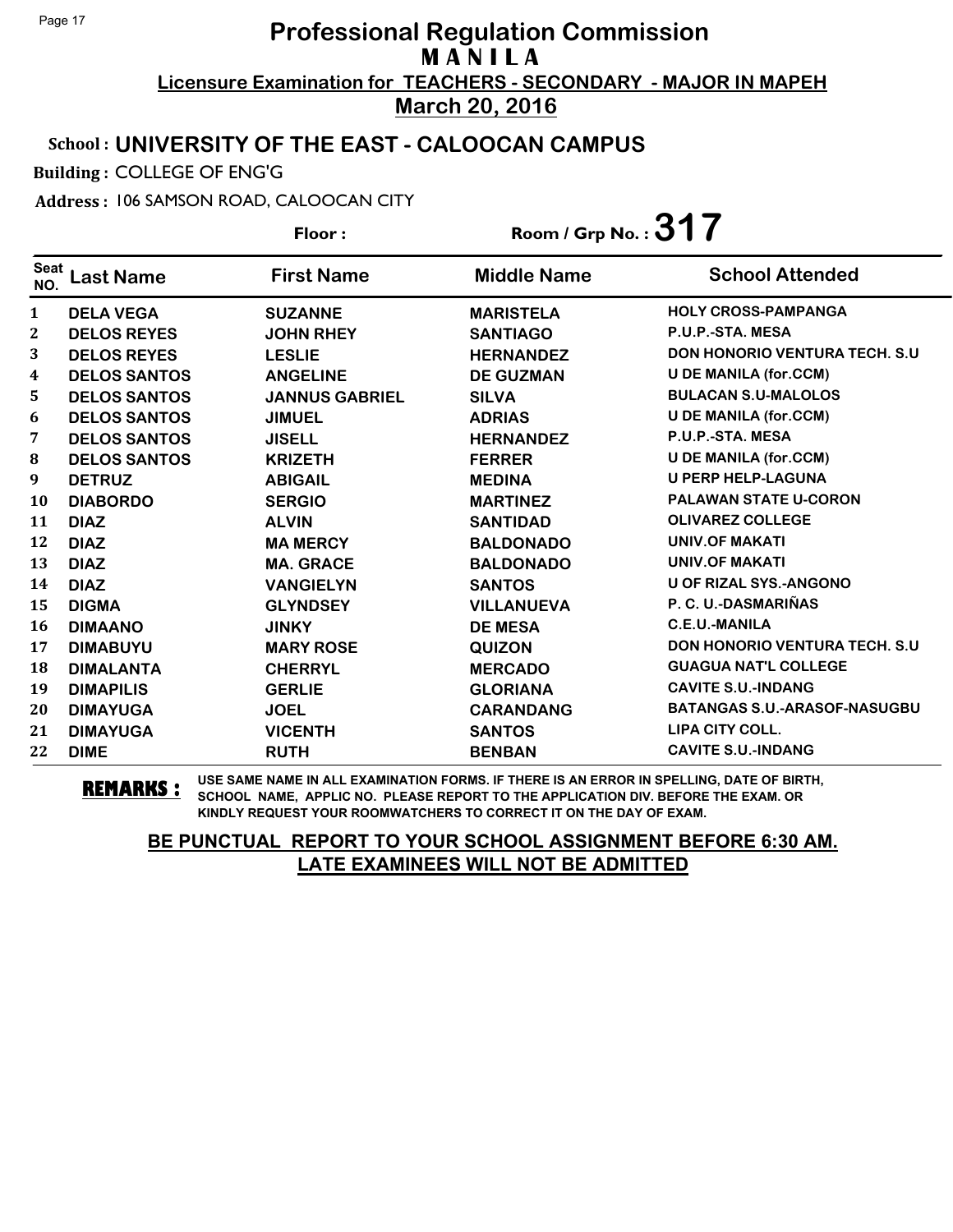### School : **UNIVERSITY OF THE EAST - CALOOCAN CAMPUS**

Building : COLLEGE OF ENG'G

Address : 106 SAMSON ROAD, CALOOCAN CITY

**Last Name First Name Middle Name** Floor : Room / Grp No. :**317** Seat <sup>seat</sup> Last Name First Name Middle Name School Attended **DELA VEGA SUZANNE MARISTELA HOLY CROSS-PAMPANGA DELOS REYES JOHN RHEY SANTIAGO P.U.P.-STA. MESA DELOS REYES LESLIE HERNANDEZ DON HONORIO VENTURA TECH. S.U DELOS SANTOS ANGELINE DE GUZMAN U DE MANILA (for.CCM) DELOS SANTOS JANNUS GABRIEL SILVA BULACAN S.U-MALOLOS DELOS SANTOS JIMUEL ADRIAS U DE MANILA (for.CCM) DELOS SANTOS JISELL HERNANDEZ P.U.P.-STA. MESA DELOS SANTOS KRIZETH FERRER U DE MANILA (for.CCM) DETRUZ ABIGAIL MEDINA U PERP HELP-LAGUNA DIABORDO SERGIO MARTINEZ PALAWAN STATE U-CORON DIAZ ALVIN SANTIDAD OLIVAREZ COLLEGE DIAZ MA MERCY BALDONADO UNIV.OF MAKATI DIAZ MA. GRACE BALDONADO UNIV.OF MAKATI DIAZ VANGIELYN SANTOS U OF RIZAL SYS.-ANGONO DIGMA GLYNDSEY VILLANUEVA P. C. U.-DASMARIÑAS DIMAANO JINKY DE MESA C.E.U.-MANILA DIMABUYU MARY ROSE QUIZON DON HONORIO VENTURA TECH. S.U DIMALANTA CHERRYL MERCADO GUAGUA NAT'L COLLEGE DIMAPILIS GERLIE GLORIANA CAVITE S.U.-INDANG DIMAYUGA JOEL CARANDANG BATANGAS S.U.-ARASOF-NASUGBU DIMAYUGA VICENTH SANTOS LIPA CITY COLL. DIME RUTH BENBAN CAVITE S.U.-INDANG**

**REMARKS :** USE SAME NAME IN ALL EXAMINATION FORMS. IF THERE IS AN ERROR IN SPELLING, DATE OF BIRTH, SCHOOL NAME, APPLIC NO. PLEASE REPORT TO THE APPLICATION DIV. BEFORE THE EXAM. OR KINDLY REQUEST YOUR ROOMWATCHERS TO CORRECT IT ON THE DAY OF EXAM.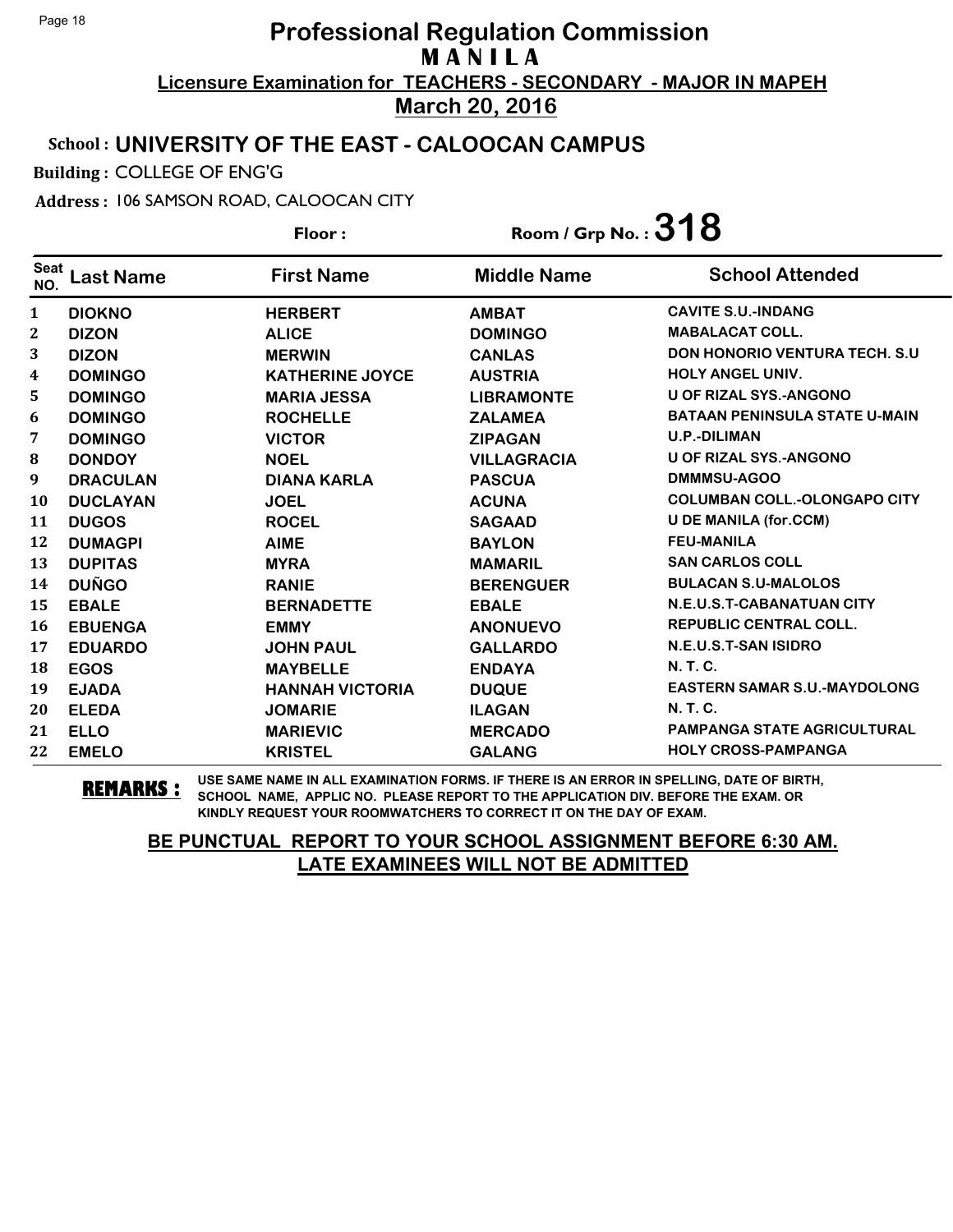### School : **UNIVERSITY OF THE EAST - CALOOCAN CAMPUS**

Building : COLLEGE OF ENG'G

Address : 106 SAMSON ROAD, CALOOCAN CITY

**Last Name First Name Middle Name** Floor : Room / Grp No. :**318** Seat <sup>seat</sup> Last Name First Name Middle Name School Attended **DIOKNO HERBERT AMBAT CAVITE S.U.-INDANG DIZON ALICE DOMINGO MABALACAT COLL. DIZON MERWIN CANLAS DON HONORIO VENTURA TECH. S.U DOMINGO KATHERINE JOYCE AUSTRIA HOLY ANGEL UNIV. DOMINGO MARIA JESSA LIBRAMONTE U OF RIZAL SYS.-ANGONO DOMINGO ROCHELLE ZALAMEA BATAAN PENINSULA STATE U-MAIN DOMINGO VICTOR ZIPAGAN U.P.-DILIMAN DONDOY NOEL VILLAGRACIA U OF RIZAL SYS.-ANGONO DRACULAN DIANA KARLA PASCUA DMMMSU-AGOO DUCLAYAN JOEL ACUNA COLUMBAN COLL.-OLONGAPO CITY DUGOS ROCEL SAGAAD U DE MANILA (for.CCM) DUMAGPI AIME BAYLON FEU-MANILA DUPITAS MYRA MAMARIL SAN CARLOS COLL DUÑGO RANIE BERENGUER BULACAN S.U-MALOLOS EBALE BERNADETTE EBALE N.E.U.S.T-CABANATUAN CITY EBUENGA EMMY ANONUEVO REPUBLIC CENTRAL COLL. EDUARDO JOHN PAUL GALLARDO N.E.U.S.T-SAN ISIDRO EGOS MAYBELLE ENDAYA N. T. C. EJADA HANNAH VICTORIA DUQUE EASTERN SAMAR S.U.-MAYDOLONG ELEDA JOMARIE ILAGAN N. T. C. ELLO MARIEVIC MERCADO PAMPANGA STATE AGRICULTURAL EMELO KRISTEL GALANG HOLY CROSS-PAMPANGA**

**REMARKS :** USE SAME NAME IN ALL EXAMINATION FORMS. IF THERE IS AN ERROR IN SPELLING, DATE OF BIRTH, SCHOOL NAME, APPLIC NO. PLEASE REPORT TO THE APPLICATION DIV. BEFORE THE EXAM. OR KINDLY REQUEST YOUR ROOMWATCHERS TO CORRECT IT ON THE DAY OF EXAM.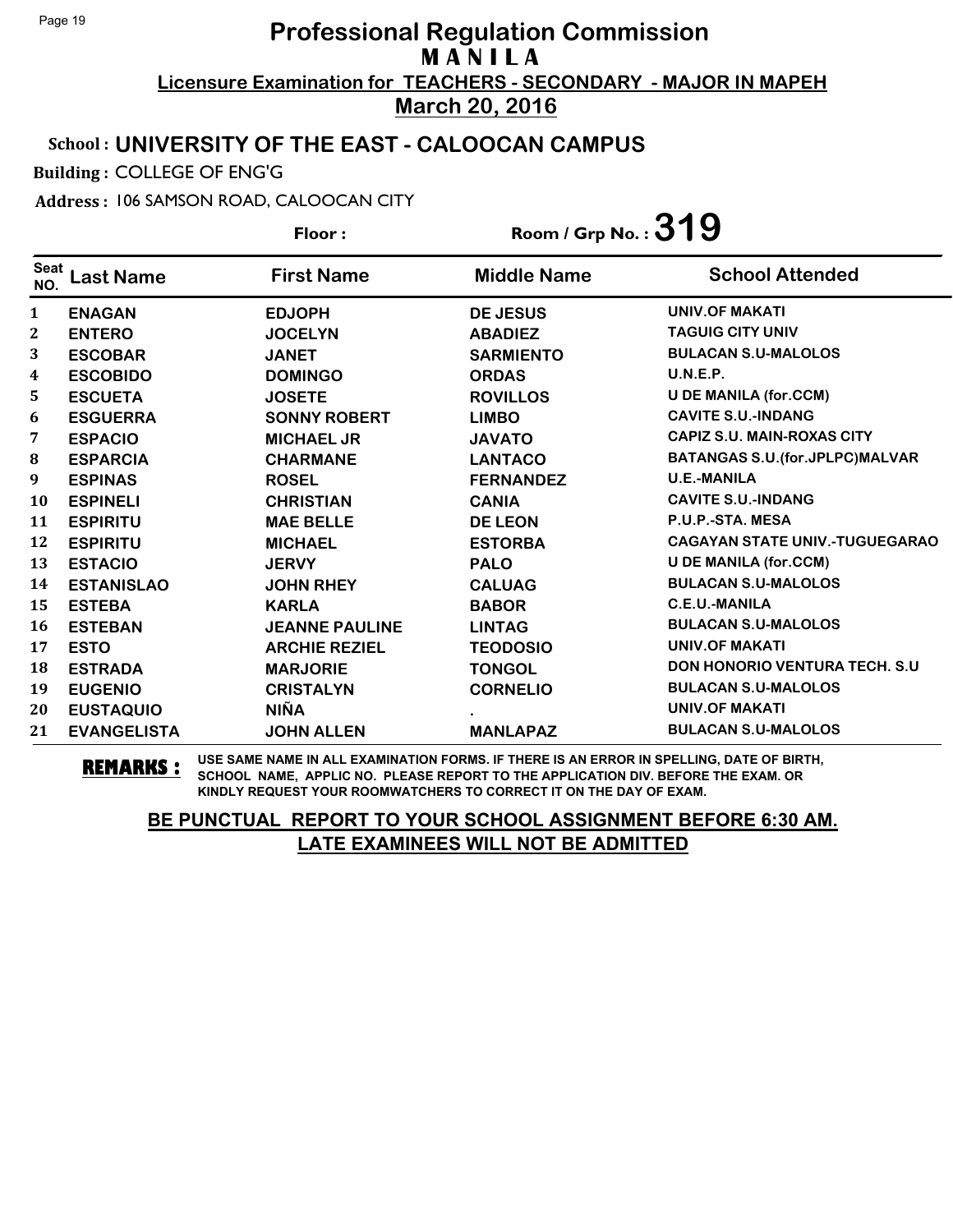### School : **UNIVERSITY OF THE EAST - CALOOCAN CAMPUS**

Building : COLLEGE OF ENG'G

Address : 106 SAMSON ROAD, CALOOCAN CITY

**Last Name First Name Middle Name** Floor : Room / Grp No. :**319** Seat <sup>seat</sup> Last Name First Name Middle Name School Attended **ENAGAN EDJOPH DE JESUS UNIV.OF MAKATI ENTERO JOCELYN ABADIEZ TAGUIG CITY UNIV ESCOBAR JANET SARMIENTO BULACAN S.U-MALOLOS ESCOBIDO DOMINGO ORDAS U.N.E.P. ESCUETA JOSETE ROVILLOS U DE MANILA (for.CCM) ESGUERRA SONNY ROBERT LIMBO CAVITE S.U.-INDANG ESPACIO MICHAEL JR JAVATO CAPIZ S.U. MAIN-ROXAS CITY ESPARCIA CHARMANE LANTACO BATANGAS S.U.(for.JPLPC)MALVAR ESPINAS ROSEL FERNANDEZ U.E.-MANILA ESPINELI CHRISTIAN CANIA CAVITE S.U.-INDANG ESPIRITU MAE BELLE DE LEON P.U.P.-STA. MESA ESPIRITU MICHAEL ESTORBA CAGAYAN STATE UNIV.-TUGUEGARAO ESTACIO JERVY PALO U DE MANILA (for.CCM) ESTANISLAO JOHN RHEY CALUAG BULACAN S.U-MALOLOS ESTEBA KARLA BABOR C.E.U.-MANILA ESTEBAN JEANNE PAULINE LINTAG BULACAN S.U-MALOLOS ESTO ARCHIE REZIEL TEODOSIO UNIV.OF MAKATI ESTRADA MARJORIE TONGOL DON HONORIO VENTURA TECH. S.U EUGENIO CRISTALYN CORNELIO BULACAN S.U-MALOLOS EUSTAQUIO NIÑA . UNIV.OF MAKATI EVANGELISTA JOHN ALLEN MANLAPAZ BULACAN S.U-MALOLOS**

**REMARKS :** USE SAME NAME IN ALL EXAMINATION FORMS. IF THERE IS AN ERROR IN SPELLING, DATE OF BIRTH, SCHOOL NAME, APPLIC NO. PLEASE REPORT TO THE APPLICATION DIV. BEFORE THE EXAM. OR KINDLY REQUEST YOUR ROOMWATCHERS TO CORRECT IT ON THE DAY OF EXAM.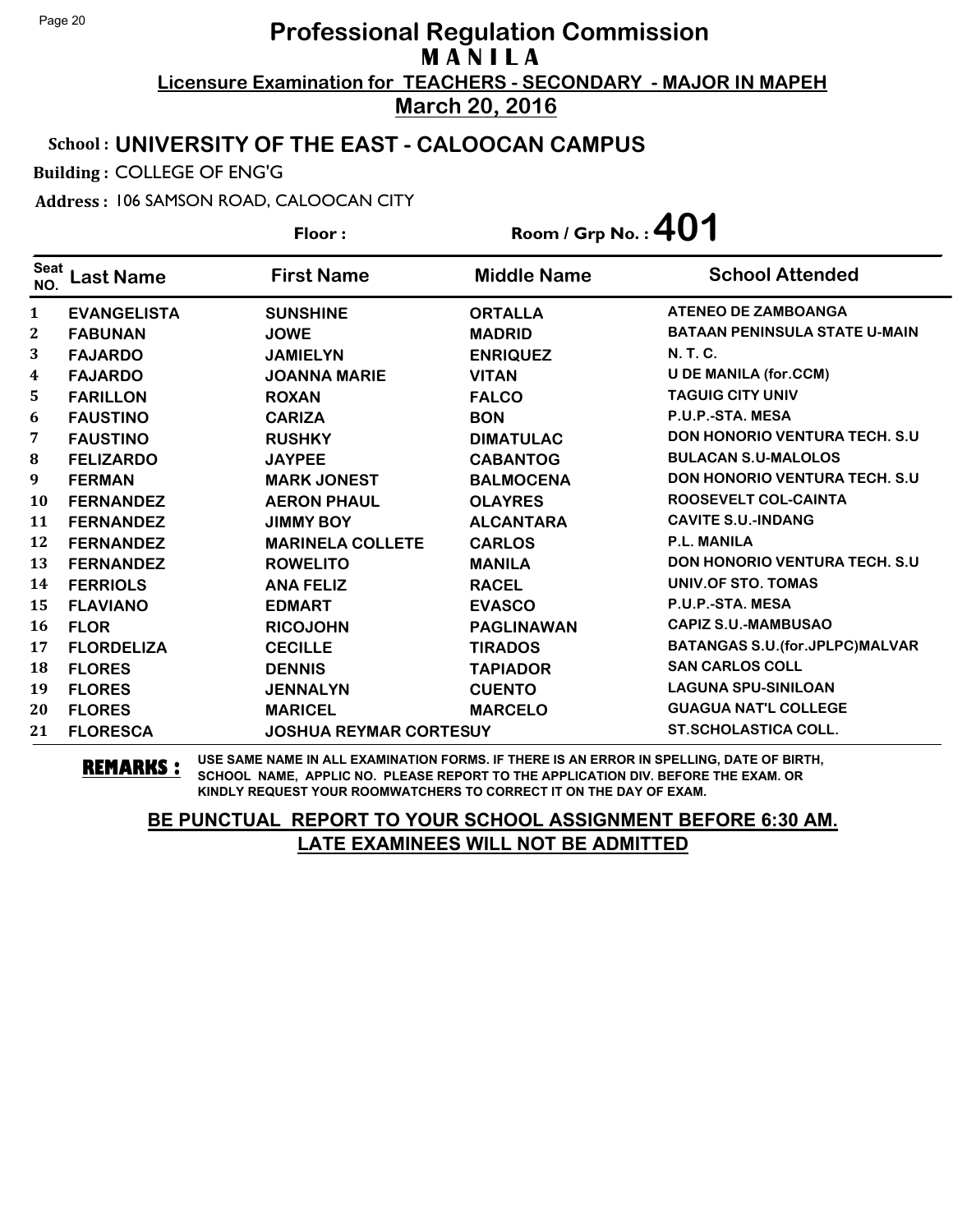### School : **UNIVERSITY OF THE EAST - CALOOCAN CAMPUS**

Building : COLLEGE OF ENG'G

Address : 106 SAMSON ROAD, CALOOCAN CITY

**Last Name First Name Middle Name** Floor : Room / Grp No. :**401** Seat <sup>seat</sup> Last Name First Name Middle Name School Attended **EVANGELISTA SUNSHINE ORTALLA ATENEO DE ZAMBOANGA FABUNAN JOWE MADRID BATAAN PENINSULA STATE U-MAIN FAJARDO JAMIELYN ENRIQUEZ N. T. C. FAJARDO JOANNA MARIE VITAN U DE MANILA (for.CCM) FARILLON ROXAN FALCO TAGUIG CITY UNIV FAUSTINO CARIZA BON P.U.P.-STA. MESA FAUSTINO RUSHKY DIMATULAC DON HONORIO VENTURA TECH. S.U FELIZARDO JAYPEE CABANTOG BULACAN S.U-MALOLOS FERMAN MARK JONEST BALMOCENA DON HONORIO VENTURA TECH. S.U FERNANDEZ AERON PHAUL OLAYRES ROOSEVELT COL-CAINTA FERNANDEZ JIMMY BOY ALCANTARA CAVITE S.U.-INDANG FERNANDEZ MARINELA COLLETE CARLOS P.L. MANILA FERNANDEZ ROWELITO MANILA DON HONORIO VENTURA TECH. S.U FERRIOLS ANA FELIZ RACEL UNIV.OF STO. TOMAS FLAVIANO EDMART EVASCO P.U.P.-STA. MESA FLOR RICOJOHN PAGLINAWAN CAPIZ S.U.-MAMBUSAO FLORDELIZA CECILLE TIRADOS BATANGAS S.U.(for.JPLPC)MALVAR FLORES DENNIS TAPIADOR SAN CARLOS COLL FLORES JENNALYN CUENTO LAGUNA SPU-SINILOAN FLORES MARICEL MARCELO GUAGUA NAT'L COLLEGE FLORESCA JOSHUA REYMAR CORTESUY ST.SCHOLASTICA COLL.**

**REMARKS :** USE SAME NAME IN ALL EXAMINATION FORMS. IF THERE IS AN ERROR IN SPELLING, DATE OF BIRTH, SCHOOL NAME, APPLIC NO. PLEASE REPORT TO THE APPLICATION DIV. BEFORE THE EXAM. OR KINDLY REQUEST YOUR ROOMWATCHERS TO CORRECT IT ON THE DAY OF EXAM.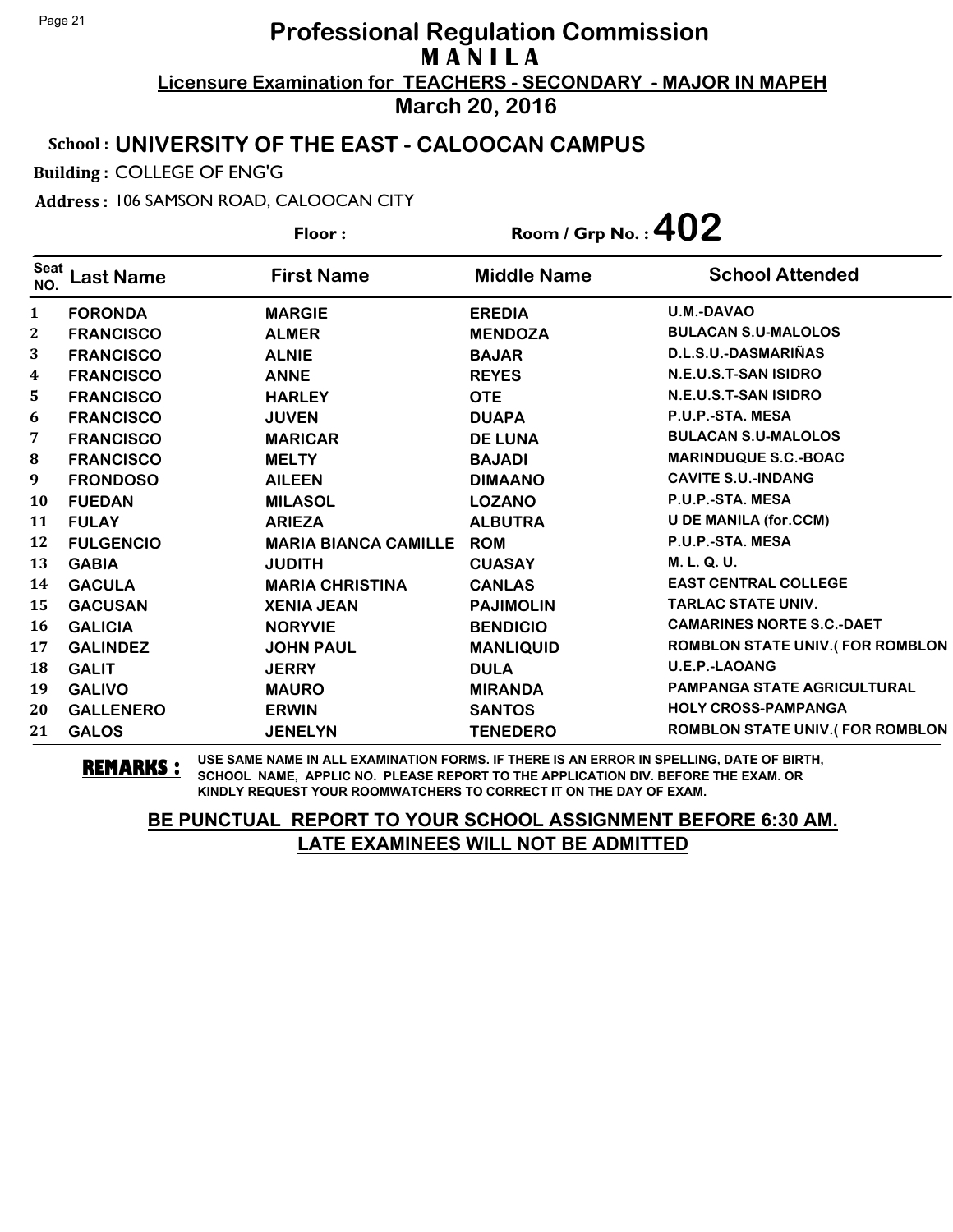#### School : **UNIVERSITY OF THE EAST - CALOOCAN CAMPUS**

Building : COLLEGE OF ENG'G

Address : 106 SAMSON ROAD, CALOOCAN CITY

**Last Name First Name Middle Name** Floor : Room / Grp No. :**402** Seat <sup>Seat</sup> Last Name First Name Middle Name School Attended **FORONDA MARGIE EREDIA U.M.-DAVAO FRANCISCO ALMER MENDOZA BULACAN S.U-MALOLOS FRANCISCO ALNIE BAJAR D.L.S.U.-DASMARIÑAS FRANCISCO ANNE REYES N.E.U.S.T-SAN ISIDRO FRANCISCO HARLEY OTE N.E.U.S.T-SAN ISIDRO FRANCISCO JUVEN DUAPA P.U.P.-STA. MESA FRANCISCO MARICAR DE LUNA BULACAN S.U-MALOLOS FRANCISCO MELTY BAJADI MARINDUQUE S.C.-BOAC FRONDOSO AILEEN DIMAANO CAVITE S.U.-INDANG FUEDAN MILASOL LOZANO P.U.P.-STA. MESA FULAY ARIEZA ALBUTRA U DE MANILA (for.CCM) FULGENCIO MARIA BIANCA CAMILLE ROM P.U.P.-STA. MESA GABIA JUDITH CUASAY M. L. Q. U. GACULA MARIA CHRISTINA CANLAS EAST CENTRAL COLLEGE GACUSAN XENIA JEAN PAJIMOLIN TARLAC STATE UNIV. GALICIA NORYVIE BENDICIO CAMARINES NORTE S.C.-DAET GALINDEZ JOHN PAUL MANLIQUID ROMBLON STATE UNIV.( FOR ROMBLON GALIT JERRY DULA U.E.P.-LAOANG GALIVO MAURO MIRANDA PAMPANGA STATE AGRICULTURAL GALLENERO ERWIN SANTOS HOLY CROSS-PAMPANGA GALOS JENELYN TENEDERO ROMBLON STATE UNIV.( FOR ROMBLON**

**REMARKS :** USE SAME NAME IN ALL EXAMINATION FORMS. IF THERE IS AN ERROR IN SPELLING, DATE OF BIRTH, SCHOOL NAME, APPLIC NO. PLEASE REPORT TO THE APPLICATION DIV. BEFORE THE EXAM. OR KINDLY REQUEST YOUR ROOMWATCHERS TO CORRECT IT ON THE DAY OF EXAM.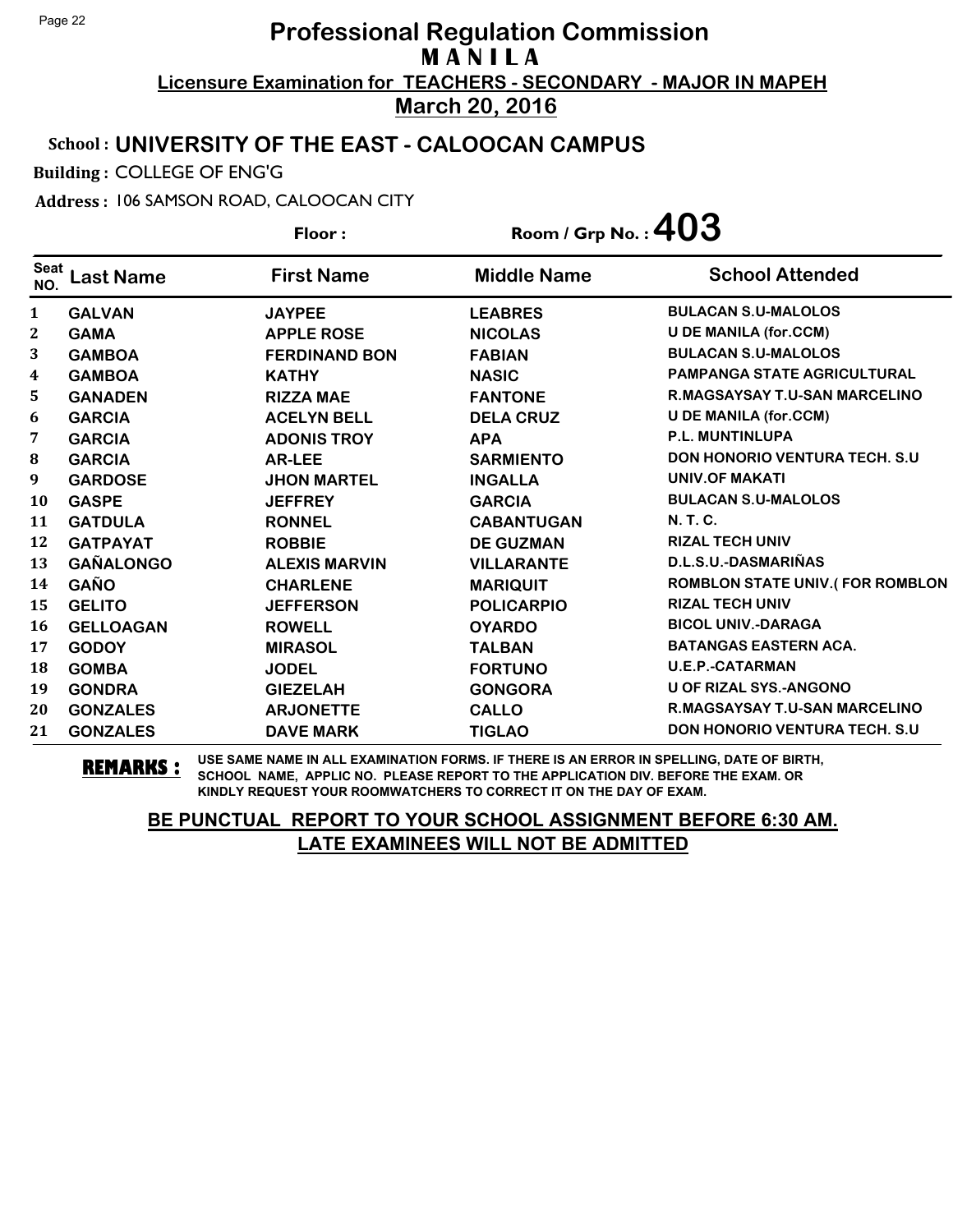### School : **UNIVERSITY OF THE EAST - CALOOCAN CAMPUS**

Building : COLLEGE OF ENG'G

Address : 106 SAMSON ROAD, CALOOCAN CITY

**Last Name First Name Middle Name** Floor : Room / Grp No. :  $403$ Seat <sup>seat</sup> Last Name First Name Middle Name School Attended **GALVAN JAYPEE LEABRES BULACAN S.U-MALOLOS GAMA APPLE ROSE NICOLAS U DE MANILA (for.CCM) GAMBOA FERDINAND BON FABIAN BULACAN S.U-MALOLOS GAMBOA KATHY NASIC PAMPANGA STATE AGRICULTURAL GANADEN RIZZA MAE FANTONE R.MAGSAYSAY T.U-SAN MARCELINO GARCIA ACELYN BELL DELA CRUZ U DE MANILA (for.CCM) GARCIA ADONIS TROY APA P.L. MUNTINLUPA GARCIA AR-LEE SARMIENTO DON HONORIO VENTURA TECH. S.U GARDOSE** JHON MARTEL **INGALLA** UNIV.OF MAKATI **GASPE JEFFREY GARCIA BULACAN S.U-MALOLOS GATDULA RONNEL CABANTUGAN N. T. C. GATPAYAT ROBBIE DE GUZMAN RIZAL TECH UNIV GAÑALONGO ALEXIS MARVIN VILLARANTE D.L.S.U.-DASMARIÑAS GAÑO CHARLENE MARIQUIT ROMBLON STATE UNIV.( FOR ROMBLON GELITO JEFFERSON POLICARPIO RIZAL TECH UNIV GELLOAGAN ROWELL OYARDO BICOL UNIV.-DARAGA GODOY MIRASOL TALBAN BATANGAS EASTERN ACA. GOMBA JODEL FORTUNO U.E.P.-CATARMAN GONDRA GIEZELAH GONGORA U OF RIZAL SYS.-ANGONO GONZALES ARJONETTE CALLO R.MAGSAYSAY T.U-SAN MARCELINO GONZALES DAVE MARK TIGLAO DON HONORIO VENTURA TECH. S.U**

**REMARKS :** USE SAME NAME IN ALL EXAMINATION FORMS. IF THERE IS AN ERROR IN SPELLING, DATE OF BIRTH, SCHOOL NAME, APPLIC NO. PLEASE REPORT TO THE APPLICATION DIV. BEFORE THE EXAM. OR KINDLY REQUEST YOUR ROOMWATCHERS TO CORRECT IT ON THE DAY OF EXAM.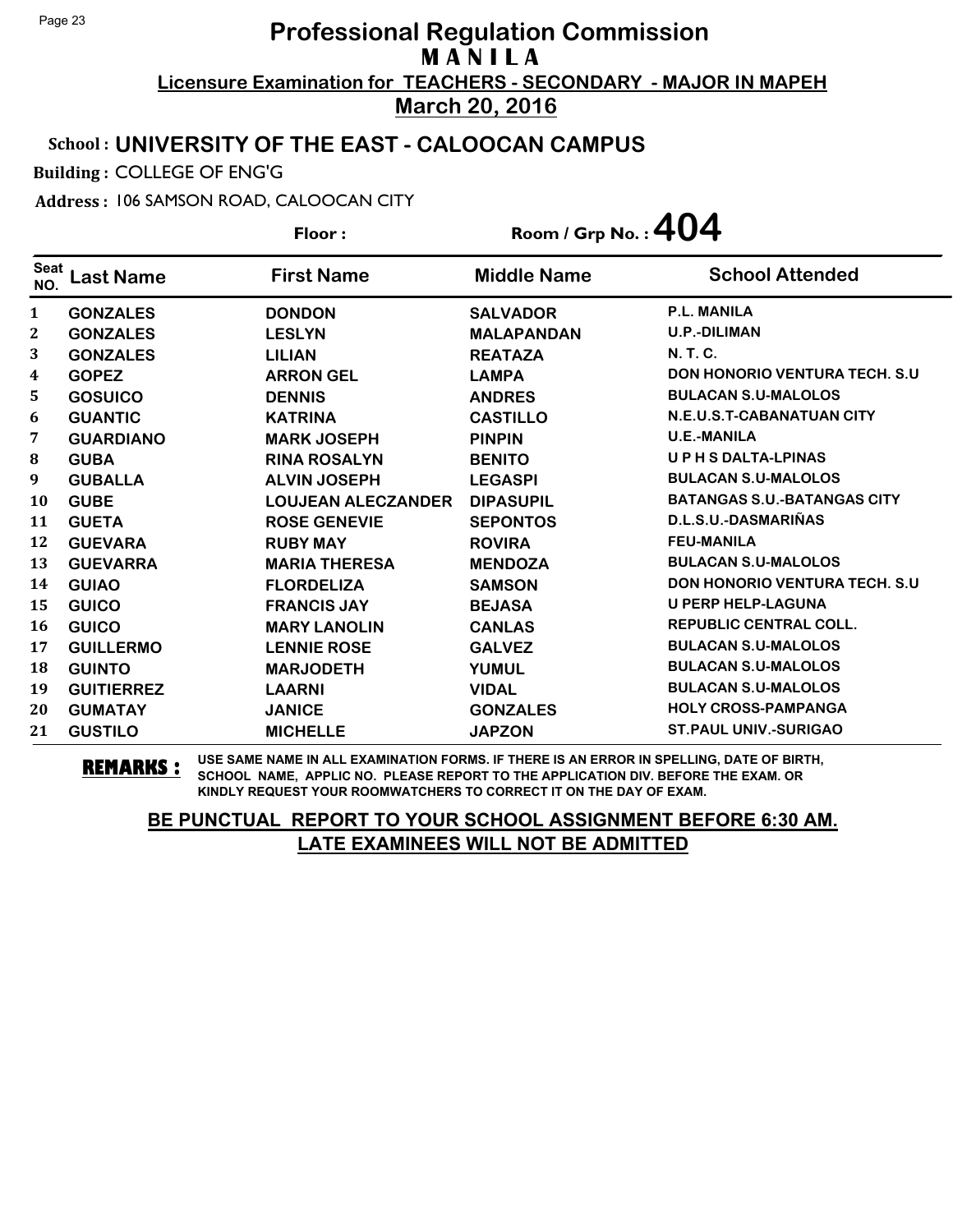### School : **UNIVERSITY OF THE EAST - CALOOCAN CAMPUS**

Building : COLLEGE OF ENG'G

Address : 106 SAMSON ROAD, CALOOCAN CITY

**Last Name First Name Middle Name** Floor : Room / Grp No. :**404** Seat <sup>seat</sup> Last Name First Name Middle Name School Attended **GONZALES DONDON SALVADOR P.L. MANILA GONZALES LESLYN MALAPANDAN U.P.-DILIMAN GONZALES LILIAN REATAZA N. T. C. GOPEZ ARRON GEL LAMPA DON HONORIO VENTURA TECH. S.U GOSUICO DENNIS ANDRES BULACAN S.U-MALOLOS GUANTIC KATRINA CASTILLO N.E.U.S.T-CABANATUAN CITY GUARDIANO MARK JOSEPH PINPIN U.E.-MANILA GUBA RINA ROSALYN BENITO U P H S DALTA-LPINAS GUBALLA ALVIN JOSEPH LEGASPI BULACAN S.U-MALOLOS GUBE LOUJEAN ALECZANDER DIPASUPIL BATANGAS S.U.-BATANGAS CITY GUETA ROSE GENEVIE SEPONTOS D.L.S.U.-DASMARIÑAS GUEVARA RUBY MAY ROVIRA FEU-MANILA GUEVARRA MARIA THERESA MENDOZA BULACAN S.U-MALOLOS GUIAO FLORDELIZA SAMSON DON HONORIO VENTURA TECH. S.U GUICO FRANCIS JAY BEJASA U PERP HELP-LAGUNA GUICO MARY LANOLIN CANLAS REPUBLIC CENTRAL COLL. GUILLERMO LENNIE ROSE GALVEZ BULACAN S.U-MALOLOS GUINTO MARJODETH YUMUL BULACAN S.U-MALOLOS GUITIERREZ LAARNI VIDAL BULACAN S.U-MALOLOS GUMATAY JANICE GONZALES HOLY CROSS-PAMPANGA GUSTILO MICHELLE JAPZON ST.PAUL UNIV.-SURIGAO**

**REMARKS :** USE SAME NAME IN ALL EXAMINATION FORMS. IF THERE IS AN ERROR IN SPELLING, DATE OF BIRTH, SCHOOL NAME, APPLIC NO. PLEASE REPORT TO THE APPLICATION DIV. BEFORE THE EXAM. OR KINDLY REQUEST YOUR ROOMWATCHERS TO CORRECT IT ON THE DAY OF EXAM.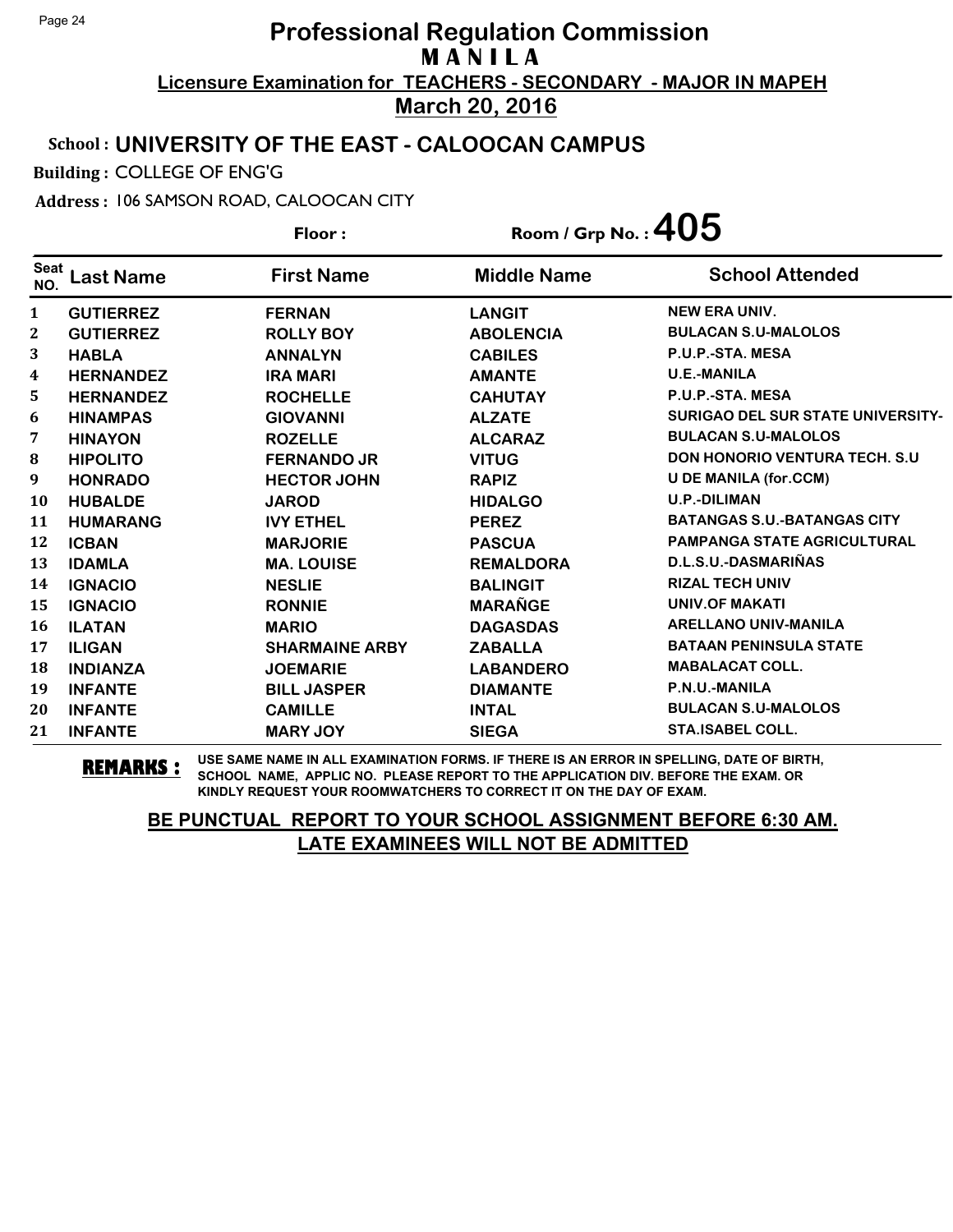### School : **UNIVERSITY OF THE EAST - CALOOCAN CAMPUS**

Building : COLLEGE OF ENG'G

Address : 106 SAMSON ROAD, CALOOCAN CITY

**Last Name First Name Middle Name** Floor : Room / Grp No. :**405** Seat <sup>seat</sup> Last Name First Name Middle Name School Attended **GUTIERREZ FERNAN LANGIT NEW ERA UNIV. GUTIERREZ ROLLY BOY ABOLENCIA BULACAN S.U-MALOLOS HABLA ANNALYN CABILES P.U.P.-STA. MESA HERNANDEZ IRA MARI AMANTE U.E.-MANILA HERNANDEZ ROCHELLE CAHUTAY P.U.P.-STA. MESA HINAMPAS GIOVANNI ALZATE SURIGAO DEL SUR STATE UNIVERSITY- HINAYON ROZELLE ALCARAZ BULACAN S.U-MALOLOS HIPOLITO FERNANDO JR VITUG DON HONORIO VENTURA TECH. S.U HONRADO HECTOR JOHN RAPIZ U DE MANILA (for.CCM) HUBALDE JAROD HIDALGO U.P.-DILIMAN HUMARANG IVY ETHEL PEREZ BATANGAS S.U.-BATANGAS CITY ICBAN MARJORIE PASCUA PAMPANGA STATE AGRICULTURAL IDAMLA MA. LOUISE REMALDORA D.L.S.U.-DASMARIÑAS IGNACIO NESLIE BALINGIT RIZAL TECH UNIV IGNACIO RONNIE MARAÑGE UNIV.OF MAKATI ILATAN MARIO DAGASDAS ARELLANO UNIV-MANILA ILIGAN SHARMAINE ARBY ZABALLA BATAAN PENINSULA STATE INDIANZA JOEMARIE LABANDERO MABALACAT COLL. INFANTE BILL JASPER DIAMANTE P.N.U.-MANILA INFANTE CAMILLE INTAL BULACAN S.U-MALOLOS INFANTE MARY JOY SIEGA STA.ISABEL COLL.**

**REMARKS :** USE SAME NAME IN ALL EXAMINATION FORMS. IF THERE IS AN ERROR IN SPELLING, DATE OF BIRTH, SCHOOL NAME, APPLIC NO. PLEASE REPORT TO THE APPLICATION DIV. BEFORE THE EXAM. OR KINDLY REQUEST YOUR ROOMWATCHERS TO CORRECT IT ON THE DAY OF EXAM.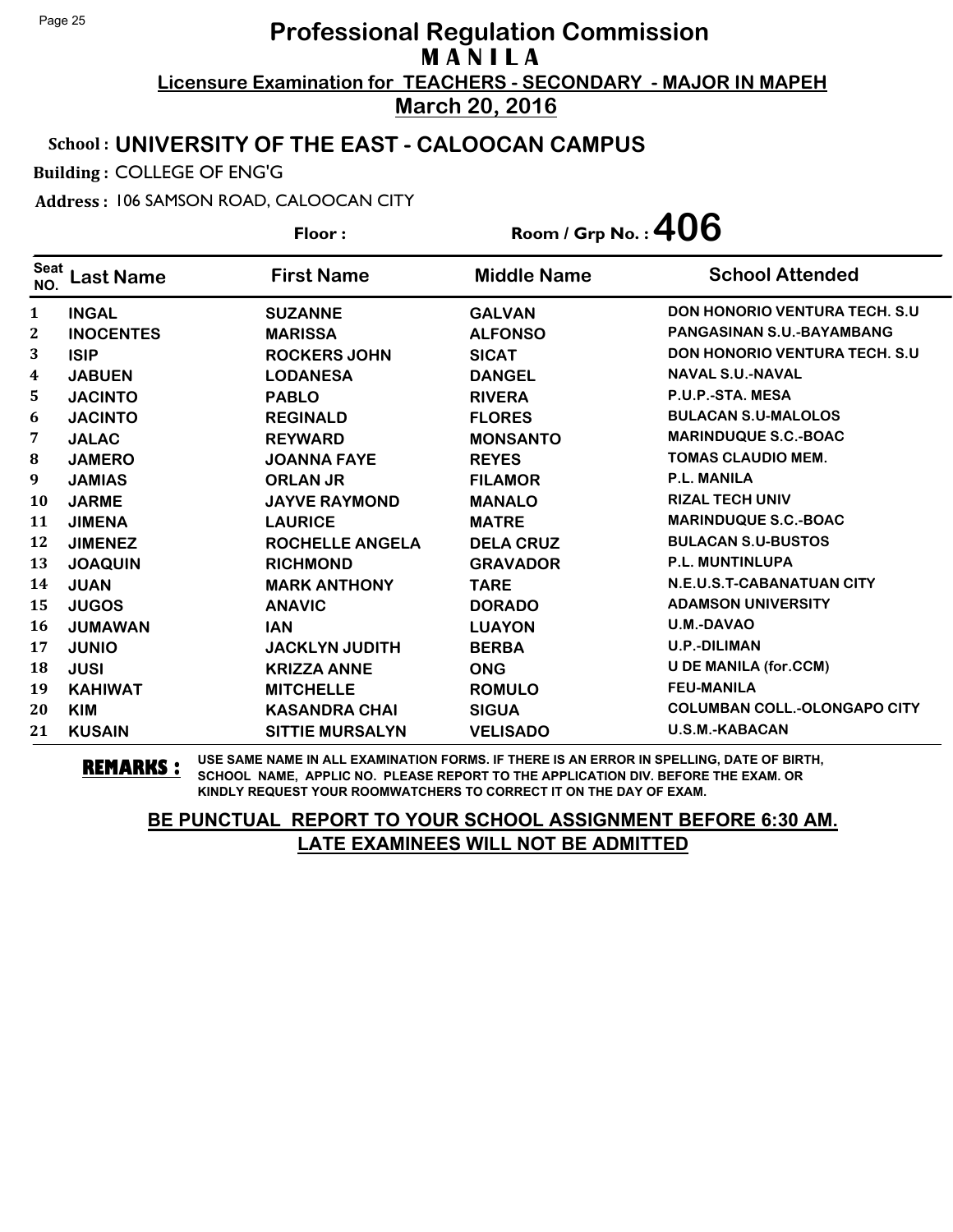### School : **UNIVERSITY OF THE EAST - CALOOCAN CAMPUS**

Building : COLLEGE OF ENG'G

Address : 106 SAMSON ROAD, CALOOCAN CITY

**Last Name First Name Middle Name** Floor : Room / Grp No. :**406** Seat <sup>seat</sup> Last Name First Name Middle Name School Attended **INGAL SUZANNE GALVAN DON HONORIO VENTURA TECH. S.U INOCENTES MARISSA ALFONSO PANGASINAN S.U.-BAYAMBANG ISIP ROCKERS JOHN SICAT DON HONORIO VENTURA TECH. S.U JABUEN LODANESA DANGEL NAVAL S.U.-NAVAL JACINTO PABLO RIVERA P.U.P.-STA. MESA JACINTO REGINALD FLORES BULACAN S.U-MALOLOS JALAC REYWARD MONSANTO MARINDUQUE S.C.-BOAC JAMERO JOANNA FAYE REYES TOMAS CLAUDIO MEM. JAMIAS ORLAN JR FILAMOR P.L. MANILA JARME JAYVE RAYMOND MANALO RIZAL TECH UNIV JIMENA LAURICE MATRE MARINDUQUE S.C.-BOAC JIMENEZ ROCHELLE ANGELA DELA CRUZ BULACAN S.U-BUSTOS JOAQUIN RICHMOND GRAVADOR P.L. MUNTINLUPA JUAN MARK ANTHONY TARE N.E.U.S.T-CABANATUAN CITY JUGOS ANAVIC DORADO ADAMSON UNIVERSITY JUMAWAN IAN LUAYON U.M.-DAVAO JUNIO JACKLYN JUDITH BERBA U.P.-DILIMAN JUSI KRIZZA ANNE ONG U DE MANILA (for.CCM) KAHIWAT MITCHELLE ROMULO FEU-MANILA KIM KASANDRA CHAI SIGUA COLUMBAN COLL.-OLONGAPO CITY KUSAIN SITTIE MURSALYN VELISADO U.S.M.-KABACAN**

**REMARKS :** USE SAME NAME IN ALL EXAMINATION FORMS. IF THERE IS AN ERROR IN SPELLING, DATE OF BIRTH, SCHOOL NAME, APPLIC NO. PLEASE REPORT TO THE APPLICATION DIV. BEFORE THE EXAM. OR KINDLY REQUEST YOUR ROOMWATCHERS TO CORRECT IT ON THE DAY OF EXAM.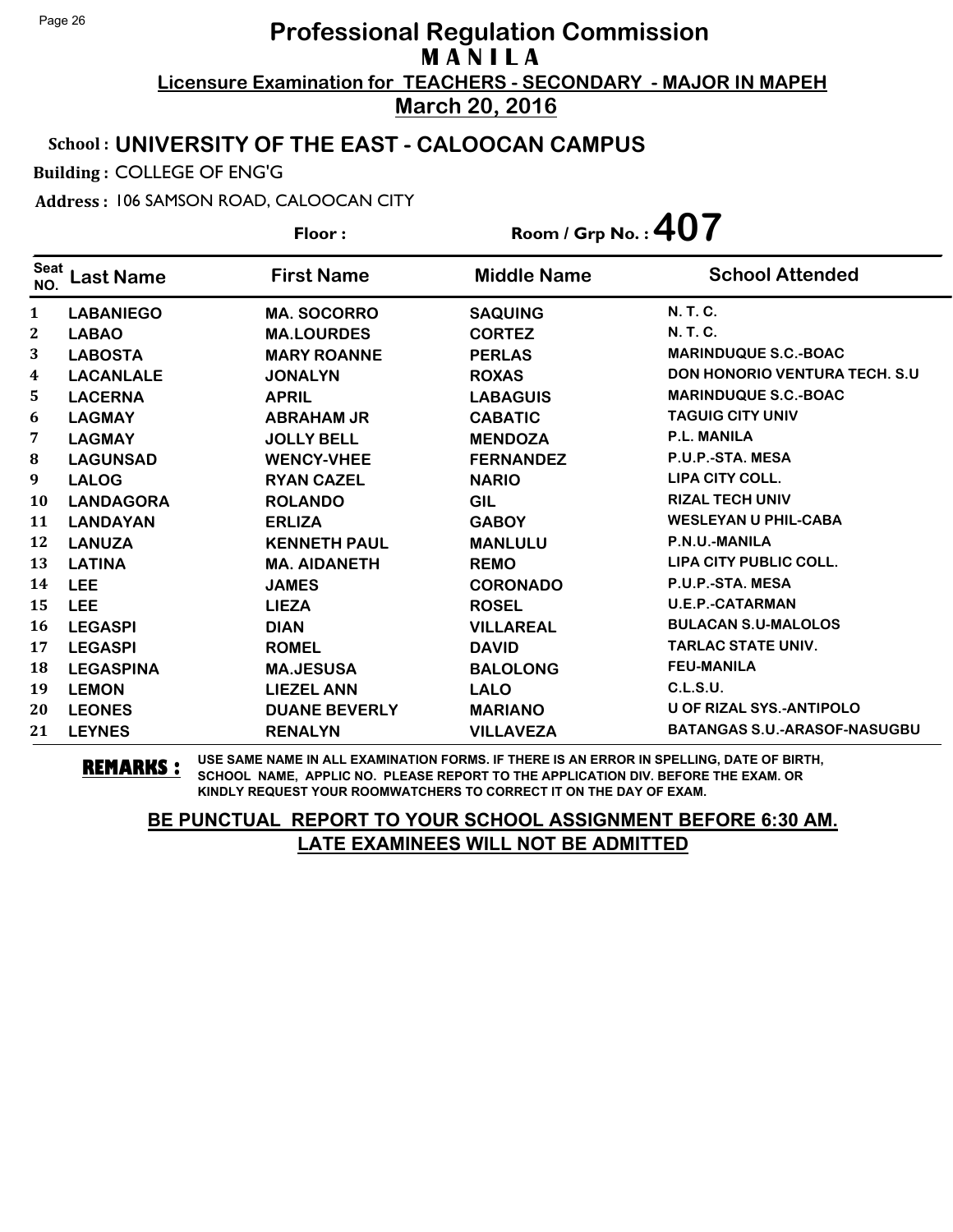### School : **UNIVERSITY OF THE EAST - CALOOCAN CAMPUS**

Building : COLLEGE OF ENG'G

Address : 106 SAMSON ROAD, CALOOCAN CITY

|                    |                  | Floor:               | Room / Grp No. : $407$ |                                       |
|--------------------|------------------|----------------------|------------------------|---------------------------------------|
| <b>Seat</b><br>NO. | <b>Last Name</b> | <b>First Name</b>    | <b>Middle Name</b>     | <b>School Attended</b>                |
| 1                  | <b>LABANIEGO</b> | <b>MA. SOCORRO</b>   | <b>SAQUING</b>         | <b>N. T. C.</b>                       |
| 2                  | <b>LABAO</b>     | <b>MA.LOURDES</b>    | <b>CORTEZ</b>          | N. T. C.                              |
| 3                  | <b>LABOSTA</b>   | <b>MARY ROANNE</b>   | <b>PERLAS</b>          | <b>MARINDUQUE S.C.-BOAC</b>           |
| 4                  | <b>LACANLALE</b> | <b>JONALYN</b>       | <b>ROXAS</b>           | <b>DON HONORIO VENTURA TECH. S.U.</b> |
| 5                  | <b>LACERNA</b>   | <b>APRIL</b>         | <b>LABAGUIS</b>        | <b>MARINDUQUE S.C.-BOAC</b>           |
| 6                  | <b>LAGMAY</b>    | <b>ABRAHAM JR</b>    | <b>CABATIC</b>         | <b>TAGUIG CITY UNIV</b>               |
| 7                  | <b>LAGMAY</b>    | <b>JOLLY BELL</b>    | <b>MENDOZA</b>         | <b>P.L. MANILA</b>                    |
| 8                  | <b>LAGUNSAD</b>  | <b>WENCY-VHEE</b>    | <b>FERNANDEZ</b>       | P.U.P.-STA. MESA                      |
| 9                  | <b>LALOG</b>     | <b>RYAN CAZEL</b>    | <b>NARIO</b>           | <b>LIPA CITY COLL.</b>                |
| <b>10</b>          | <b>LANDAGORA</b> | <b>ROLANDO</b>       | GIL                    | <b>RIZAL TECH UNIV</b>                |
| 11                 | <b>LANDAYAN</b>  | <b>ERLIZA</b>        | <b>GABOY</b>           | <b>WESLEYAN U PHIL-CABA</b>           |
| 12                 | <b>LANUZA</b>    | <b>KENNETH PAUL</b>  | <b>MANLULU</b>         | P.N.U.-MANILA                         |
| 13                 | <b>LATINA</b>    | <b>MA. AIDANETH</b>  | <b>REMO</b>            | <b>LIPA CITY PUBLIC COLL.</b>         |
| 14                 | <b>LEE</b>       | <b>JAMES</b>         | <b>CORONADO</b>        | P.U.P.-STA. MESA                      |
| 15                 | <b>LEE</b>       | <b>LIEZA</b>         | <b>ROSEL</b>           | <b>U.E.P.-CATARMAN</b>                |
| 16                 | <b>LEGASPI</b>   | <b>DIAN</b>          | <b>VILLAREAL</b>       | <b>BULACAN S.U-MALOLOS</b>            |
| 17                 | <b>LEGASPI</b>   | <b>ROMEL</b>         | <b>DAVID</b>           | <b>TARLAC STATE UNIV.</b>             |
| 18                 | <b>LEGASPINA</b> | <b>MA.JESUSA</b>     | <b>BALOLONG</b>        | <b>FEU-MANILA</b>                     |
| 19                 | <b>LEMON</b>     | <b>LIEZEL ANN</b>    | <b>LALO</b>            | C.L.S.U.                              |
| 20                 | <b>LEONES</b>    | <b>DUANE BEVERLY</b> | <b>MARIANO</b>         | <b>U OF RIZAL SYS.-ANTIPOLO</b>       |
| 21                 | <b>LEYNES</b>    | <b>RENALYN</b>       | <b>VILLAVEZA</b>       | <b>BATANGAS S.U.-ARASOF-NASUGBU</b>   |

**REMARKS :** USE SAME NAME IN ALL EXAMINATION FORMS. IF THERE IS AN ERROR IN SPELLING, DATE OF BIRTH, SCHOOL NAME, APPLIC NO. PLEASE REPORT TO THE APPLICATION DIV. BEFORE THE EXAM. OR KINDLY REQUEST YOUR ROOMWATCHERS TO CORRECT IT ON THE DAY OF EXAM.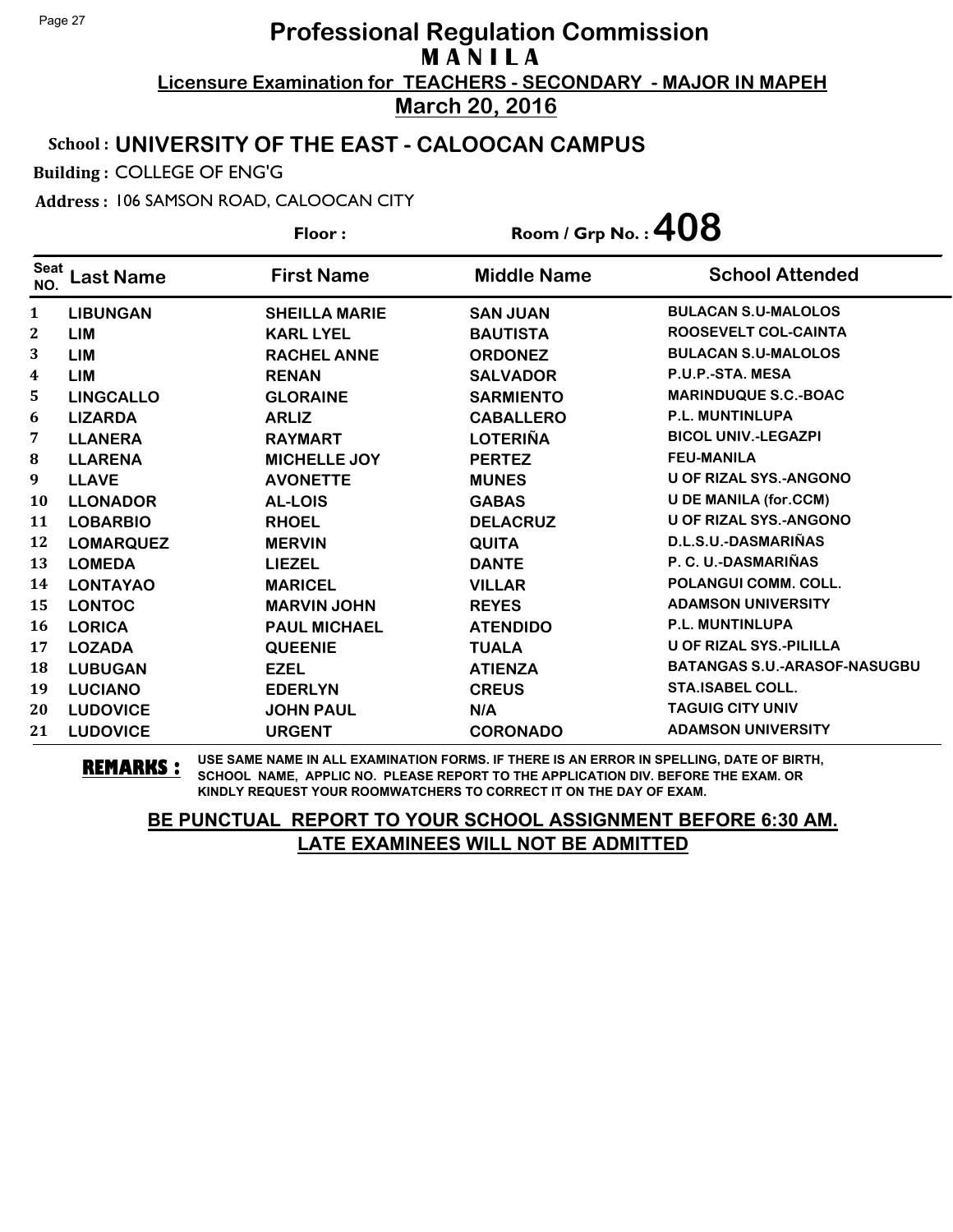#### School : **UNIVERSITY OF THE EAST - CALOOCAN CAMPUS**

Building : COLLEGE OF ENG'G

Address : 106 SAMSON ROAD, CALOOCAN CITY

**Last Name First Name Middle Name** Floor : Room / Grp No. :**408** Seat <sup>seat</sup> Last Name First Name Middle Name School Attended **LIBUNGAN SHEILLA MARIE SAN JUAN BULACAN S.U-MALOLOS LIM KARL LYEL BAUTISTA ROOSEVELT COL-CAINTA LIM RACHEL ANNE ORDONEZ BULACAN S.U-MALOLOS LIM RENAN SALVADOR P.U.P.-STA. MESA LINGCALLO GLORAINE SARMIENTO MARINDUQUE S.C.-BOAC LIZARDA ARLIZ CABALLERO P.L. MUNTINLUPA LLANERA RAYMART LOTERIÑA BICOL UNIV.-LEGAZPI LLARENA MICHELLE JOY PERTEZ FEU-MANILA LLAVE AVONETTE MUNES U OF RIZAL SYS.-ANGONO LLONADOR AL-LOIS GABAS U DE MANILA (for.CCM) LOBARBIO RHOEL DELACRUZ U OF RIZAL SYS.-ANGONO LOMARQUEZ MERVIN QUITA D.L.S.U.-DASMARIÑAS LOMEDA LIEZEL DANTE P. C. U.-DASMARIÑAS LONTAYAO MARICEL VILLAR POLANGUI COMM. COLL. LONTOC MARVIN JOHN REYES ADAMSON UNIVERSITY LORICA PAUL MICHAEL ATENDIDO P.L. MUNTINLUPA LOZADA QUEENIE TUALA U OF RIZAL SYS.-PILILLA LUBUGAN EZEL ATIENZA BATANGAS S.U.-ARASOF-NASUGBU LUCIANO EDERLYN CREUS STA.ISABEL COLL. LUDOVICE JOHN PAUL N/A TAGUIG CITY UNIV LUDOVICE URGENT CORONADO ADAMSON UNIVERSITY**

**REMARKS :** USE SAME NAME IN ALL EXAMINATION FORMS. IF THERE IS AN ERROR IN SPELLING, DATE OF BIRTH, SCHOOL NAME, APPLIC NO. PLEASE REPORT TO THE APPLICATION DIV. BEFORE THE EXAM. OR KINDLY REQUEST YOUR ROOMWATCHERS TO CORRECT IT ON THE DAY OF EXAM.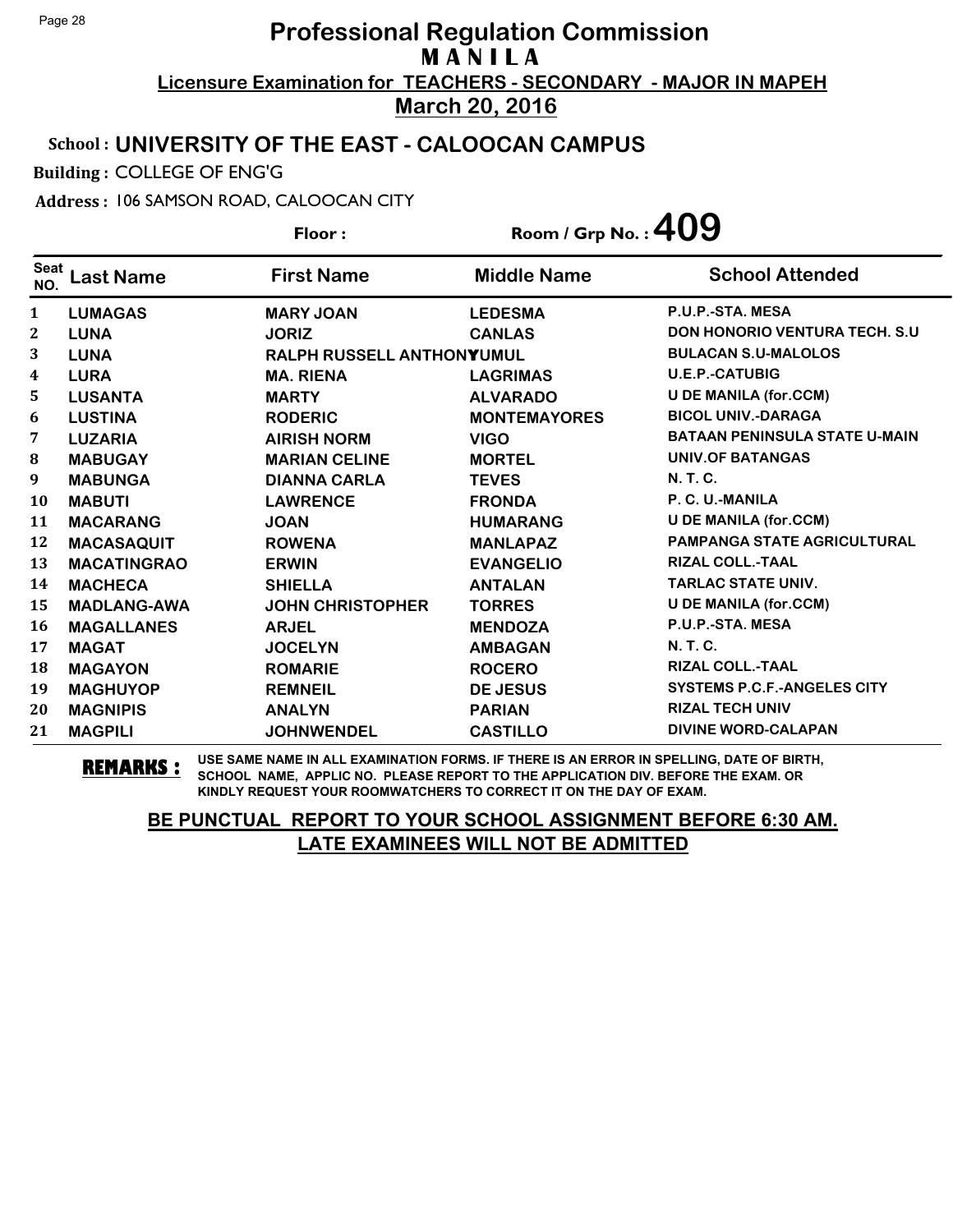### School : **UNIVERSITY OF THE EAST - CALOOCAN CAMPUS**

Building : COLLEGE OF ENG'G

Address : 106 SAMSON ROAD, CALOOCAN CITY

**Last Name First Name Middle Name** Floor : Room / Grp No. :**409** Seat <sup>seat</sup> Last Name First Name Middle Name School Attended **LUMAGAS MARY JOAN LEDESMA P.U.P.-STA. MESA LUNA JORIZ CANLAS DON HONORIO VENTURA TECH. S.U LUNA RALPH RUSSELL ANTHONYYUMUL BULACAN S.U-MALOLOS LURA MA. RIENA LAGRIMAS U.E.P.-CATUBIG LUSANTA MARTY ALVARADO U DE MANILA (for.CCM) LUSTINA RODERIC MONTEMAYORES BICOL UNIV.-DARAGA LUZARIA AIRISH NORM VIGO BATAAN PENINSULA STATE U-MAIN MABUGAY MARIAN CELINE MORTEL UNIV.OF BATANGAS MABUNGA DIANNA CARLA TEVES N. T. C. MABUTI LAWRENCE FRONDA P. C. U.-MANILA MACARANG JOAN HUMARANG U DE MANILA (for.CCM) MACASAQUIT ROWENA MANLAPAZ PAMPANGA STATE AGRICULTURAL MACATINGRAO ERWIN EVANGELIO RIZAL COLL.-TAAL MACHECA SHIELLA ANTALAN TARLAC STATE UNIV. MADLANG-AWA JOHN CHRISTOPHER TORRES U DE MANILA (for.CCM) MAGALLANES ARJEL MENDOZA P.U.P.-STA. MESA MAGAT JOCELYN AMBAGAN N. T. C. MAGAYON ROMARIE ROCERO RIZAL COLL.-TAAL MAGHUYOP REMNEIL DE JESUS SYSTEMS P.C.F.-ANGELES CITY MAGNIPIS ANALYN PARIAN RIZAL TECH UNIV MAGPILI JOHNWENDEL CASTILLO DIVINE WORD-CALAPAN**

**REMARKS :** USE SAME NAME IN ALL EXAMINATION FORMS. IF THERE IS AN ERROR IN SPELLING, DATE OF BIRTH, SCHOOL NAME, APPLIC NO. PLEASE REPORT TO THE APPLICATION DIV. BEFORE THE EXAM. OR KINDLY REQUEST YOUR ROOMWATCHERS TO CORRECT IT ON THE DAY OF EXAM.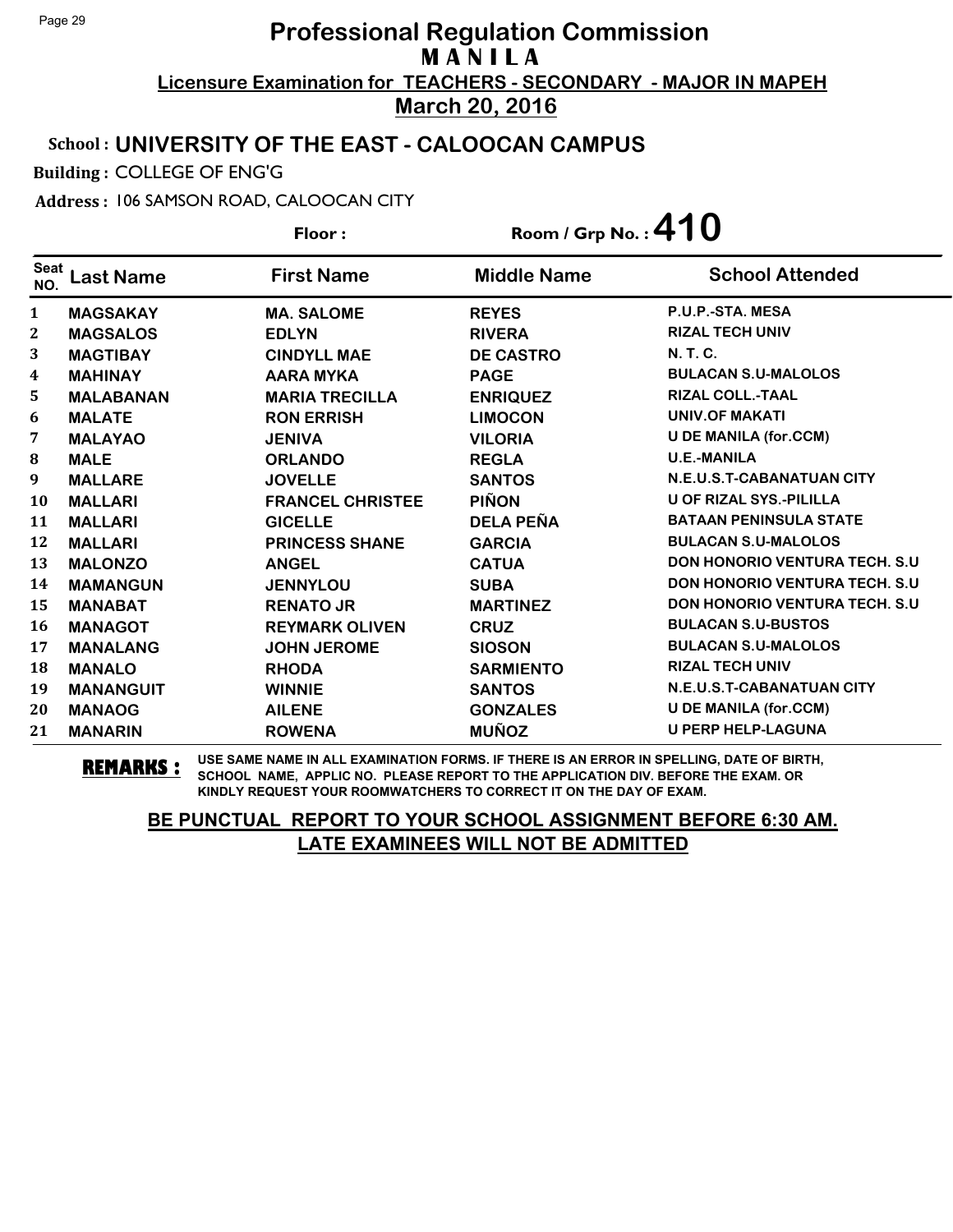### School : **UNIVERSITY OF THE EAST - CALOOCAN CAMPUS**

Building : COLLEGE OF ENG'G

Address : 106 SAMSON ROAD, CALOOCAN CITY

**Last Name First Name Middle Name** Floor : Room / Grp No. :**410** Seat <sup>seat</sup> Last Name First Name Middle Name School Attended **MAGSAKAY MA. SALOME REYES P.U.P.-STA. MESA MAGSALOS EDLYN RIVERA RIZAL TECH UNIV MAGTIBAY CINDYLL MAE DE CASTRO N. T. C. MAHINAY AARA MYKA PAGE BULACAN S.U-MALOLOS MALABANAN MARIA TRECILLA ENRIQUEZ RIZAL COLL.-TAAL MALATE RON ERRISH LIMOCON UNIV.OF MAKATI MALAYAO JENIVA VILORIA U DE MANILA (for.CCM) MALE ORLANDO REGLA U.E.-MANILA MALLARE JOVELLE SANTOS N.E.U.S.T-CABANATUAN CITY MALLARI FRANCEL CHRISTEE PIÑON U OF RIZAL SYS.-PILILLA MALLARI GICELLE DELA PEÑA BATAAN PENINSULA STATE MALLARI PRINCESS SHANE GARCIA BULACAN S.U-MALOLOS MALONZO ANGEL CATUA DON HONORIO VENTURA TECH. S.U MAMANGUN JENNYLOU SUBA DON HONORIO VENTURA TECH. S.U MANABAT RENATO JR MARTINEZ DON HONORIO VENTURA TECH. S.U MANAGOT REYMARK OLIVEN CRUZ BULACAN S.U-BUSTOS MANALANG JOHN JEROME SIOSON BULACAN S.U-MALOLOS MANALO RHODA SARMIENTO RIZAL TECH UNIV MANANGUIT WINNIE SANTOS N.E.U.S.T-CABANATUAN CITY MANAOG AILENE GONZALES U DE MANILA (for.CCM) MANARIN ROWENA MUÑOZ U PERP HELP-LAGUNA**

**REMARKS :** USE SAME NAME IN ALL EXAMINATION FORMS. IF THERE IS AN ERROR IN SPELLING, DATE OF BIRTH, SCHOOL NAME, APPLIC NO. PLEASE REPORT TO THE APPLICATION DIV. BEFORE THE EXAM. OR KINDLY REQUEST YOUR ROOMWATCHERS TO CORRECT IT ON THE DAY OF EXAM.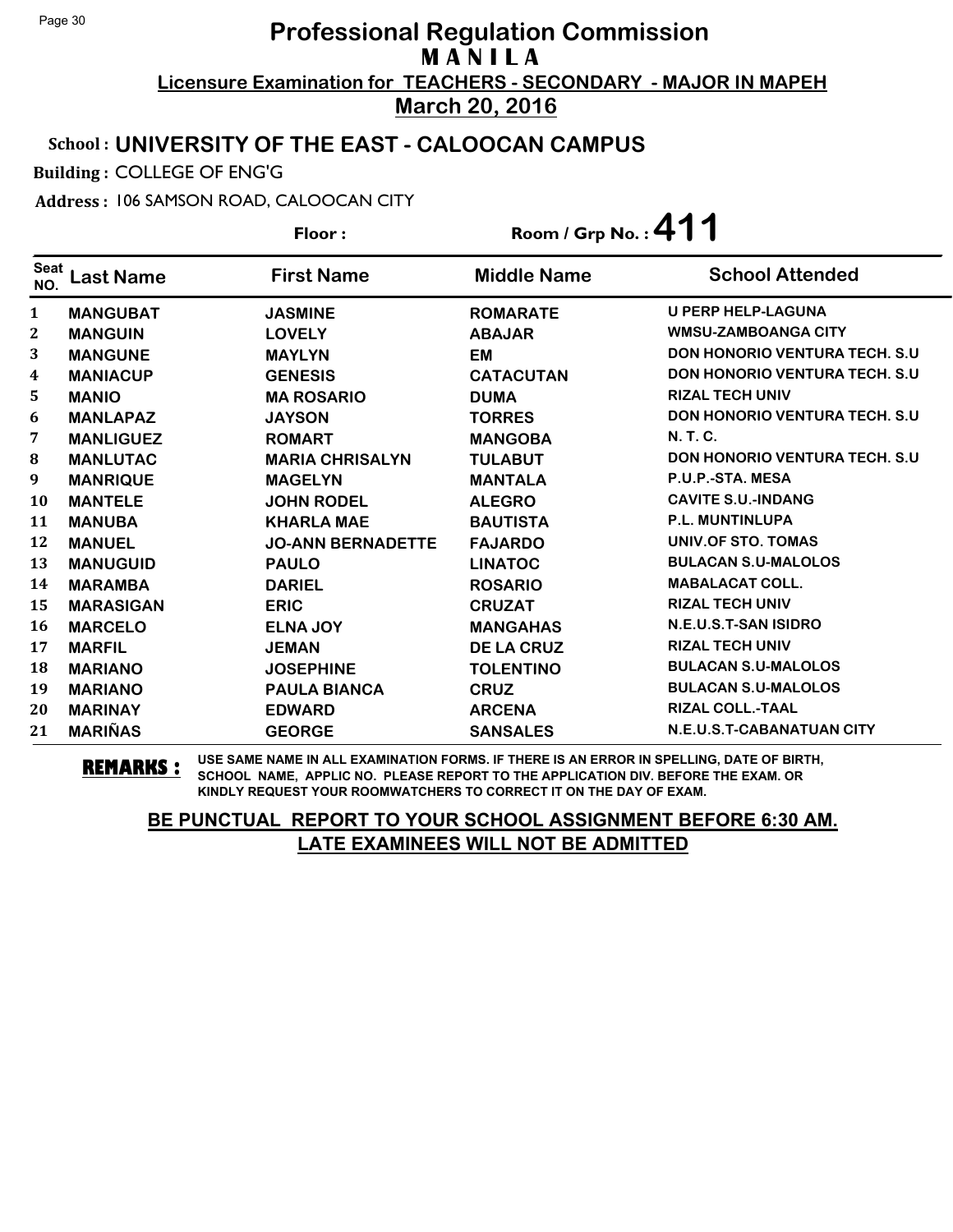### School : **UNIVERSITY OF THE EAST - CALOOCAN CAMPUS**

Building : COLLEGE OF ENG'G

Address : 106 SAMSON ROAD, CALOOCAN CITY

**Last Name First Name Middle Name** Floor : Room / Grp No. :**411** Seat <sup>seat</sup> Last Name First Name Middle Name School Attended **MANGUBAT JASMINE ROMARATE U PERP HELP-LAGUNA MANGUIN LOVELY ABAJAR WMSU-ZAMBOANGA CITY MANGUNE MAYLYN EM DON HONORIO VENTURA TECH. S.U MANIACUP GENESIS CATACUTAN DON HONORIO VENTURA TECH. S.U MANIO MA ROSARIO DUMA RIZAL TECH UNIV MANLAPAZ JAYSON TORRES DON HONORIO VENTURA TECH. S.U MANLIGUEZ ROMART MANGOBA N. T. C. MANLUTAC MARIA CHRISALYN TULABUT DON HONORIO VENTURA TECH. S.U MANRIQUE MAGELYN MANTALA P.U.P.-STA. MESA MANTELE JOHN RODEL ALEGRO CAVITE S.U.-INDANG MANUBA KHARLA MAE BAUTISTA P.L. MUNTINLUPA MANUEL JO-ANN BERNADETTE FAJARDO UNIV.OF STO. TOMAS MANUGUID PAULO LINATOC BULACAN S.U-MALOLOS MARAMBA DARIEL ROSARIO MABALACAT COLL. MARASIGAN ERIC CRUZAT RIZAL TECH UNIV MARCELO ELNA JOY MANGAHAS N.E.U.S.T-SAN ISIDRO MARFIL JEMAN DE LA CRUZ RIZAL TECH UNIV MARIANO JOSEPHINE TOLENTINO BULACAN S.U-MALOLOS MARIANO PAULA BIANCA CRUZ BULACAN S.U-MALOLOS MARINAY EDWARD ARCENA RIZAL COLL.-TAAL MARIÑAS GEORGE SANSALES N.E.U.S.T-CABANATUAN CITY**

**REMARKS :** USE SAME NAME IN ALL EXAMINATION FORMS. IF THERE IS AN ERROR IN SPELLING, DATE OF BIRTH, SCHOOL NAME, APPLIC NO. PLEASE REPORT TO THE APPLICATION DIV. BEFORE THE EXAM. OR KINDLY REQUEST YOUR ROOMWATCHERS TO CORRECT IT ON THE DAY OF EXAM.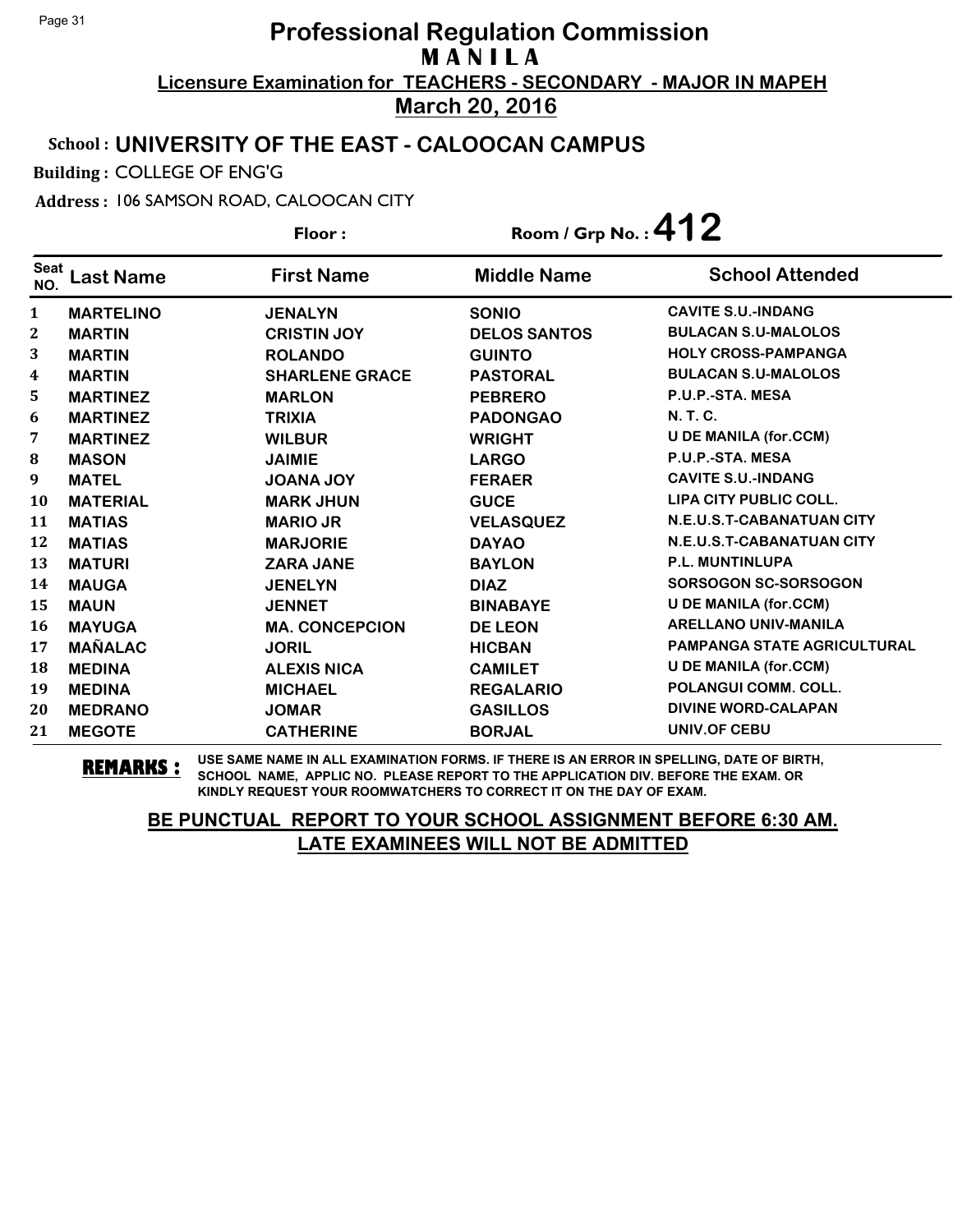### School : **UNIVERSITY OF THE EAST - CALOOCAN CAMPUS**

Building : COLLEGE OF ENG'G

Address : 106 SAMSON ROAD, CALOOCAN CITY

**Last Name First Name Middle Name** Floor : Room / Grp No. :**412** Seat <sup>seat</sup> Last Name First Name Middle Name School Attended **MARTELINO JENALYN SONIO CAVITE S.U.-INDANG MARTIN CRISTIN JOY DELOS SANTOS BULACAN S.U-MALOLOS MARTIN ROLANDO GUINTO HOLY CROSS-PAMPANGA MARTIN SHARLENE GRACE PASTORAL BULACAN S.U-MALOLOS MARTINEZ MARLON PEBRERO P.U.P.-STA. MESA MARTINEZ TRIXIA PADONGAO N. T. C. MARTINEZ WILBUR WRIGHT U DE MANILA (for.CCM) MASON JAIMIE LARGO P.U.P.-STA. MESA MATEL JOANA JOY FERAER CAVITE S.U.-INDANG MATERIAL MARK JHUN GUCE LIPA CITY PUBLIC COLL. MATIAS MARIO JR VELASQUEZ N.E.U.S.T-CABANATUAN CITY MATIAS MARJORIE DAYAO N.E.U.S.T-CABANATUAN CITY MATURI ZARA JANE BAYLON P.L. MUNTINLUPA MAUGA JENELYN DIAZ SORSOGON SC-SORSOGON MAUN JENNET BINABAYE U DE MANILA (for.CCM) MAYUGA MA. CONCEPCION DE LEON ARELLANO UNIV-MANILA MAÑALAC JORIL HICBAN PAMPANGA STATE AGRICULTURAL MEDINA ALEXIS NICA CAMILET U DE MANILA (for.CCM) MEDINA MICHAEL REGALARIO POLANGUI COMM. COLL. MEDRANO JOMAR GASILLOS DIVINE WORD-CALAPAN MEGOTE CATHERINE BORJAL UNIV.OF CEBU**

**REMARKS :** USE SAME NAME IN ALL EXAMINATION FORMS. IF THERE IS AN ERROR IN SPELLING, DATE OF BIRTH, SCHOOL NAME, APPLIC NO. PLEASE REPORT TO THE APPLICATION DIV. BEFORE THE EXAM. OR KINDLY REQUEST YOUR ROOMWATCHERS TO CORRECT IT ON THE DAY OF EXAM.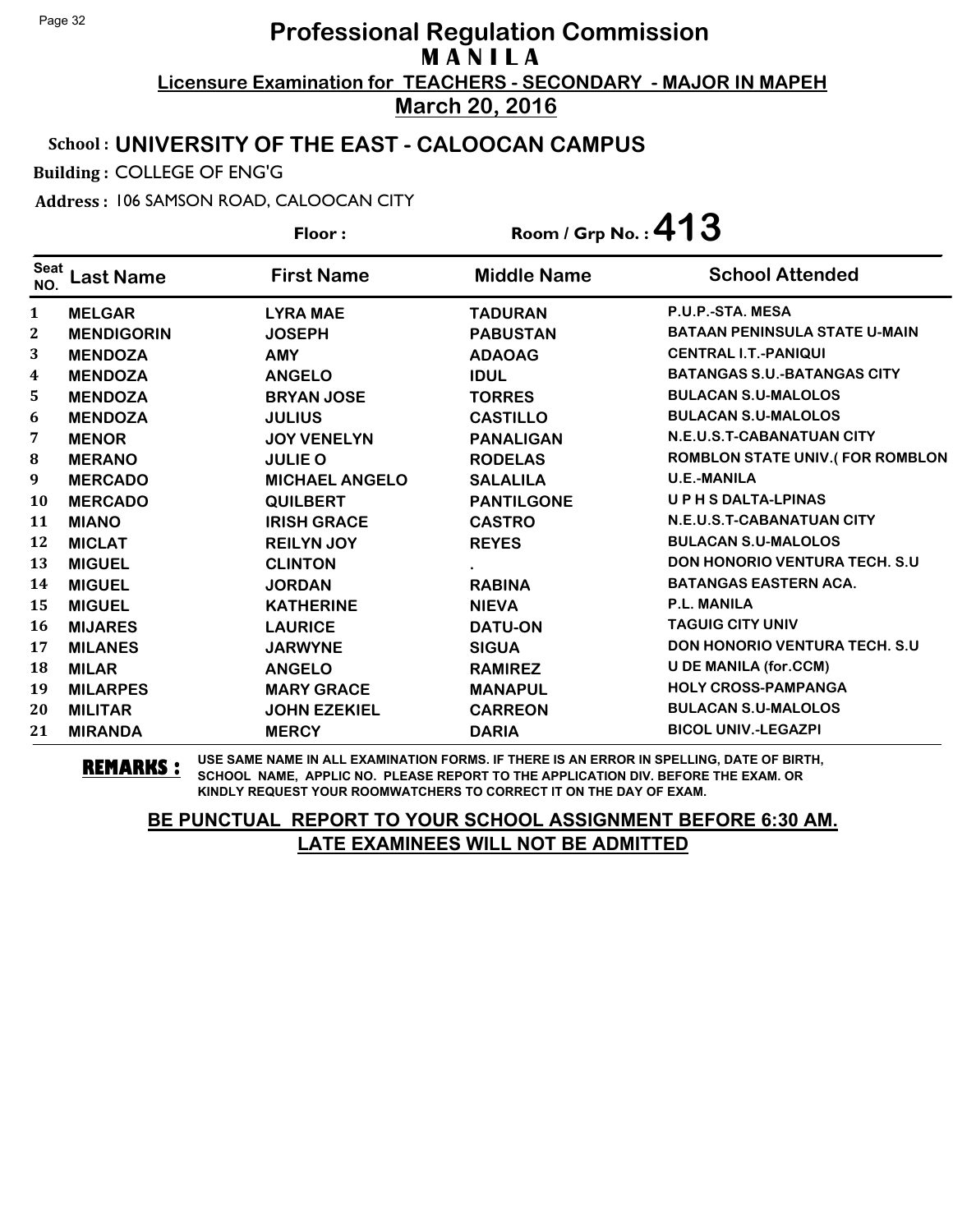### School : **UNIVERSITY OF THE EAST - CALOOCAN CAMPUS**

Building : COLLEGE OF ENG'G

Address : 106 SAMSON ROAD, CALOOCAN CITY

**Last Name First Name Middle Name** Floor : Room / Grp No. :**413** Seat <sup>seat</sup> Last Name First Name Middle Name School Attended **MELGAR LYRA MAE TADURAN P.U.P.-STA. MESA MENDIGORIN JOSEPH PABUSTAN BATAAN PENINSULA STATE U-MAIN MENDOZA AMY ADAOAG CENTRAL I.T.-PANIQUI MENDOZA ANGELO IDUL BATANGAS S.U.-BATANGAS CITY MENDOZA BRYAN JOSE TORRES BULACAN S.U-MALOLOS MENDOZA JULIUS CASTILLO BULACAN S.U-MALOLOS MENOR JOY VENELYN PANALIGAN N.E.U.S.T-CABANATUAN CITY MERANO JULIE O RODELAS ROMBLON STATE UNIV.( FOR ROMBLON MERCADO MICHAEL ANGELO SALALILA U.E.-MANILA MERCADO QUILBERT PANTILGONE U P H S DALTA-LPINAS MIANO IRISH GRACE CASTRO N.E.U.S.T-CABANATUAN CITY MICLAT REILYN JOY REYES BULACAN S.U-MALOLOS MIGUEL CLINTON . DON HONORIO VENTURA TECH. S.U MIGUEL JORDAN RABINA BATANGAS EASTERN ACA. MIGUEL KATHERINE NIEVA P.L. MANILA MIJARES LAURICE DATU-ON TAGUIG CITY UNIV MILANES JARWYNE SIGUA DON HONORIO VENTURA TECH. S.U MILAR ANGELO RAMIREZ U DE MANILA (for.CCM) MILARPES MARY GRACE MANAPUL HOLY CROSS-PAMPANGA MILITAR JOHN EZEKIEL CARREON BULACAN S.U-MALOLOS MIRANDA MERCY DARIA BICOL UNIV.-LEGAZPI**

**REMARKS :** USE SAME NAME IN ALL EXAMINATION FORMS. IF THERE IS AN ERROR IN SPELLING, DATE OF BIRTH, SCHOOL NAME, APPLIC NO. PLEASE REPORT TO THE APPLICATION DIV. BEFORE THE EXAM. OR KINDLY REQUEST YOUR ROOMWATCHERS TO CORRECT IT ON THE DAY OF EXAM.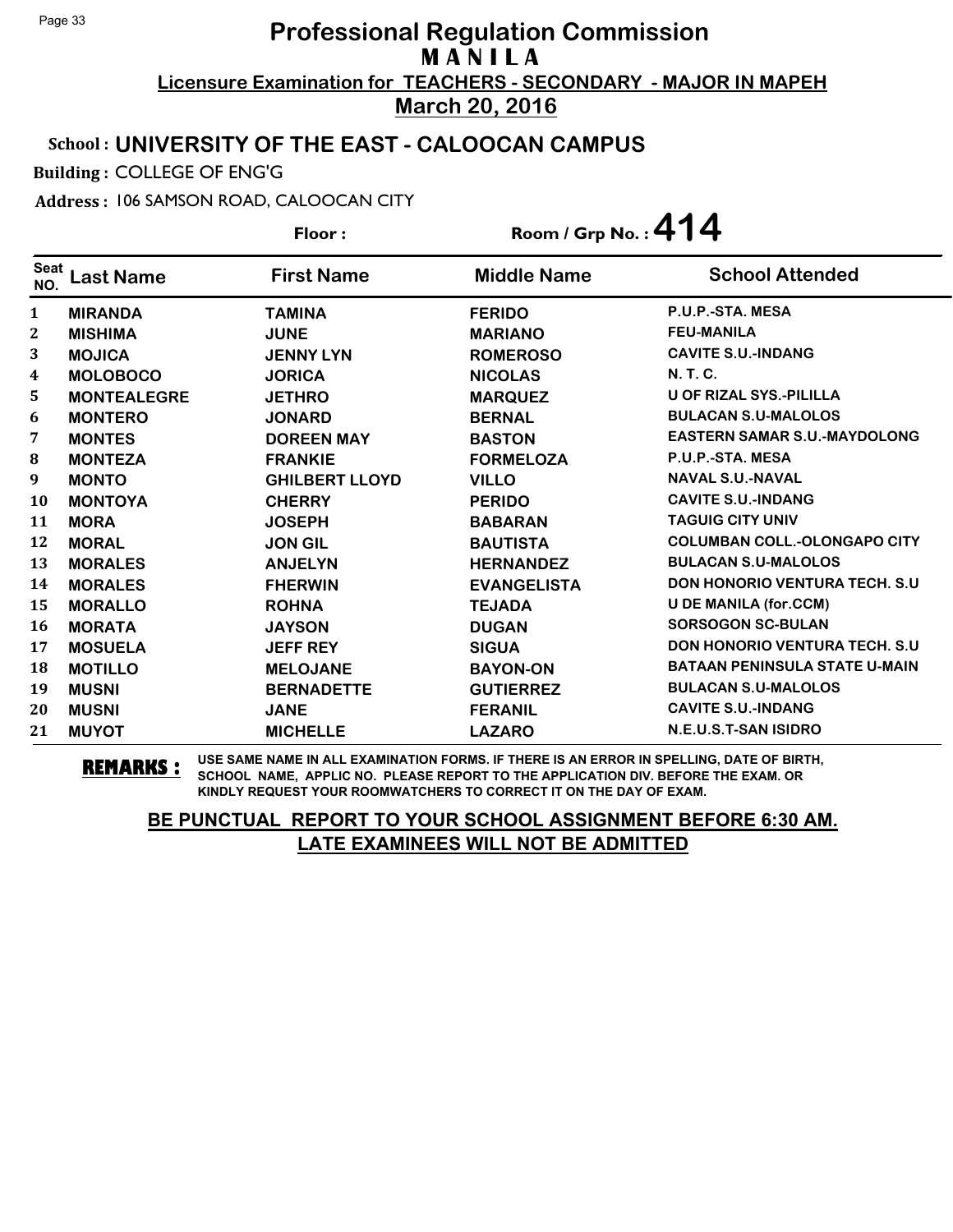### School : **UNIVERSITY OF THE EAST - CALOOCAN CAMPUS**

Building : COLLEGE OF ENG'G

Address : 106 SAMSON ROAD, CALOOCAN CITY

**Last Name First Name Middle Name** Floor : Room / Grp No. :**414** Seat <sup>seat</sup> Last Name First Name Middle Name School Attended **MIRANDA TAMINA FERIDO P.U.P.-STA. MESA MISHIMA JUNE MARIANO FEU-MANILA MOJICA JENNY LYN ROMEROSO CAVITE S.U.-INDANG MOLOBOCO JORICA NICOLAS N. T. C. MONTEALEGRE JETHRO MARQUEZ U OF RIZAL SYS.-PILILLA MONTERO JONARD BERNAL BULACAN S.U-MALOLOS MONTES DOREEN MAY BASTON EASTERN SAMAR S.U.-MAYDOLONG MONTEZA FRANKIE FORMELOZA P.U.P.-STA. MESA MONTO GHILBERT LLOYD VILLO NAVAL S.U.-NAVAL MONTOYA CHERRY PERIDO CAVITE S.U.-INDANG MORA JOSEPH BABARAN TAGUIG CITY UNIV MORAL JON GIL BAUTISTA COLUMBAN COLL.-OLONGAPO CITY MORALES ANJELYN HERNANDEZ BULACAN S.U-MALOLOS MORALES FHERWIN EVANGELISTA DON HONORIO VENTURA TECH. S.U MORALLO ROHNA TEJADA U DE MANILA (for.CCM) MORATA JAYSON DUGAN SORSOGON SC-BULAN MOSUELA JEFF REY SIGUA DON HONORIO VENTURA TECH. S.U MOTILLO MELOJANE BAYON-ON BATAAN PENINSULA STATE U-MAIN MUSNI BERNADETTE GUTIERREZ BULACAN S.U-MALOLOS MUSNI JANE FERANIL CAVITE S.U.-INDANG MUYOT MICHELLE LAZARO N.E.U.S.T-SAN ISIDRO**

**REMARKS :** USE SAME NAME IN ALL EXAMINATION FORMS. IF THERE IS AN ERROR IN SPELLING, DATE OF BIRTH, SCHOOL NAME, APPLIC NO. PLEASE REPORT TO THE APPLICATION DIV. BEFORE THE EXAM. OR KINDLY REQUEST YOUR ROOMWATCHERS TO CORRECT IT ON THE DAY OF EXAM.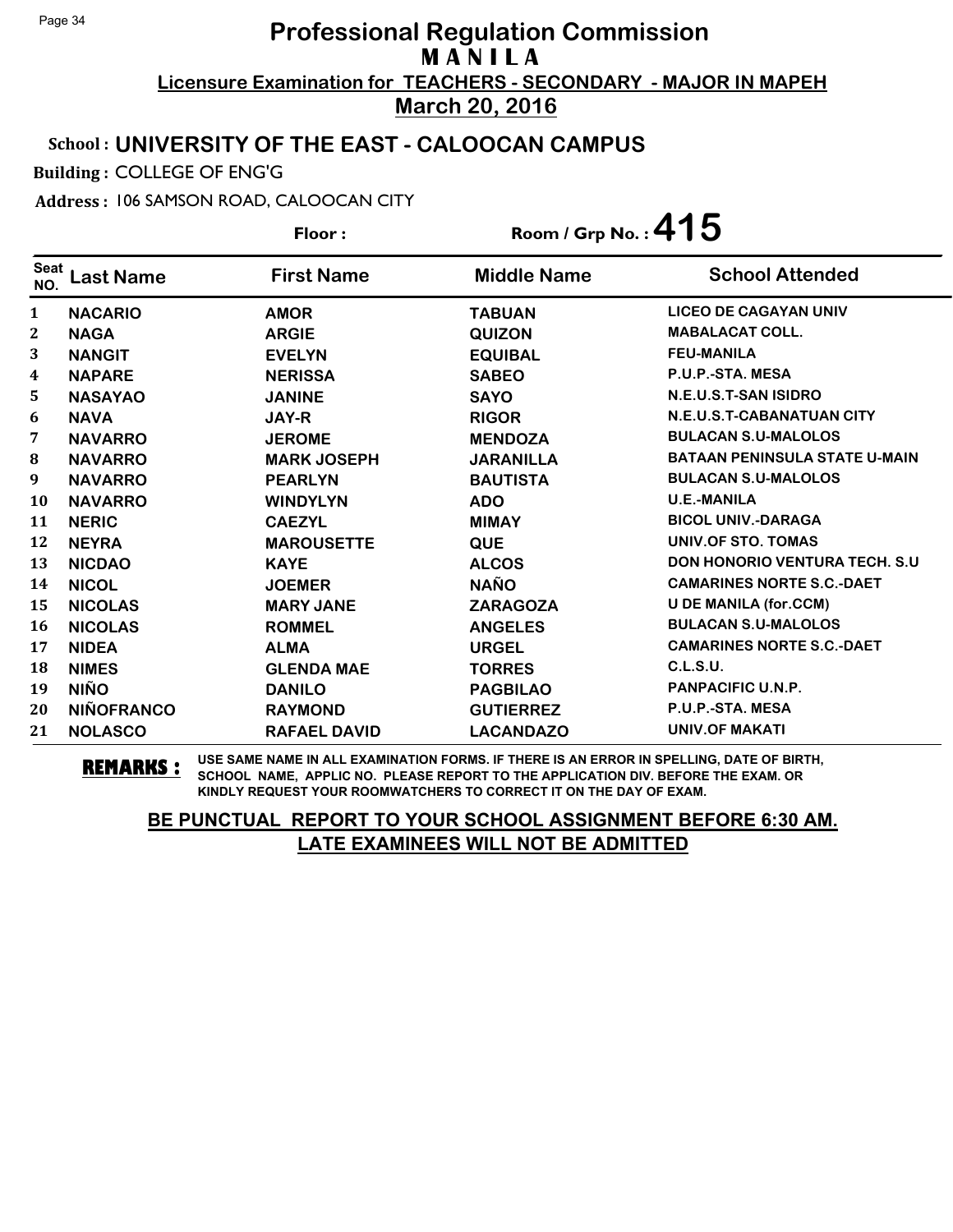### School : **UNIVERSITY OF THE EAST - CALOOCAN CAMPUS**

Building : COLLEGE OF ENG'G

Address : 106 SAMSON ROAD, CALOOCAN CITY

**Last Name First Name Middle Name** Floor : Room / Grp No. :**415** Seat <sup>seat</sup> Last Name First Name Middle Name School Attended **NACARIO AMOR TABUAN LICEO DE CAGAYAN UNIV NAGA ARGIE QUIZON MABALACAT COLL. NANGIT EVELYN EQUIBAL FEU-MANILA NAPARE NERISSA SABEO P.U.P.-STA. MESA NASAYAO JANINE SAYO N.E.U.S.T-SAN ISIDRO NAVA JAY-R RIGOR N.E.U.S.T-CABANATUAN CITY NAVARRO JEROME MENDOZA BULACAN S.U-MALOLOS NAVARRO MARK JOSEPH JARANILLA BATAAN PENINSULA STATE U-MAIN NAVARRO PEARLYN BAUTISTA BULACAN S.U-MALOLOS NAVARRO WINDYLYN ADO U.E.-MANILA NERIC CAEZYL MIMAY BICOL UNIV.-DARAGA NEYRA MAROUSETTE QUE UNIV.OF STO. TOMAS NICDAO KAYE ALCOS DON HONORIO VENTURA TECH. S.U NICOL JOEMER NAÑO CAMARINES NORTE S.C.-DAET NICOLAS MARY JANE ZARAGOZA U DE MANILA (for.CCM) NICOLAS ROMMEL ANGELES BULACAN S.U-MALOLOS NIDEA ALMA URGEL CAMARINES NORTE S.C.-DAET NIMES GLENDA MAE TORRES C.L.S.U. NIÑO DANILO PAGBILAO PANPACIFIC U.N.P. NIÑOFRANCO RAYMOND GUTIERREZ P.U.P.-STA. MESA NOLASCO RAFAEL DAVID LACANDAZO UNIV.OF MAKATI**

**REMARKS :** USE SAME NAME IN ALL EXAMINATION FORMS. IF THERE IS AN ERROR IN SPELLING, DATE OF BIRTH, SCHOOL NAME, APPLIC NO. PLEASE REPORT TO THE APPLICATION DIV. BEFORE THE EXAM. OR KINDLY REQUEST YOUR ROOMWATCHERS TO CORRECT IT ON THE DAY OF EXAM.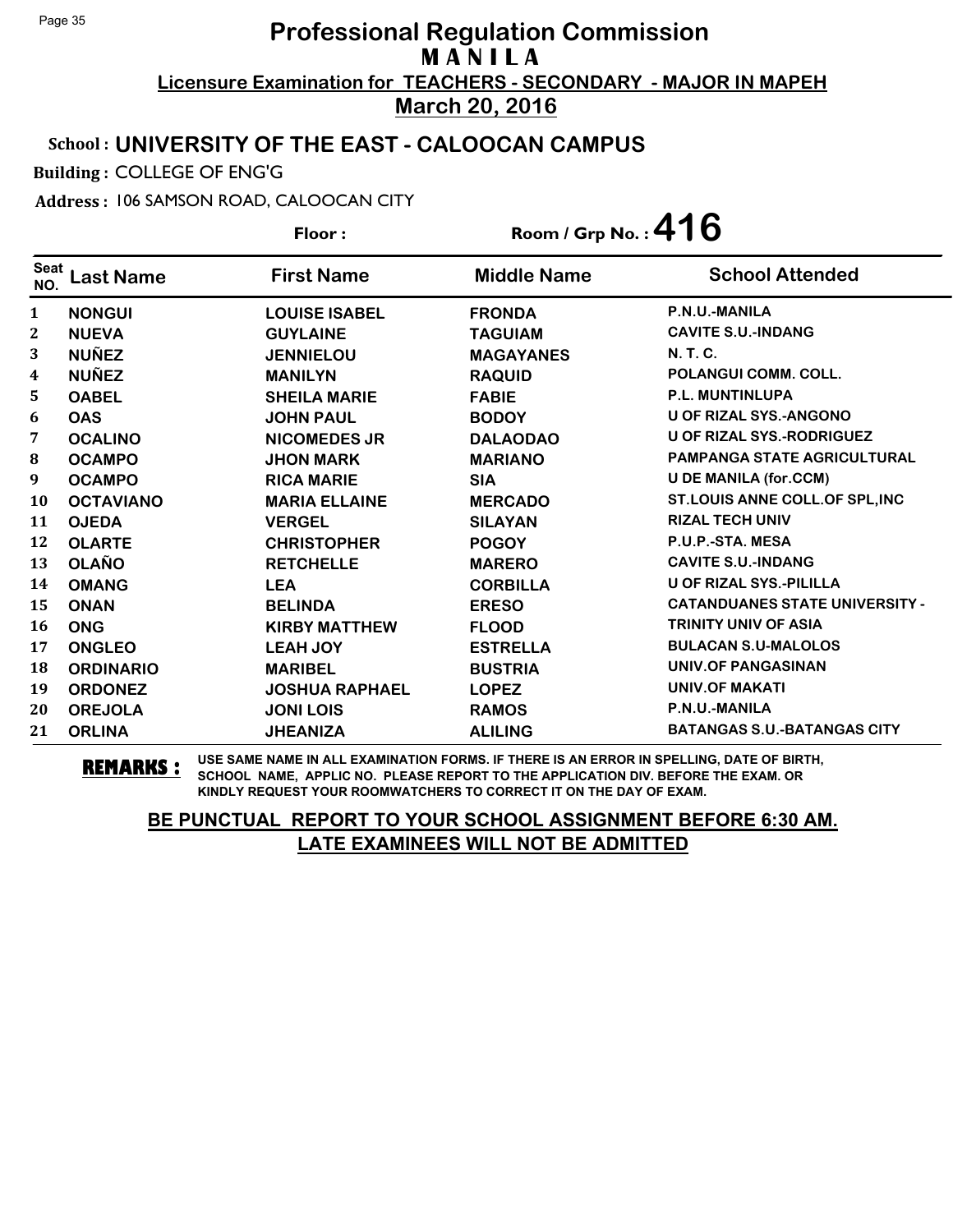### School : **UNIVERSITY OF THE EAST - CALOOCAN CAMPUS**

Building : COLLEGE OF ENG'G

Address : 106 SAMSON ROAD, CALOOCAN CITY

**Last Name First Name Middle Name** Floor : Room / Grp No. :**416** Seat <sup>seat</sup> Last Name First Name Middle Name School Attended **NONGUI LOUISE ISABEL FRONDA P.N.U.-MANILA NUEVA GUYLAINE TAGUIAM CAVITE S.U.-INDANG NUÑEZ JENNIELOU MAGAYANES N. T. C. NUÑEZ MANILYN RAQUID POLANGUI COMM. COLL. OABEL SHEILA MARIE FABIE P.L. MUNTINLUPA OAS JOHN PAUL BODOY U OF RIZAL SYS.-ANGONO OCALINO NICOMEDES JR DALAODAO U OF RIZAL SYS.-RODRIGUEZ OCAMPO JHON MARK MARIANO PAMPANGA STATE AGRICULTURAL OCAMPO RICA MARIE SIA U DE MANILA (for.CCM) OCTAVIANO MARIA ELLAINE MERCADO ST.LOUIS ANNE COLL.OF SPL,INC OJEDA VERGEL SILAYAN RIZAL TECH UNIV OLARTE CHRISTOPHER POGOY P.U.P.-STA. MESA OLAÑO RETCHELLE MARERO CAVITE S.U.-INDANG OMANG LEA CORBILLA U OF RIZAL SYS.-PILILLA ONAN BELINDA ERESO CATANDUANES STATE UNIVERSITY - ONG KIRBY MATTHEW FLOOD TRINITY UNIV OF ASIA ONGLEO LEAH JOY ESTRELLA BULACAN S.U-MALOLOS ORDINARIO MARIBEL BUSTRIA UNIV.OF PANGASINAN ORDONEZ JOSHUA RAPHAEL LOPEZ UNIV.OF MAKATI OREJOLA JONI LOIS RAMOS P.N.U.-MANILA ORLINA JHEANIZA ALILING BATANGAS S.U.-BATANGAS CITY**

**REMARKS :** USE SAME NAME IN ALL EXAMINATION FORMS. IF THERE IS AN ERROR IN SPELLING, DATE OF BIRTH, SCHOOL NAME, APPLIC NO. PLEASE REPORT TO THE APPLICATION DIV. BEFORE THE EXAM. OR KINDLY REQUEST YOUR ROOMWATCHERS TO CORRECT IT ON THE DAY OF EXAM.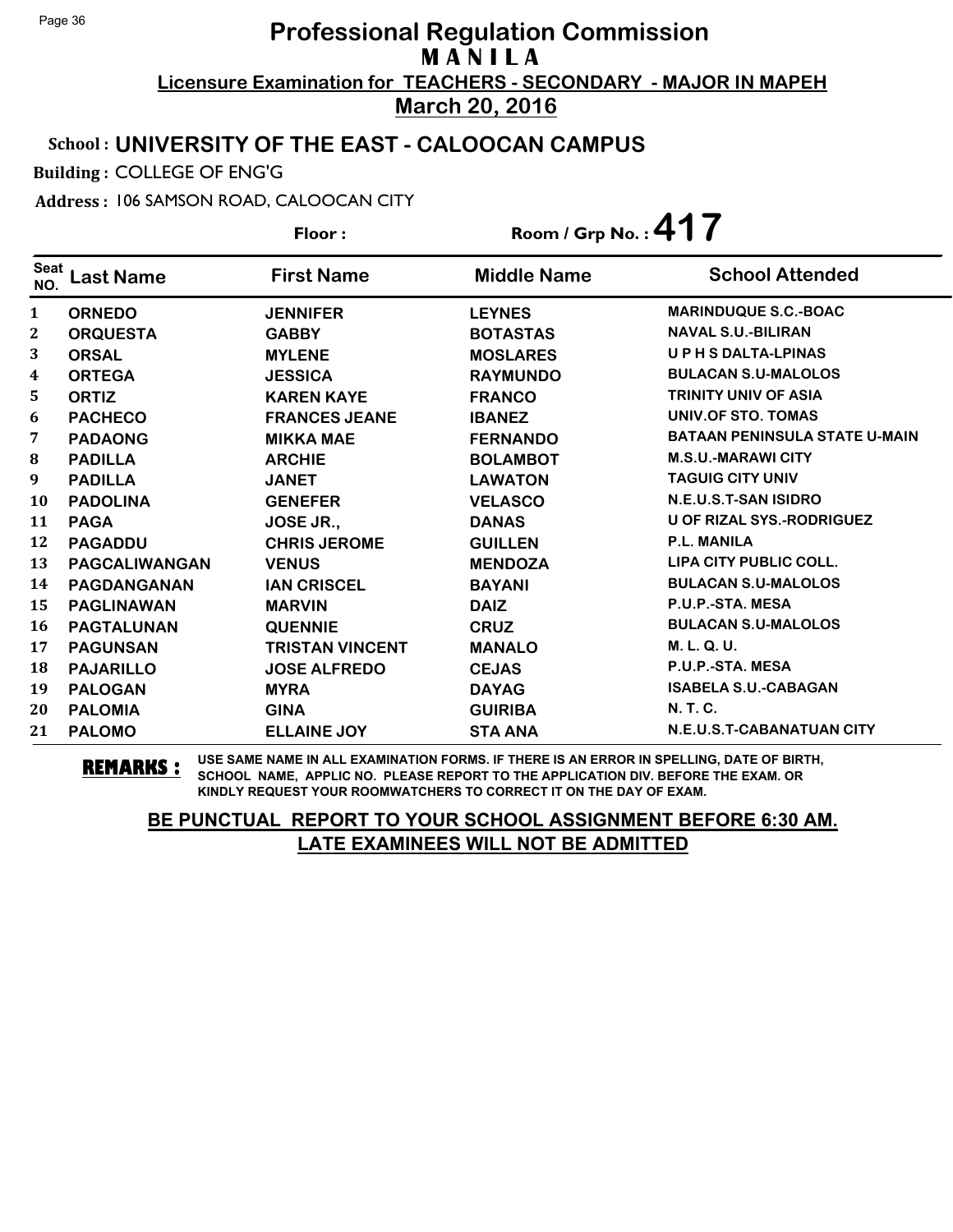### School : **UNIVERSITY OF THE EAST - CALOOCAN CAMPUS**

Building : COLLEGE OF ENG'G

Address : 106 SAMSON ROAD, CALOOCAN CITY

**Last Name First Name Middle Name** Floor : Room / Grp No. :**417** Seat <sup>Seat</sup> Last Name First Name Middle Name School Attended **ORNEDO JENNIFER LEYNES MARINDUQUE S.C.-BOAC ORQUESTA GABBY BOTASTAS NAVAL S.U.-BILIRAN ORSAL MYLENE MOSLARES U P H S DALTA-LPINAS ORTEGA JESSICA RAYMUNDO BULACAN S.U-MALOLOS ORTIZ KAREN KAYE FRANCO TRINITY UNIV OF ASIA PACHECO FRANCES JEANE IBANEZ UNIV.OF STO. TOMAS PADAONG MIKKA MAE FERNANDO BATAAN PENINSULA STATE U-MAIN PADILLA ARCHIE BOLAMBOT M.S.U.-MARAWI CITY PADILLA JANET LAWATON TAGUIG CITY UNIV PADOLINA GENEFER VELASCO N.E.U.S.T-SAN ISIDRO PAGA JOSE JR., DANAS U OF RIZAL SYS.-RODRIGUEZ PAGADDU CHRIS JEROME GUILLEN P.L. MANILA PAGCALIWANGAN VENUS MENDOZA LIPA CITY PUBLIC COLL. PAGDANGANAN IAN CRISCEL BAYANI BULACAN S.U-MALOLOS PAGLINAWAN MARVIN DAIZ P.U.P.-STA. MESA PAGTALUNAN QUENNIE CRUZ BULACAN S.U-MALOLOS PAGUNSAN TRISTAN VINCENT MANALO M. L. Q. U. PAJARILLO JOSE ALFREDO CEJAS P.U.P.-STA. MESA PALOGAN MYRA DAYAG ISABELA S.U.-CABAGAN PALOMIA GINA GUIRIBA N. T. C. PALOMO ELLAINE JOY STA ANA N.E.U.S.T-CABANATUAN CITY**

**REMARKS :** USE SAME NAME IN ALL EXAMINATION FORMS. IF THERE IS AN ERROR IN SPELLING, DATE OF BIRTH, SCHOOL NAME, APPLIC NO. PLEASE REPORT TO THE APPLICATION DIV. BEFORE THE EXAM. OR KINDLY REQUEST YOUR ROOMWATCHERS TO CORRECT IT ON THE DAY OF EXAM.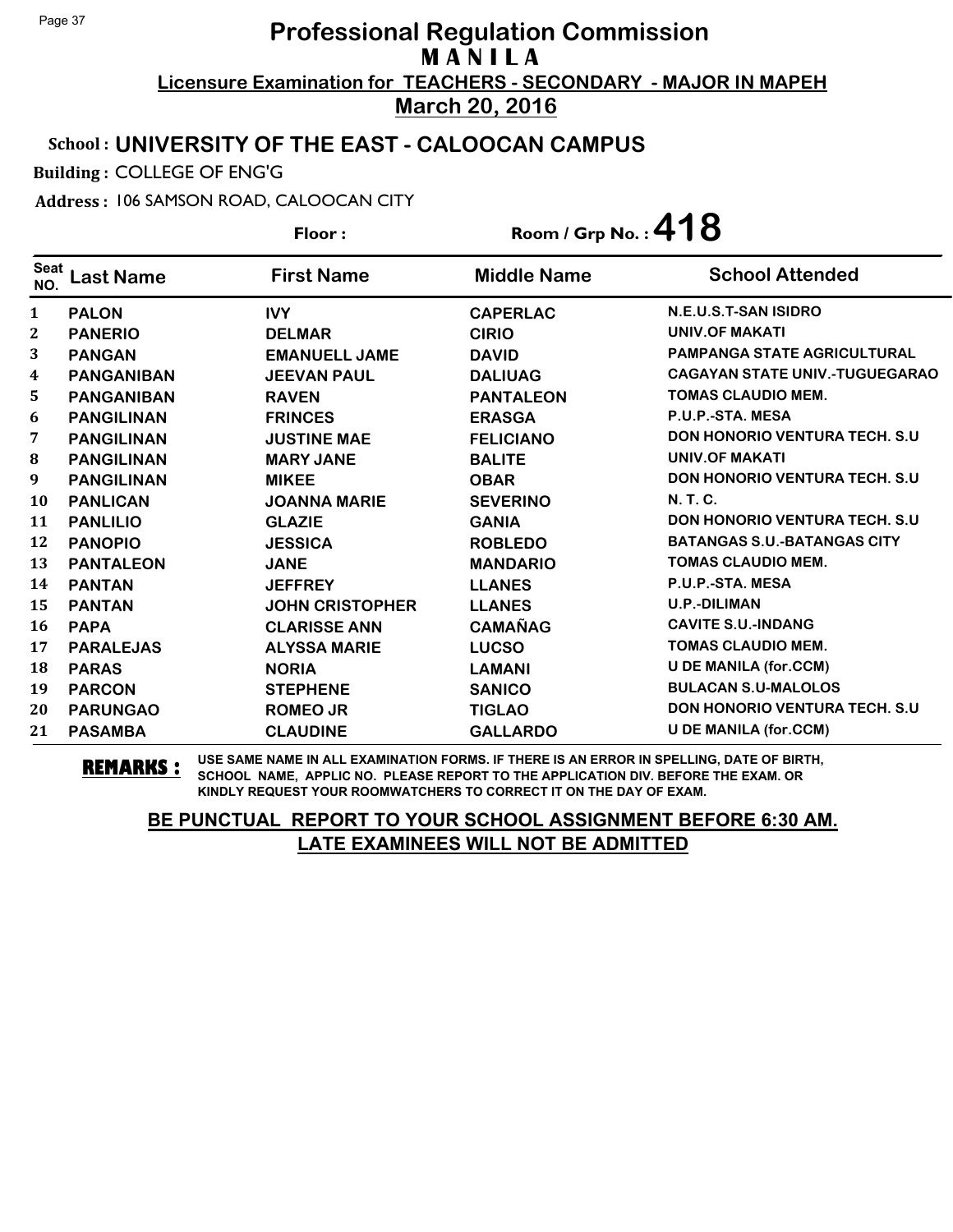### School : **UNIVERSITY OF THE EAST - CALOOCAN CAMPUS**

Building : COLLEGE OF ENG'G

Address : 106 SAMSON ROAD, CALOOCAN CITY

**Last Name First Name Middle Name** Floor : Room / Grp No. :**418** Seat <sup>seat</sup> Last Name First Name Middle Name School Attended **PALON IVY CAPERLAC N.E.U.S.T-SAN ISIDRO PANERIO DELMAR CIRIO UNIV.OF MAKATI PANGAN EMANUELL JAME DAVID PAMPANGA STATE AGRICULTURAL PANGANIBAN JEEVAN PAUL DALIUAG CAGAYAN STATE UNIV.-TUGUEGARAO PANGANIBAN RAVEN PANTALEON TOMAS CLAUDIO MEM. PANGILINAN FRINCES ERASGA P.U.P.-STA. MESA PANGILINAN JUSTINE MAE FELICIANO DON HONORIO VENTURA TECH. S.U PANGILINAN MARY JANE BALITE UNIV.OF MAKATI PANGILINAN MIKEE OBAR DON HONORIO VENTURA TECH. S.U PANLICAN JOANNA MARIE SEVERINO N. T. C. PANLILIO GLAZIE GANIA DON HONORIO VENTURA TECH. S.U PANOPIO JESSICA ROBLEDO BATANGAS S.U.-BATANGAS CITY PANTALEON JANE MANDARIO TOMAS CLAUDIO MEM. PANTAN JEFFREY LLANES P.U.P.-STA. MESA PANTAN JOHN CRISTOPHER LLANES U.P.-DILIMAN PAPA CLARISSE ANN CAMAÑAG CAVITE S.U.-INDANG PARALEJAS ALYSSA MARIE LUCSO TOMAS CLAUDIO MEM. PARAS NORIA LAMANI U DE MANILA (for.CCM) PARCON STEPHENE SANICO BULACAN S.U-MALOLOS PARUNGAO ROMEO JR TIGLAO DON HONORIO VENTURA TECH. S.U PASAMBA CLAUDINE GALLARDO U DE MANILA (for.CCM)**

**REMARKS :** USE SAME NAME IN ALL EXAMINATION FORMS. IF THERE IS AN ERROR IN SPELLING, DATE OF BIRTH, SCHOOL NAME, APPLIC NO. PLEASE REPORT TO THE APPLICATION DIV. BEFORE THE EXAM. OR KINDLY REQUEST YOUR ROOMWATCHERS TO CORRECT IT ON THE DAY OF EXAM.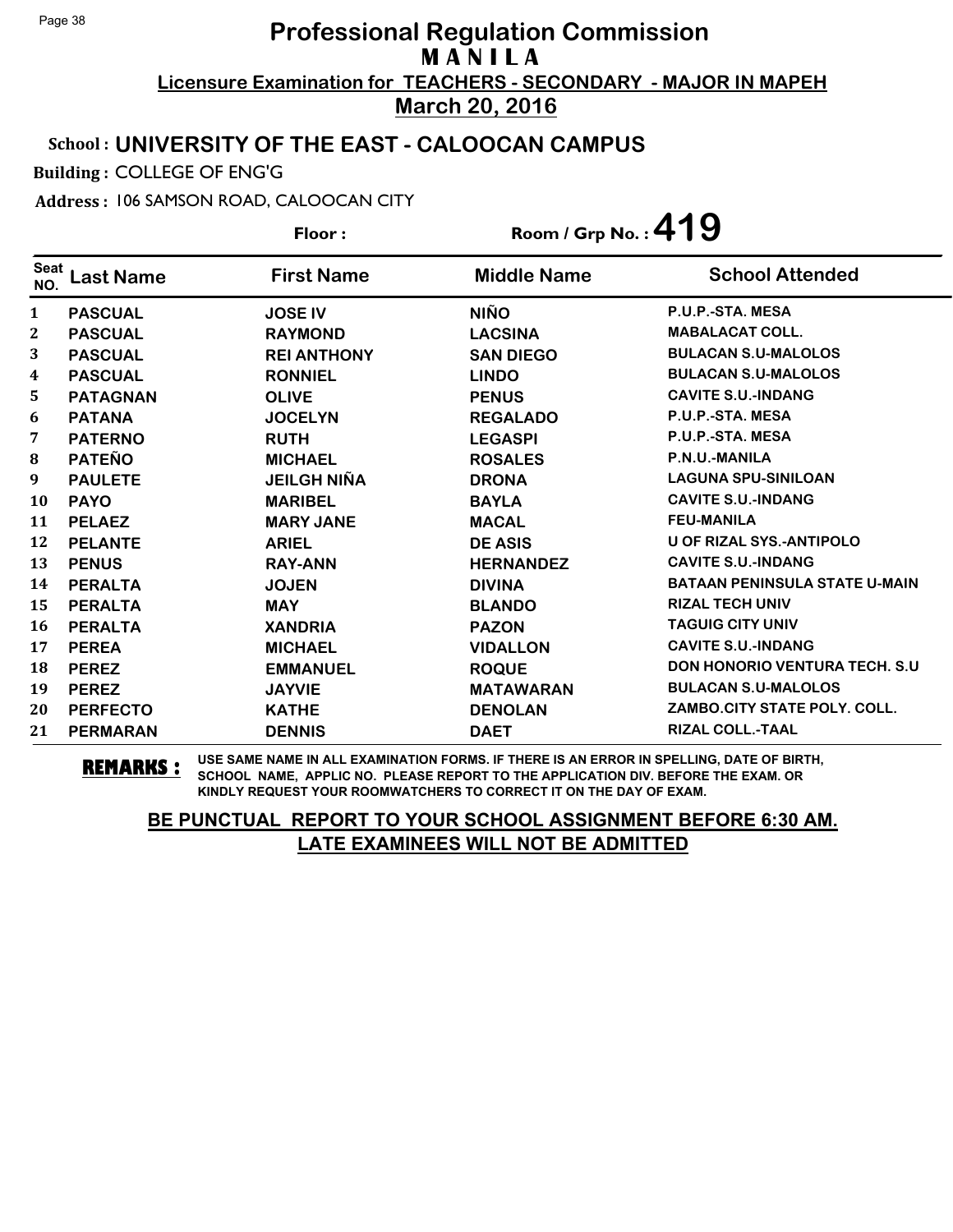### School : **UNIVERSITY OF THE EAST - CALOOCAN CAMPUS**

Building : COLLEGE OF ENG'G

Address : 106 SAMSON ROAD, CALOOCAN CITY

**Last Name First Name Middle Name** Floor : Room / Grp No. :**419** Seat <sup>seat</sup> Last Name First Name Middle Name School Attended **PASCUAL JOSE IV NIÑO P.U.P.-STA. MESA PASCUAL RAYMOND LACSINA MABALACAT COLL. PASCUAL REI ANTHONY SAN DIEGO BULACAN S.U-MALOLOS PASCUAL RONNIEL LINDO BULACAN S.U-MALOLOS PATAGNAN OLIVE PENUS CAVITE S.U.-INDANG PATANA JOCELYN REGALADO P.U.P.-STA. MESA PATERNO RUTH LEGASPI P.U.P.-STA. MESA PATEÑO MICHAEL ROSALES P.N.U.-MANILA PAULETE JEILGH NIÑA DRONA LAGUNA SPU-SINILOAN PAYO MARIBEL BAYLA CAVITE S.U.-INDANG PELAEZ MARY JANE MACAL FEU-MANILA PELANTE ARIEL DE ASIS U OF RIZAL SYS.-ANTIPOLO PENUS RAY-ANN HERNANDEZ CAVITE S.U.-INDANG PERALTA JOJEN DIVINA BATAAN PENINSULA STATE U-MAIN PERALTA MAY BLANDO RIZAL TECH UNIV PERALTA XANDRIA PAZON TAGUIG CITY UNIV PEREA MICHAEL VIDALLON CAVITE S.U.-INDANG PEREZ EMMANUEL ROQUE DON HONORIO VENTURA TECH. S.U PEREZ JAYVIE MATAWARAN BULACAN S.U-MALOLOS PERFECTO KATHE DENOLAN ZAMBO.CITY STATE POLY. COLL. PERMARAN DENNIS DAET RIZAL COLL.-TAAL**

**REMARKS :** USE SAME NAME IN ALL EXAMINATION FORMS. IF THERE IS AN ERROR IN SPELLING, DATE OF BIRTH, SCHOOL NAME, APPLIC NO. PLEASE REPORT TO THE APPLICATION DIV. BEFORE THE EXAM. OR KINDLY REQUEST YOUR ROOMWATCHERS TO CORRECT IT ON THE DAY OF EXAM.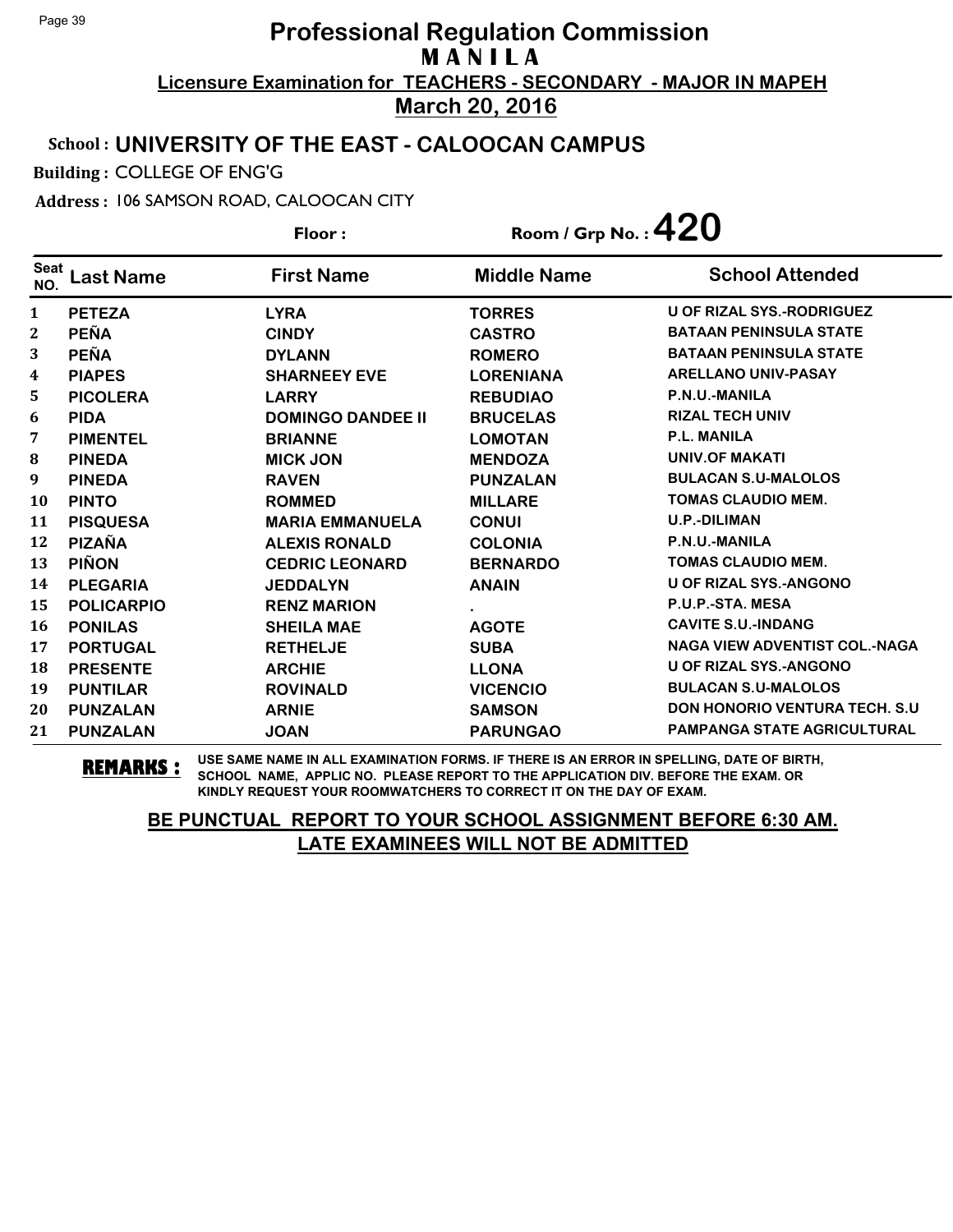### School : **UNIVERSITY OF THE EAST - CALOOCAN CAMPUS**

Building : COLLEGE OF ENG'G

Address : 106 SAMSON ROAD, CALOOCAN CITY

**Last Name First Name Middle Name** Floor : Room / Grp No. :**420** Seat <sup>seat</sup> Last Name First Name Middle Name School Attended **PETEZA LYRA TORRES U OF RIZAL SYS.-RODRIGUEZ PEÑA CINDY CASTRO BATAAN PENINSULA STATE PEÑA DYLANN ROMERO BATAAN PENINSULA STATE PIAPES SHARNEEY EVE LORENIANA ARELLANO UNIV-PASAY PICOLERA LARRY REBUDIAO P.N.U.-MANILA PIDA DOMINGO DANDEE II BRUCELAS RIZAL TECH UNIV PIMENTEL BRIANNE LOMOTAN P.L. MANILA PINEDA MICK JON MENDOZA UNIV.OF MAKATI PINEDA RAVEN PUNZALAN BULACAN S.U-MALOLOS PINTO ROMMED MILLARE TOMAS CLAUDIO MEM. PISQUESA MARIA EMMANUELA CONUI U.P.-DILIMAN PIZAÑA ALEXIS RONALD COLONIA P.N.U.-MANILA PIÑON CEDRIC LEONARD BERNARDO TOMAS CLAUDIO MEM. PLEGARIA JEDDALYN ANAIN U OF RIZAL SYS.-ANGONO POLICARPIO RENZ MARION . P.U.P.-STA. MESA PONILAS SHEILA MAE AGOTE CAVITE S.U.-INDANG PORTUGAL RETHELJE SUBA NAGA VIEW ADVENTIST COL.-NAGA PRESENTE ARCHIE LLONA U OF RIZAL SYS.-ANGONO PUNTILAR ROVINALD VICENCIO BULACAN S.U-MALOLOS PUNZALAN ARNIE SAMSON DON HONORIO VENTURA TECH. S.U PUNZALAN JOAN PARUNGAO PAMPANGA STATE AGRICULTURAL**

**REMARKS :** USE SAME NAME IN ALL EXAMINATION FORMS. IF THERE IS AN ERROR IN SPELLING, DATE OF BIRTH, SCHOOL NAME, APPLIC NO. PLEASE REPORT TO THE APPLICATION DIV. BEFORE THE EXAM. OR KINDLY REQUEST YOUR ROOMWATCHERS TO CORRECT IT ON THE DAY OF EXAM.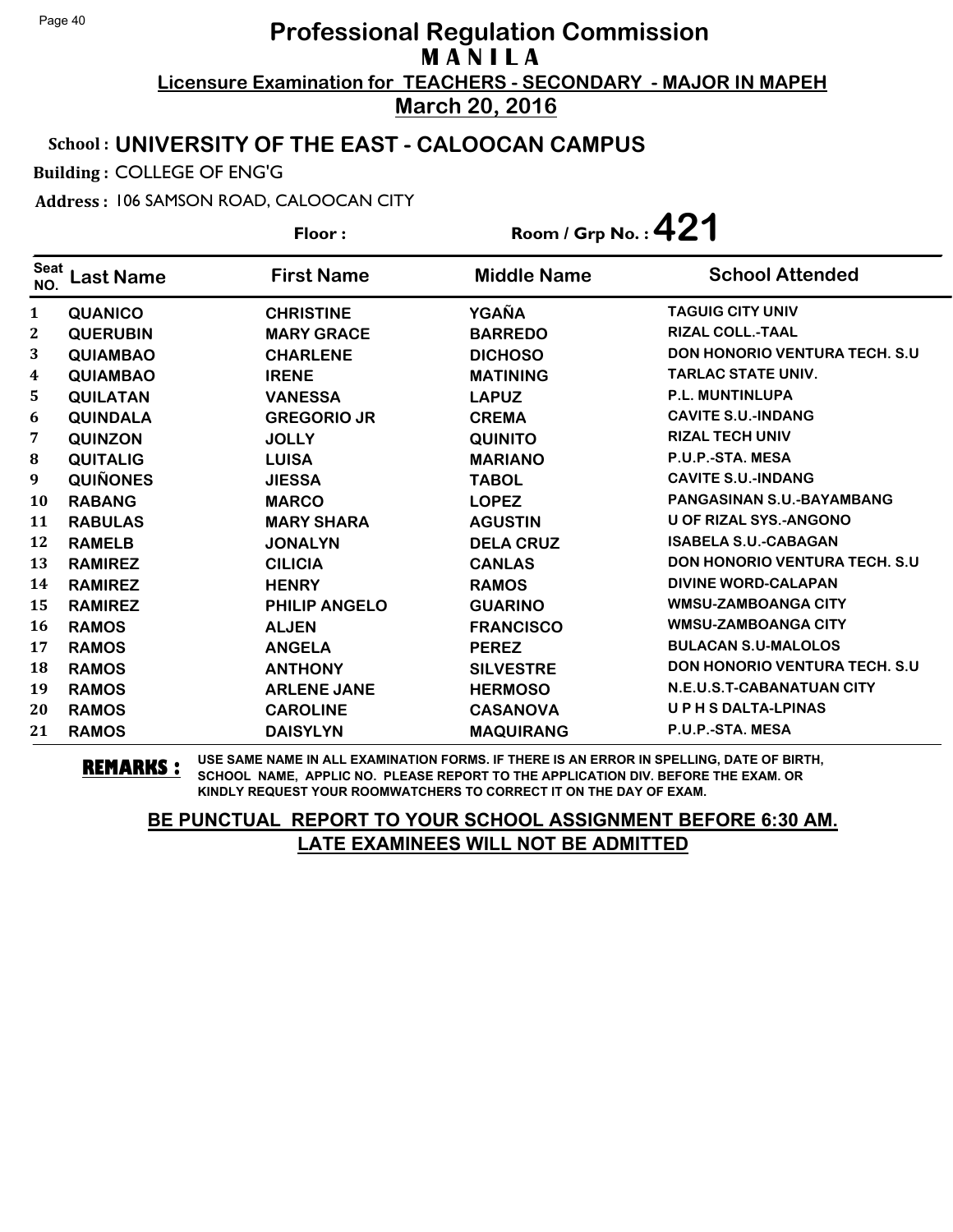### School : **UNIVERSITY OF THE EAST - CALOOCAN CAMPUS**

Building : COLLEGE OF ENG'G

Address : 106 SAMSON ROAD, CALOOCAN CITY

**Last Name First Name Middle Name** Floor : Room / Grp No. :**421** Seat <sup>seat</sup> Last Name First Name Middle Name School Attended **QUANICO CHRISTINE YGAÑA TAGUIG CITY UNIV QUERUBIN MARY GRACE BARREDO RIZAL COLL.-TAAL QUIAMBAO CHARLENE DICHOSO DON HONORIO VENTURA TECH. S.U QUIAMBAO IRENE MATINING TARLAC STATE UNIV. QUILATAN VANESSA LAPUZ P.L. MUNTINLUPA QUINDALA GREGORIO JR CREMA CAVITE S.U.-INDANG QUINZON JOLLY QUINITO RIZAL TECH UNIV QUITALIG LUISA MARIANO P.U.P.-STA. MESA QUIÑONES JIESSA TABOL CAVITE S.U.-INDANG RABANG MARCO LOPEZ PANGASINAN S.U.-BAYAMBANG RABULAS MARY SHARA AGUSTIN U OF RIZAL SYS.-ANGONO RAMELB JONALYN DELA CRUZ ISABELA S.U.-CABAGAN RAMIREZ CILICIA CANLAS DON HONORIO VENTURA TECH. S.U RAMIREZ HENRY RAMOS DIVINE WORD-CALAPAN RAMIREZ PHILIP ANGELO GUARINO WMSU-ZAMBOANGA CITY RAMOS ALJEN FRANCISCO WMSU-ZAMBOANGA CITY RAMOS ANGELA PEREZ BULACAN S.U-MALOLOS RAMOS ANTHONY SILVESTRE DON HONORIO VENTURA TECH. S.U RAMOS ARLENE JANE HERMOSO N.E.U.S.T-CABANATUAN CITY RAMOS CAROLINE CASANOVA U P H S DALTA-LPINAS RAMOS DAISYLYN MAQUIRANG P.U.P.-STA. MESA**

**REMARKS :** USE SAME NAME IN ALL EXAMINATION FORMS. IF THERE IS AN ERROR IN SPELLING, DATE OF BIRTH, SCHOOL NAME, APPLIC NO. PLEASE REPORT TO THE APPLICATION DIV. BEFORE THE EXAM. OR KINDLY REQUEST YOUR ROOMWATCHERS TO CORRECT IT ON THE DAY OF EXAM.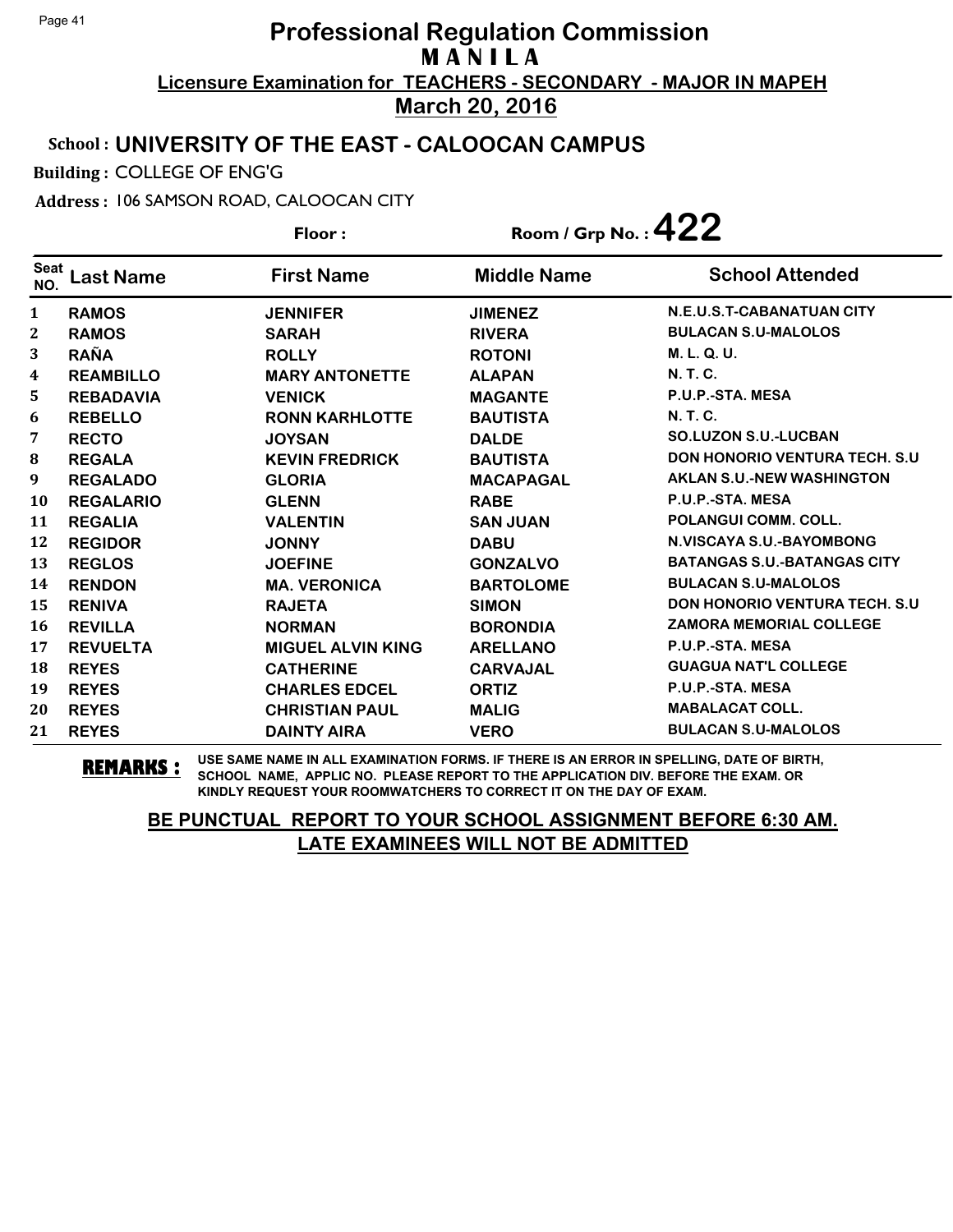### School : **UNIVERSITY OF THE EAST - CALOOCAN CAMPUS**

Building : COLLEGE OF ENG'G

Address : 106 SAMSON ROAD, CALOOCAN CITY

**Last Name First Name Middle Name** Floor : Room / Grp No. : **422** Seat <sup>Seat</sup> Last Name First Name Middle Name School Attended **RAMOS JENNIFER JIMENEZ N.E.U.S.T-CABANATUAN CITY RAMOS SARAH RIVERA BULACAN S.U-MALOLOS RAÑA ROLLY ROTONI M. L. Q. U. REAMBILLO MARY ANTONETTE ALAPAN N. T. C. REBADAVIA VENICK MAGANTE P.U.P.-STA. MESA REBELLO RONN KARHLOTTE BAUTISTA N. T. C. RECTO JOYSAN DALDE SO.LUZON S.U.-LUCBAN REGALA KEVIN FREDRICK BAUTISTA DON HONORIO VENTURA TECH. S.U REGALADO GLORIA MACAPAGAL AKLAN S.U.-NEW WASHINGTON REGALARIO GLENN RABE P.U.P.-STA. MESA REGALIA VALENTIN SAN JUAN POLANGUI COMM. COLL. REGIDOR JONNY DABU N.VISCAYA S.U.-BAYOMBONG REGLOS JOEFINE GONZALVO BATANGAS S.U.-BATANGAS CITY RENDON MA. VERONICA BARTOLOME BULACAN S.U-MALOLOS RENIVA RAJETA SIMON DON HONORIO VENTURA TECH. S.U REVILLA NORMAN BORONDIA ZAMORA MEMORIAL COLLEGE REVUELTA MIGUEL ALVIN KING ARELLANO P.U.P.-STA. MESA REYES CATHERINE CARVAJAL GUAGUA NAT'L COLLEGE REYES CHARLES EDCEL ORTIZ P.U.P.-STA. MESA REYES CHRISTIAN PAUL MALIG MABALACAT COLL. REYES DAINTY AIRA VERO BULACAN S.U-MALOLOS**

**REMARKS :** USE SAME NAME IN ALL EXAMINATION FORMS. IF THERE IS AN ERROR IN SPELLING, DATE OF BIRTH, SCHOOL NAME, APPLIC NO. PLEASE REPORT TO THE APPLICATION DIV. BEFORE THE EXAM. OR KINDLY REQUEST YOUR ROOMWATCHERS TO CORRECT IT ON THE DAY OF EXAM.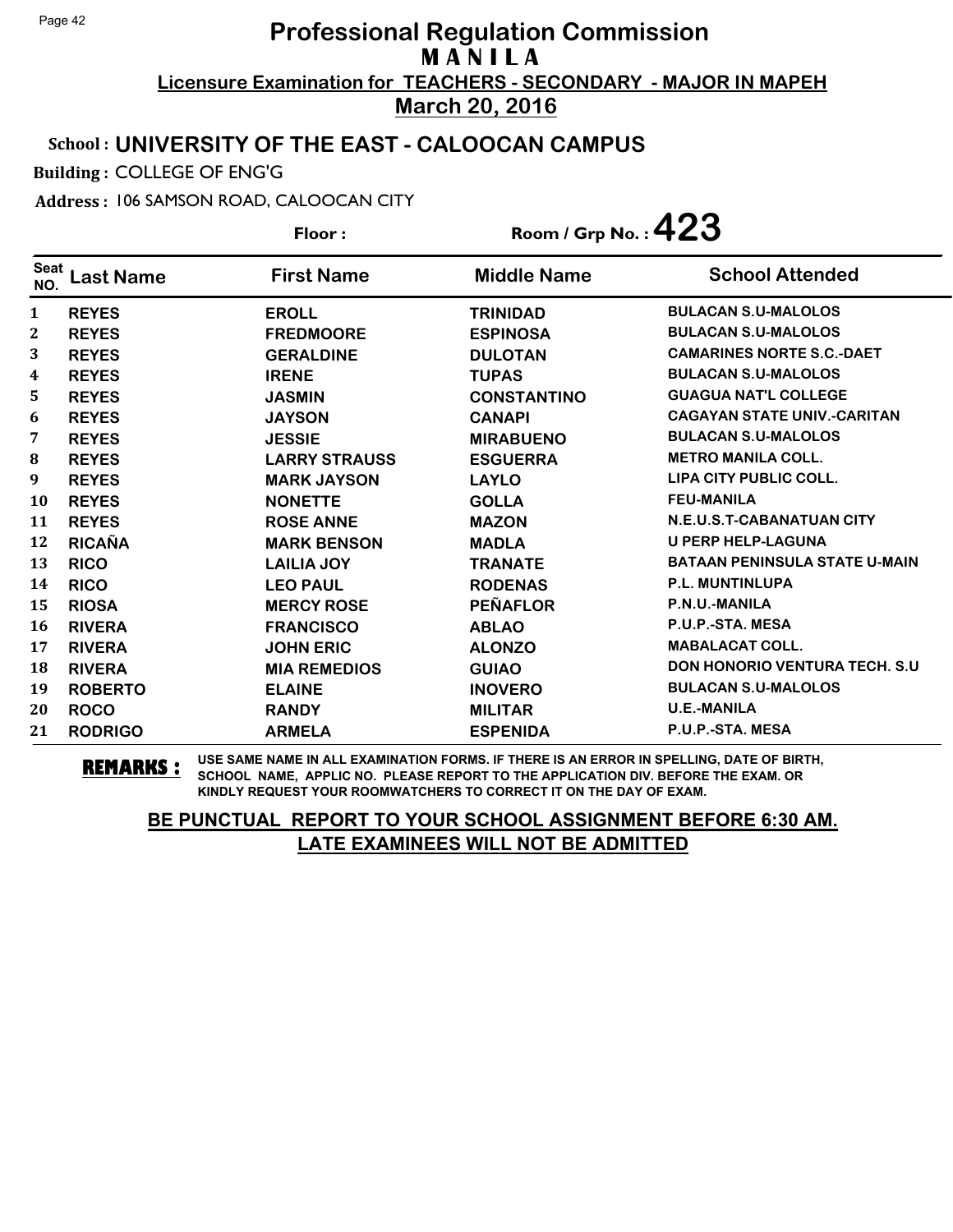### School : **UNIVERSITY OF THE EAST - CALOOCAN CAMPUS**

Building : COLLEGE OF ENG'G

Address : 106 SAMSON ROAD, CALOOCAN CITY

**Last Name First Name Middle Name** Floor : Room / Grp No. : 423 Seat <sup>seat</sup> Last Name First Name Middle Name School Attended **REYES EROLL TRINIDAD BULACAN S.U-MALOLOS REYES FREDMOORE ESPINOSA BULACAN S.U-MALOLOS REYES GERALDINE DULOTAN CAMARINES NORTE S.C.-DAET REYES IRENE TUPAS BULACAN S.U-MALOLOS REYES JASMIN CONSTANTINO GUAGUA NAT'L COLLEGE REYES JAYSON CANAPI CAGAYAN STATE UNIV.-CARITAN REYES JESSIE MIRABUENO BULACAN S.U-MALOLOS REYES LARRY STRAUSS ESGUERRA METRO MANILA COLL. REYES MARK JAYSON LAYLO LIPA CITY PUBLIC COLL. REYES NONETTE GOLLA FEU-MANILA REYES ROSE ANNE MAZON N.E.U.S.T-CABANATUAN CITY RICAÑA MARK BENSON MADLA U PERP HELP-LAGUNA RICO LAILIA JOY TRANATE BATAAN PENINSULA STATE U-MAIN RICO LEO PAUL RODENAS P.L. MUNTINLUPA RIOSA MERCY ROSE PEÑAFLOR P.N.U.-MANILA RIVERA FRANCISCO ABLAO P.U.P.-STA. MESA RIVERA JOHN ERIC ALONZO MABALACAT COLL. RIVERA MIA REMEDIOS GUIAO DON HONORIO VENTURA TECH. S.U ROBERTO ELAINE INOVERO BULACAN S.U-MALOLOS ROCO RANDY MILITAR U.E.-MANILA RODRIGO ARMELA ESPENIDA P.U.P.-STA. MESA**

**REMARKS :** USE SAME NAME IN ALL EXAMINATION FORMS. IF THERE IS AN ERROR IN SPELLING, DATE OF BIRTH, SCHOOL NAME, APPLIC NO. PLEASE REPORT TO THE APPLICATION DIV. BEFORE THE EXAM. OR KINDLY REQUEST YOUR ROOMWATCHERS TO CORRECT IT ON THE DAY OF EXAM.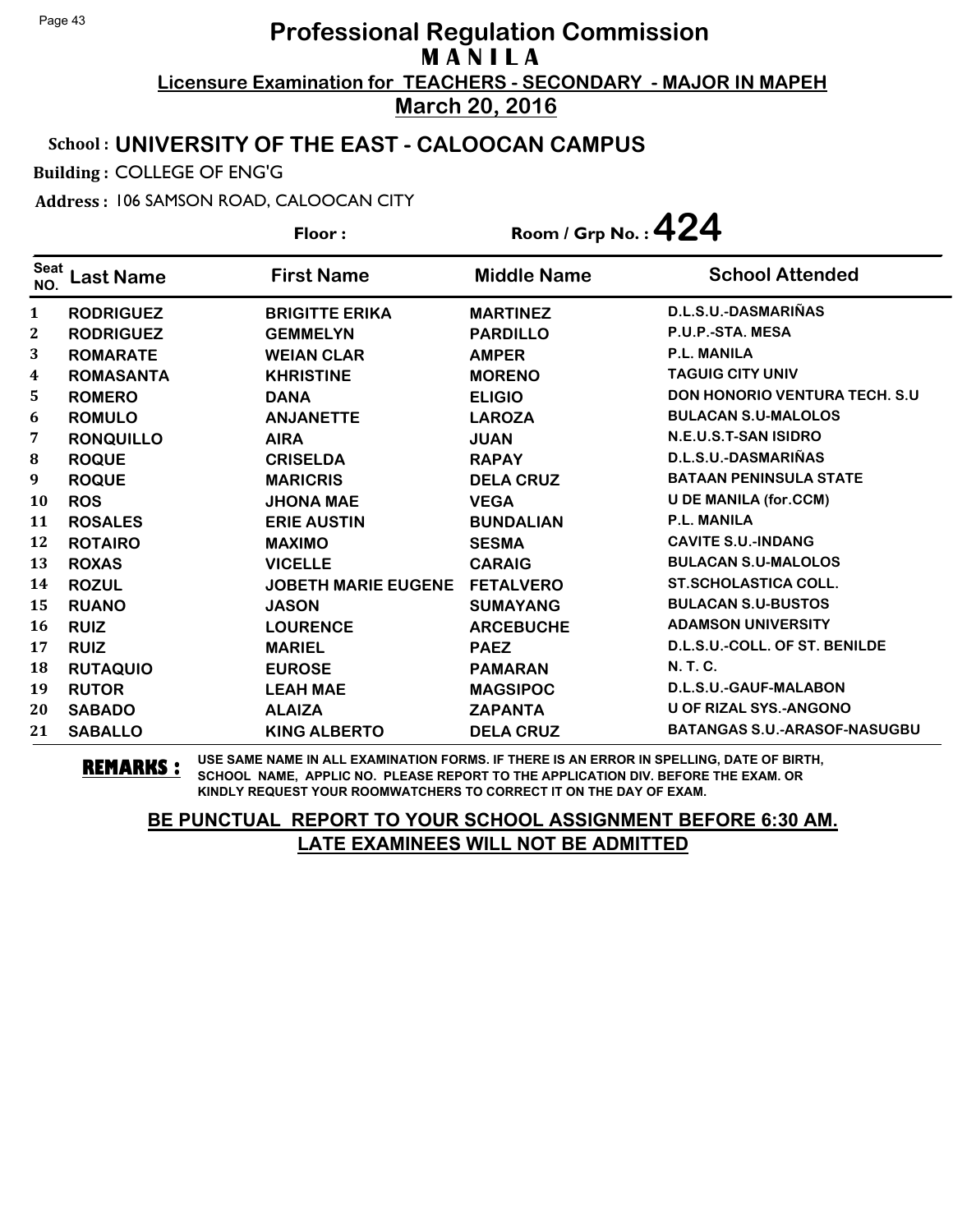### School : **UNIVERSITY OF THE EAST - CALOOCAN CAMPUS**

Building : COLLEGE OF ENG'G

Address : 106 SAMSON ROAD, CALOOCAN CITY

**Last Name First Name Middle Name** Floor : Room / Grp No. :**424** Seat <sup>seat</sup> Last Name First Name Middle Name School Attended **RODRIGUEZ BRIGITTE ERIKA MARTINEZ D.L.S.U.-DASMARIÑAS RODRIGUEZ GEMMELYN PARDILLO P.U.P.-STA. MESA ROMARATE WEIAN CLAR AMPER P.L. MANILA ROMASANTA KHRISTINE MORENO TAGUIG CITY UNIV ROMERO DANA ELIGIO DON HONORIO VENTURA TECH. S.U ROMULO ANJANETTE LAROZA BULACAN S.U-MALOLOS RONQUILLO AIRA JUAN N.E.U.S.T-SAN ISIDRO ROQUE CRISELDA RAPAY D.L.S.U.-DASMARIÑAS ROQUE MARICRIS DELA CRUZ BATAAN PENINSULA STATE ROS JHONA MAE VEGA U DE MANILA (for.CCM) ROSALES ERIE AUSTIN BUNDALIAN P.L. MANILA ROTAIRO MAXIMO SESMA CAVITE S.U.-INDANG ROXAS VICELLE CARAIG BULACAN S.U-MALOLOS ROZUL JOBETH MARIE EUGENE FETALVERO ST.SCHOLASTICA COLL. RUANO JASON SUMAYANG BULACAN S.U-BUSTOS RUIZ LOURENCE ARCEBUCHE ADAMSON UNIVERSITY RUIZ MARIEL PAEZ D.L.S.U.-COLL. OF ST. BENILDE RUTAQUIO EUROSE PAMARAN N. T. C. RUTOR LEAH MAE MAGSIPOC D.L.S.U.-GAUF-MALABON SABADO ALAIZA ZAPANTA U OF RIZAL SYS.-ANGONO SABALLO KING ALBERTO DELA CRUZ BATANGAS S.U.-ARASOF-NASUGBU**

**REMARKS :** USE SAME NAME IN ALL EXAMINATION FORMS. IF THERE IS AN ERROR IN SPELLING, DATE OF BIRTH, SCHOOL NAME, APPLIC NO. PLEASE REPORT TO THE APPLICATION DIV. BEFORE THE EXAM. OR KINDLY REQUEST YOUR ROOMWATCHERS TO CORRECT IT ON THE DAY OF EXAM.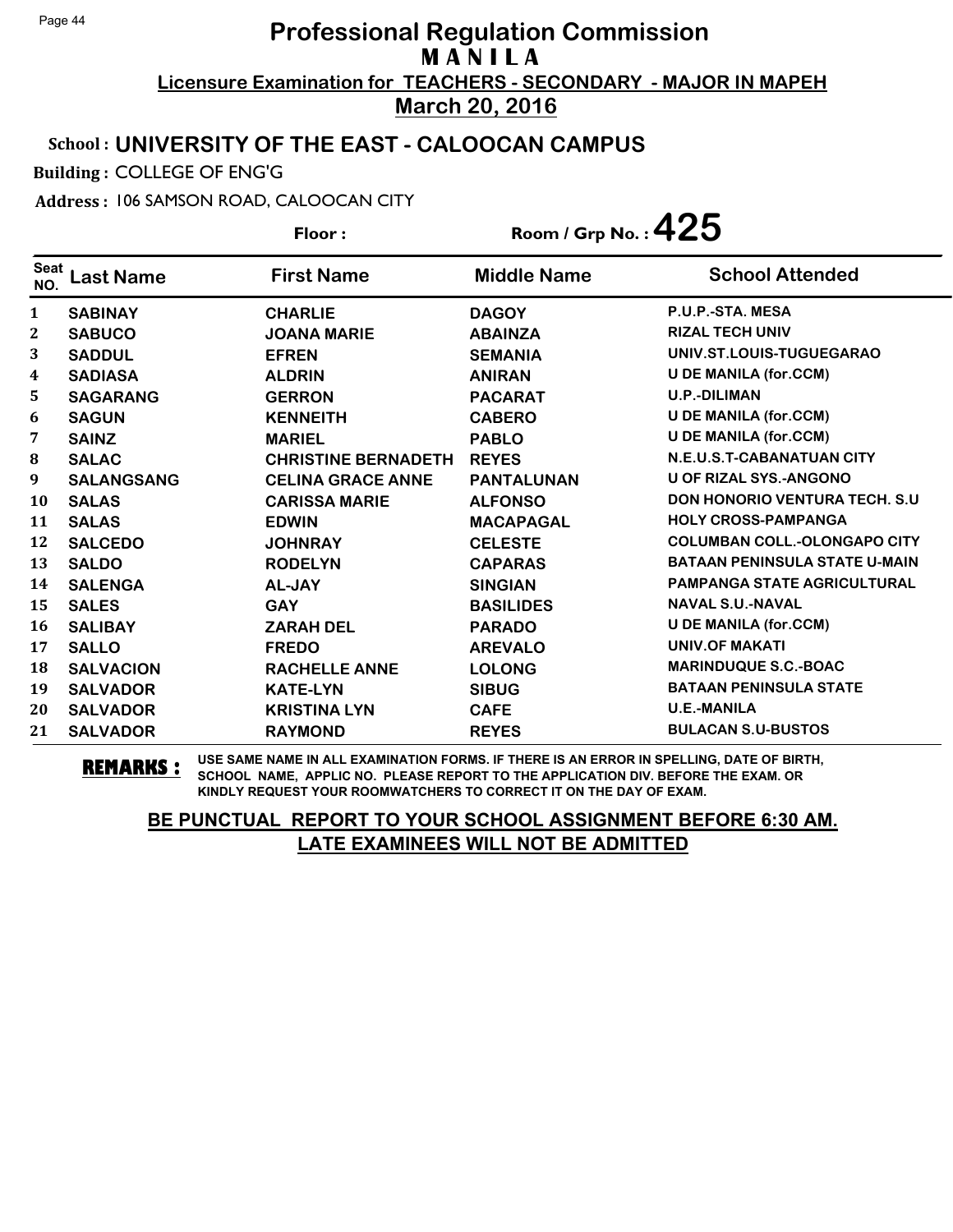### School : **UNIVERSITY OF THE EAST - CALOOCAN CAMPUS**

Building : COLLEGE OF ENG'G

Address : 106 SAMSON ROAD, CALOOCAN CITY

**Last Name First Name Middle Name** Floor : Room / Grp No. :  $425$ Seat <sup>seat</sup> Last Name First Name Middle Name School Attended **SABINAY CHARLIE DAGOY P.U.P.-STA. MESA SABUCO JOANA MARIE ABAINZA RIZAL TECH UNIV SADDUL EFREN SEMANIA UNIV.ST.LOUIS-TUGUEGARAO SADIASA ALDRIN ANIRAN U DE MANILA (for.CCM) SAGARANG GERRON PACARAT U.P.-DILIMAN SAGUN KENNEITH CABERO U DE MANILA (for.CCM) SAINZ MARIEL PABLO U DE MANILA (for.CCM) SALAC CHRISTINE BERNADETH REYES N.E.U.S.T-CABANATUAN CITY SALANGSANG CELINA GRACE ANNE PANTALUNAN U OF RIZAL SYS.-ANGONO SALAS CARISSA MARIE ALFONSO DON HONORIO VENTURA TECH. S.U SALAS EDWIN MACAPAGAL HOLY CROSS-PAMPANGA SALCEDO JOHNRAY CELESTE COLUMBAN COLL.-OLONGAPO CITY SALDO RODELYN CAPARAS BATAAN PENINSULA STATE U-MAIN SALENGA AL-JAY SINGIAN PAMPANGA STATE AGRICULTURAL SALES GAY BASILIDES NAVAL S.U.-NAVAL SALIBAY ZARAH DEL PARADO U DE MANILA (for.CCM) SALLO FREDO AREVALO UNIV.OF MAKATI SALVACION RACHELLE ANNE LOLONG MARINDUQUE S.C.-BOAC SALVADOR KATE-LYN SIBUG BATAAN PENINSULA STATE SALVADOR KRISTINA LYN CAFE U.E.-MANILA SALVADOR RAYMOND REYES BULACAN S.U-BUSTOS**

**REMARKS :** USE SAME NAME IN ALL EXAMINATION FORMS. IF THERE IS AN ERROR IN SPELLING, DATE OF BIRTH, SCHOOL NAME, APPLIC NO. PLEASE REPORT TO THE APPLICATION DIV. BEFORE THE EXAM. OR KINDLY REQUEST YOUR ROOMWATCHERS TO CORRECT IT ON THE DAY OF EXAM.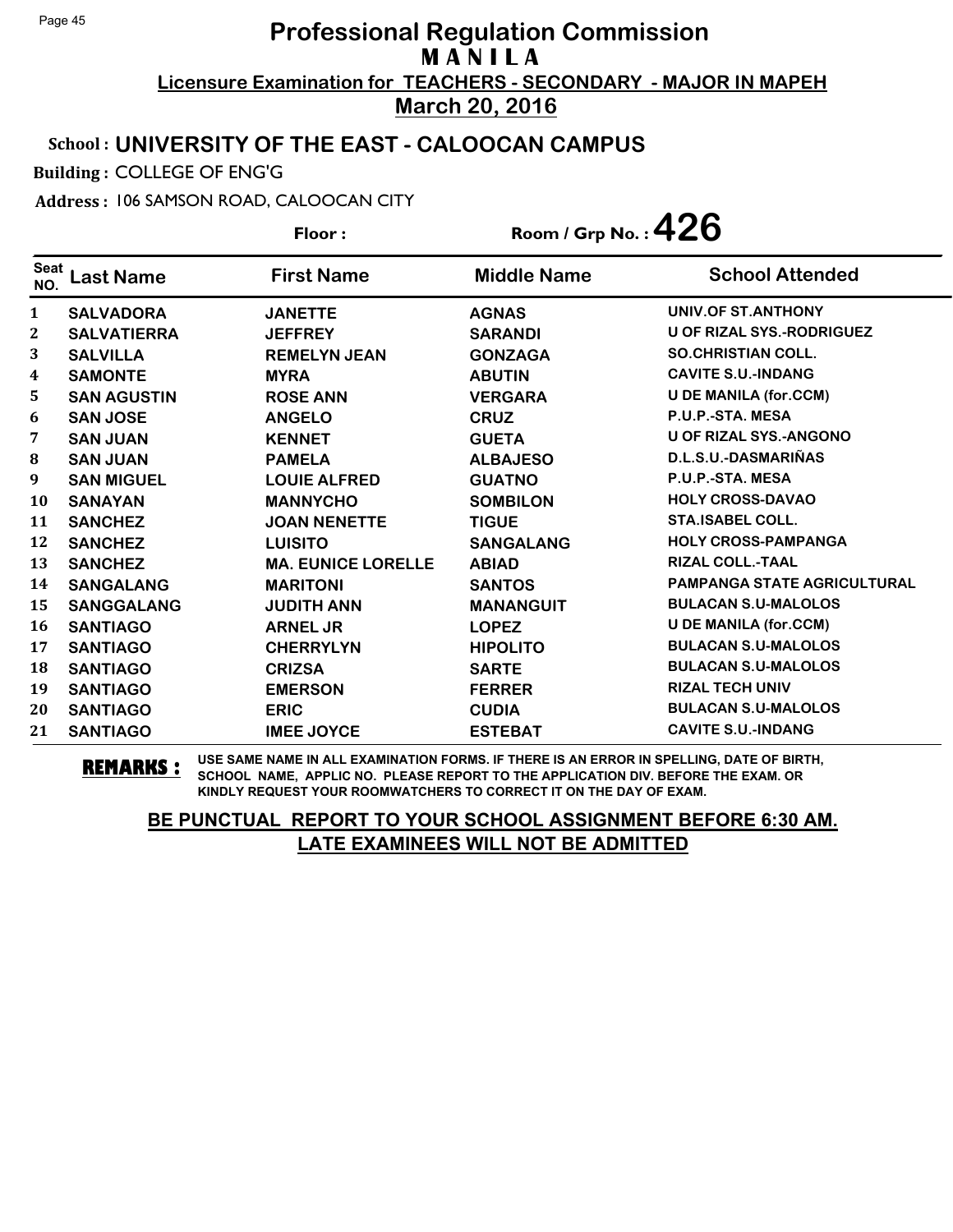### School : **UNIVERSITY OF THE EAST - CALOOCAN CAMPUS**

Building : COLLEGE OF ENG'G

Address : 106 SAMSON ROAD, CALOOCAN CITY

**Last Name First Name Middle Name** Floor : Room / Grp No. : 426 Seat <sup>seat</sup> Last Name First Name Middle Name School Attended **SALVADORA JANETTE AGNAS UNIV.OF ST.ANTHONY SALVATIERRA JEFFREY SARANDI U OF RIZAL SYS.-RODRIGUEZ SALVILLA REMELYN JEAN GONZAGA SO.CHRISTIAN COLL. SAMONTE MYRA ABUTIN CAVITE S.U.-INDANG SAN AGUSTIN ROSE ANN VERGARA U DE MANILA (for.CCM) SAN JOSE ANGELO CRUZ P.U.P.-STA. MESA SAN JUAN KENNET GUETA U OF RIZAL SYS.-ANGONO SAN JUAN PAMELA ALBAJESO D.L.S.U.-DASMARIÑAS SAN MIGUEL LOUIE ALFRED GUATNO P.U.P.-STA. MESA SANAYAN MANNYCHO SOMBILON HOLY CROSS-DAVAO SANCHEZ JOAN NENETTE TIGUE STA.ISABEL COLL. SANCHEZ LUISITO SANGALANG HOLY CROSS-PAMPANGA SANCHEZ MA. EUNICE LORELLE ABIAD RIZAL COLL.-TAAL SANGALANG MARITONI SANTOS PAMPANGA STATE AGRICULTURAL SANGGALANG JUDITH ANN MANANGUIT BULACAN S.U-MALOLOS SANTIAGO ARNEL JR LOPEZ U DE MANILA (for.CCM) SANTIAGO CHERRYLYN HIPOLITO BULACAN S.U-MALOLOS SANTIAGO CRIZSA SARTE BULACAN S.U-MALOLOS SANTIAGO EMERSON FERRER RIZAL TECH UNIV SANTIAGO ERIC CUDIA BULACAN S.U-MALOLOS SANTIAGO IMEE JOYCE ESTEBAT CAVITE S.U.-INDANG**

**REMARKS :** USE SAME NAME IN ALL EXAMINATION FORMS. IF THERE IS AN ERROR IN SPELLING, DATE OF BIRTH, SCHOOL NAME, APPLIC NO. PLEASE REPORT TO THE APPLICATION DIV. BEFORE THE EXAM. OR KINDLY REQUEST YOUR ROOMWATCHERS TO CORRECT IT ON THE DAY OF EXAM.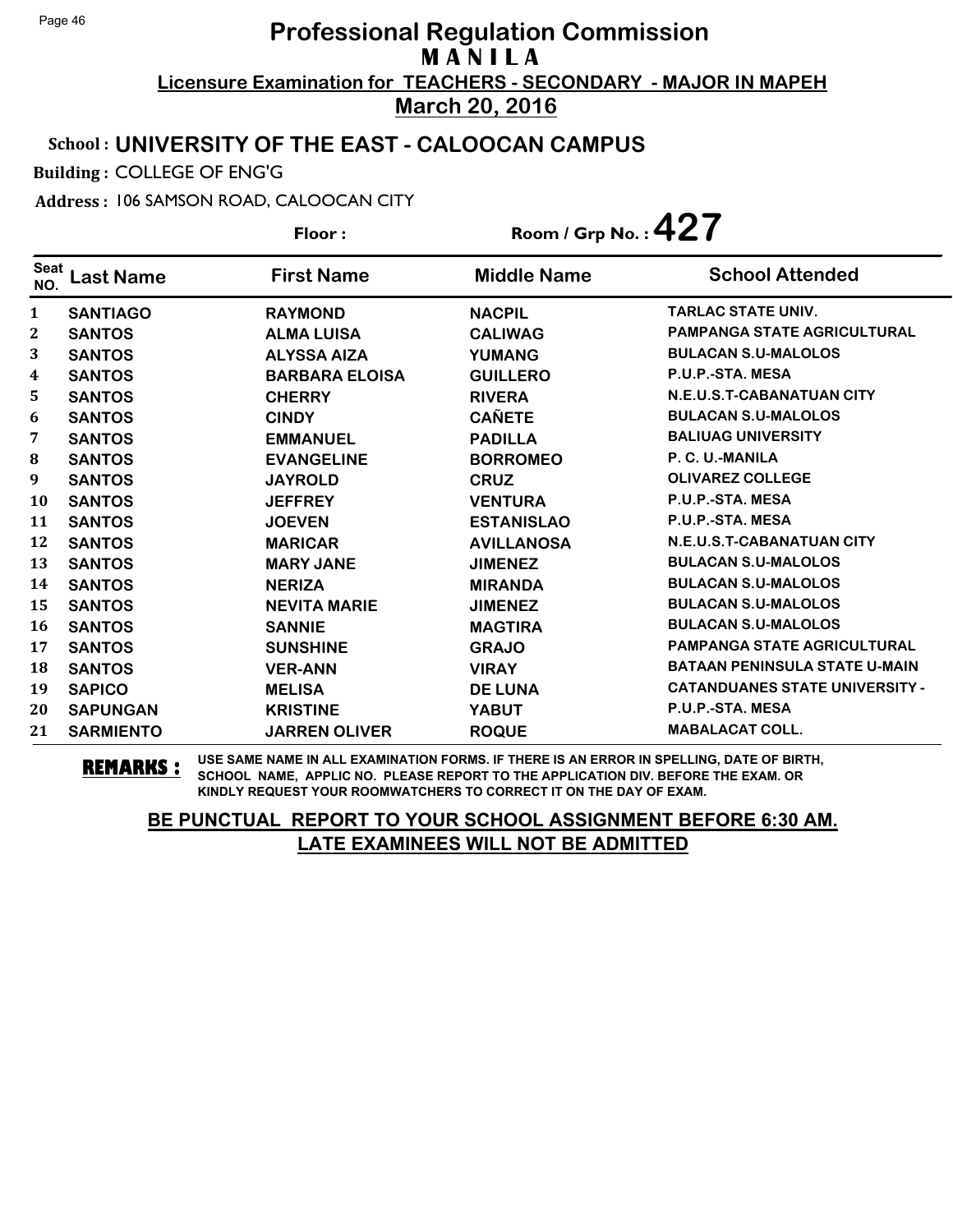### School : **UNIVERSITY OF THE EAST - CALOOCAN CAMPUS**

Building : COLLEGE OF ENG'G

Address : 106 SAMSON ROAD, CALOOCAN CITY

**Last Name First Name Middle Name** Floor : Room / Grp No. :**427** Seat <sup>seat</sup> Last Name First Name Middle Name School Attended **SANTIAGO RAYMOND NACPIL TARLAC STATE UNIV. SANTOS ALMA LUISA CALIWAG PAMPANGA STATE AGRICULTURAL SANTOS ALYSSA AIZA YUMANG BULACAN S.U-MALOLOS SANTOS BARBARA ELOISA GUILLERO P.U.P.-STA. MESA SANTOS CHERRY RIVERA N.E.U.S.T-CABANATUAN CITY SANTOS CINDY CAÑETE BULACAN S.U-MALOLOS SANTOS EMMANUEL PADILLA BALIUAG UNIVERSITY SANTOS EVANGELINE BORROMEO P. C. U.-MANILA SANTOS JAYROLD CRUZ OLIVAREZ COLLEGE SANTOS JEFFREY VENTURA P.U.P.-STA. MESA SANTOS JOEVEN ESTANISLAO P.U.P.-STA. MESA SANTOS MARICAR AVILLANOSA N.E.U.S.T-CABANATUAN CITY SANTOS MARY JANE JIMENEZ BULACAN S.U-MALOLOS SANTOS NERIZA MIRANDA BULACAN S.U-MALOLOS SANTOS NEVITA MARIE JIMENEZ BULACAN S.U-MALOLOS SANTOS SANNIE MAGTIRA BULACAN S.U-MALOLOS SANTOS SUNSHINE GRAJO PAMPANGA STATE AGRICULTURAL SANTOS VER-ANN VIRAY BATAAN PENINSULA STATE U-MAIN SAPICO MELISA DE LUNA CATANDUANES STATE UNIVERSITY - SAPUNGAN KRISTINE YABUT P.U.P.-STA. MESA SARMIENTO JARREN OLIVER ROQUE MABALACAT COLL.**

**REMARKS :** USE SAME NAME IN ALL EXAMINATION FORMS. IF THERE IS AN ERROR IN SPELLING, DATE OF BIRTH, SCHOOL NAME, APPLIC NO. PLEASE REPORT TO THE APPLICATION DIV. BEFORE THE EXAM. OR KINDLY REQUEST YOUR ROOMWATCHERS TO CORRECT IT ON THE DAY OF EXAM.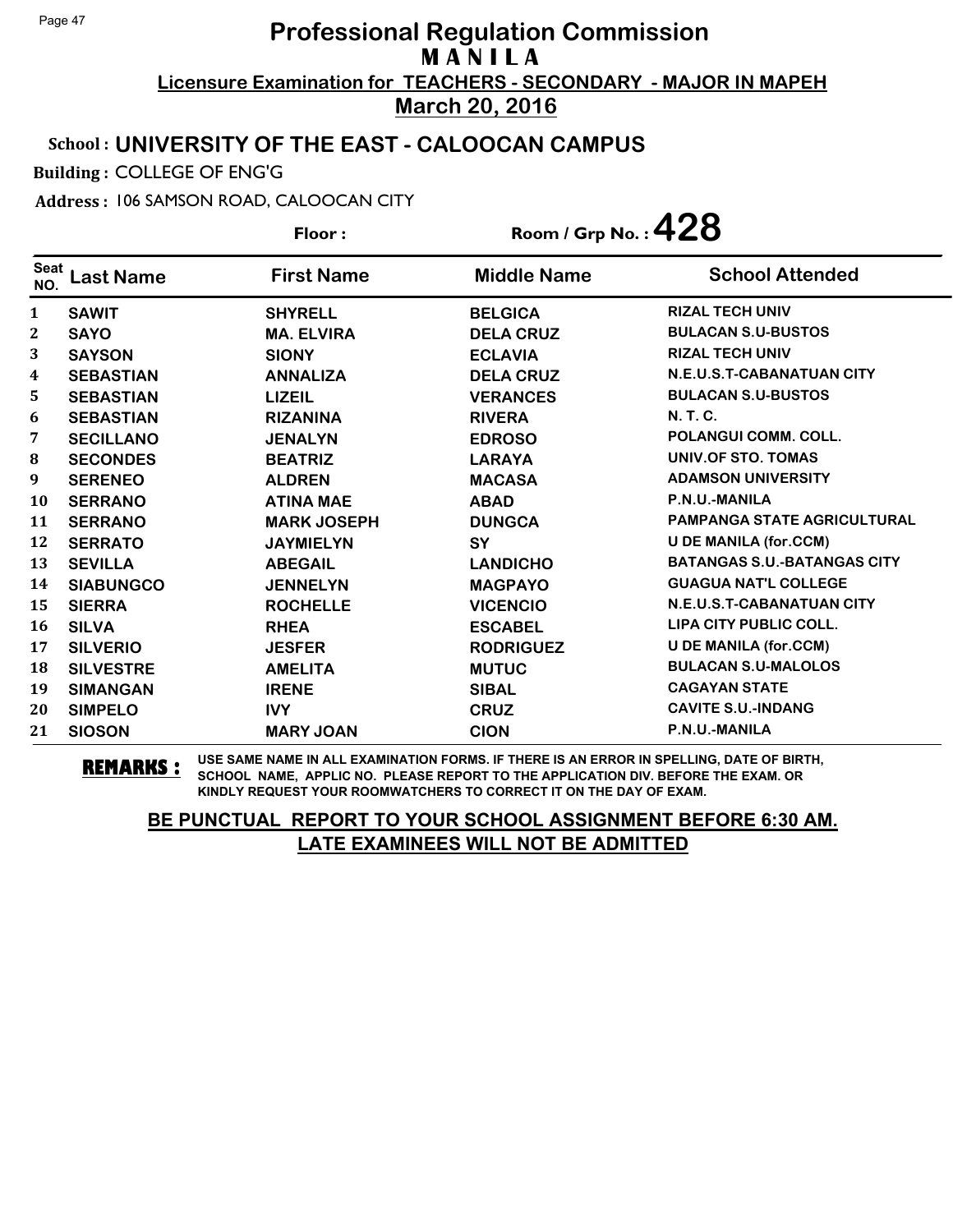#### School : **UNIVERSITY OF THE EAST - CALOOCAN CAMPUS**

Building : COLLEGE OF ENG'G

Address : 106 SAMSON ROAD, CALOOCAN CITY

**Last Name First Name Middle Name** Floor : Room / Grp No. : 428 Seat <sup>seat</sup> Last Name First Name Middle Name School Attended **SAWIT SHYRELL BELGICA RIZAL TECH UNIV SAYO MA. ELVIRA DELA CRUZ BULACAN S.U-BUSTOS SAYSON SIONY ECLAVIA RIZAL TECH UNIV SEBASTIAN ANNALIZA DELA CRUZ N.E.U.S.T-CABANATUAN CITY SEBASTIAN LIZEIL VERANCES BULACAN S.U-BUSTOS SEBASTIAN RIZANINA RIVERA N. T. C. SECILLANO JENALYN EDROSO POLANGUI COMM. COLL. SECONDES BEATRIZ LARAYA UNIV.OF STO. TOMAS SERENEO ALDREN MACASA ADAMSON UNIVERSITY SERRANO ATINA MAE ABAD P.N.U.-MANILA SERRANO MARK JOSEPH DUNGCA PAMPANGA STATE AGRICULTURAL SERRATO JAYMIELYN SY U DE MANILA (for.CCM) SEVILLA ABEGAIL LANDICHO BATANGAS S.U.-BATANGAS CITY SIABUNGCO JENNELYN MAGPAYO GUAGUA NAT'L COLLEGE SIERRA ROCHELLE VICENCIO N.E.U.S.T-CABANATUAN CITY SILVA RHEA ESCABEL LIPA CITY PUBLIC COLL. SILVERIO JESFER RODRIGUEZ U DE MANILA (for.CCM) SILVESTRE AMELITA MUTUC BULACAN S.U-MALOLOS SIMANGAN IRENE SIBAL CAGAYAN STATE SIMPELO IVY CRUZ CAVITE S.U.-INDANG SIOSON MARY JOAN CION P.N.U.-MANILA**

**REMARKS :** USE SAME NAME IN ALL EXAMINATION FORMS. IF THERE IS AN ERROR IN SPELLING, DATE OF BIRTH, SCHOOL NAME, APPLIC NO. PLEASE REPORT TO THE APPLICATION DIV. BEFORE THE EXAM. OR KINDLY REQUEST YOUR ROOMWATCHERS TO CORRECT IT ON THE DAY OF EXAM.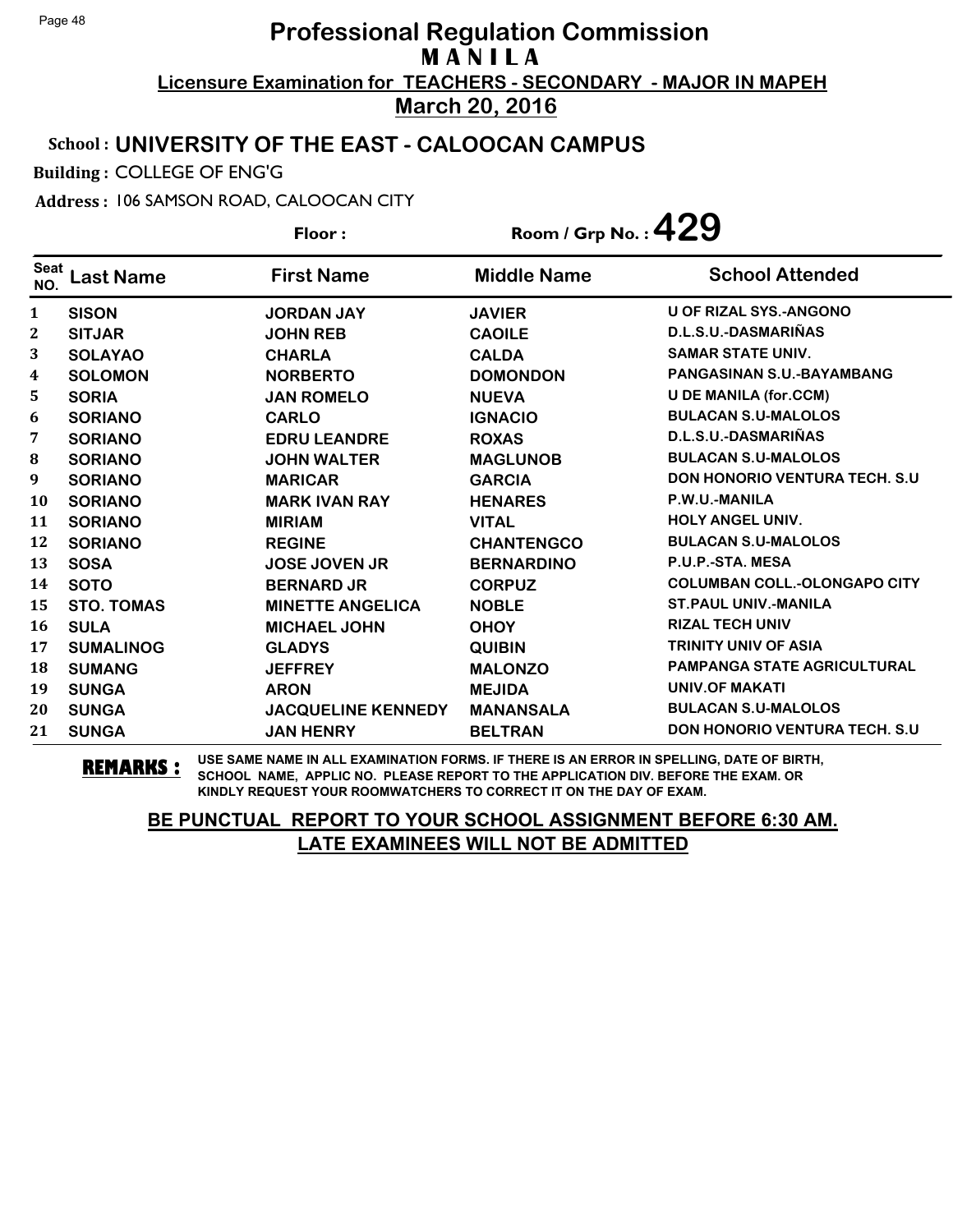### School : **UNIVERSITY OF THE EAST - CALOOCAN CAMPUS**

Building : COLLEGE OF ENG'G

Address : 106 SAMSON ROAD, CALOOCAN CITY

**Last Name First Name Middle Name** Floor : Room / Grp No. :**429** Seat <sup>seat</sup> Last Name First Name Middle Name School Attended **SISON JORDAN JAY JAVIER U OF RIZAL SYS.-ANGONO SITJAR JOHN REB CAOILE D.L.S.U.-DASMARIÑAS SOLAYAO CHARLA CALDA SAMAR STATE UNIV. SOLOMON NORBERTO DOMONDON PANGASINAN S.U.-BAYAMBANG SORIA JAN ROMELO NUEVA U DE MANILA (for.CCM) SORIANO CARLO IGNACIO BULACAN S.U-MALOLOS SORIANO EDRU LEANDRE ROXAS D.L.S.U.-DASMARIÑAS SORIANO JOHN WALTER MAGLUNOB BULACAN S.U-MALOLOS SORIANO MARICAR GARCIA DON HONORIO VENTURA TECH. S.U SORIANO MARK IVAN RAY HENARES P.W.U.-MANILA SORIANO MIRIAM VITAL HOLY ANGEL UNIV. SORIANO REGINE CHANTENGCO BULACAN S.U-MALOLOS SOSA JOSE JOVEN JR BERNARDINO P.U.P.-STA. MESA SOTO BERNARD JR CORPUZ COLUMBAN COLL.-OLONGAPO CITY STO. TOMAS MINETTE ANGELICA NOBLE ST.PAUL UNIV.-MANILA SULA MICHAEL JOHN OHOY RIZAL TECH UNIV SUMALINOG GLADYS QUIBIN TRINITY UNIV OF ASIA SUMANG JEFFREY MALONZO PAMPANGA STATE AGRICULTURAL SUNGA ARON MEJIDA UNIV.OF MAKATI SUNGA JACQUELINE KENNEDY MANANSALA BULACAN S.U-MALOLOS SUNGA JAN HENRY BELTRAN DON HONORIO VENTURA TECH. S.U**

**REMARKS :** USE SAME NAME IN ALL EXAMINATION FORMS. IF THERE IS AN ERROR IN SPELLING, DATE OF BIRTH, SCHOOL NAME, APPLIC NO. PLEASE REPORT TO THE APPLICATION DIV. BEFORE THE EXAM. OR KINDLY REQUEST YOUR ROOMWATCHERS TO CORRECT IT ON THE DAY OF EXAM.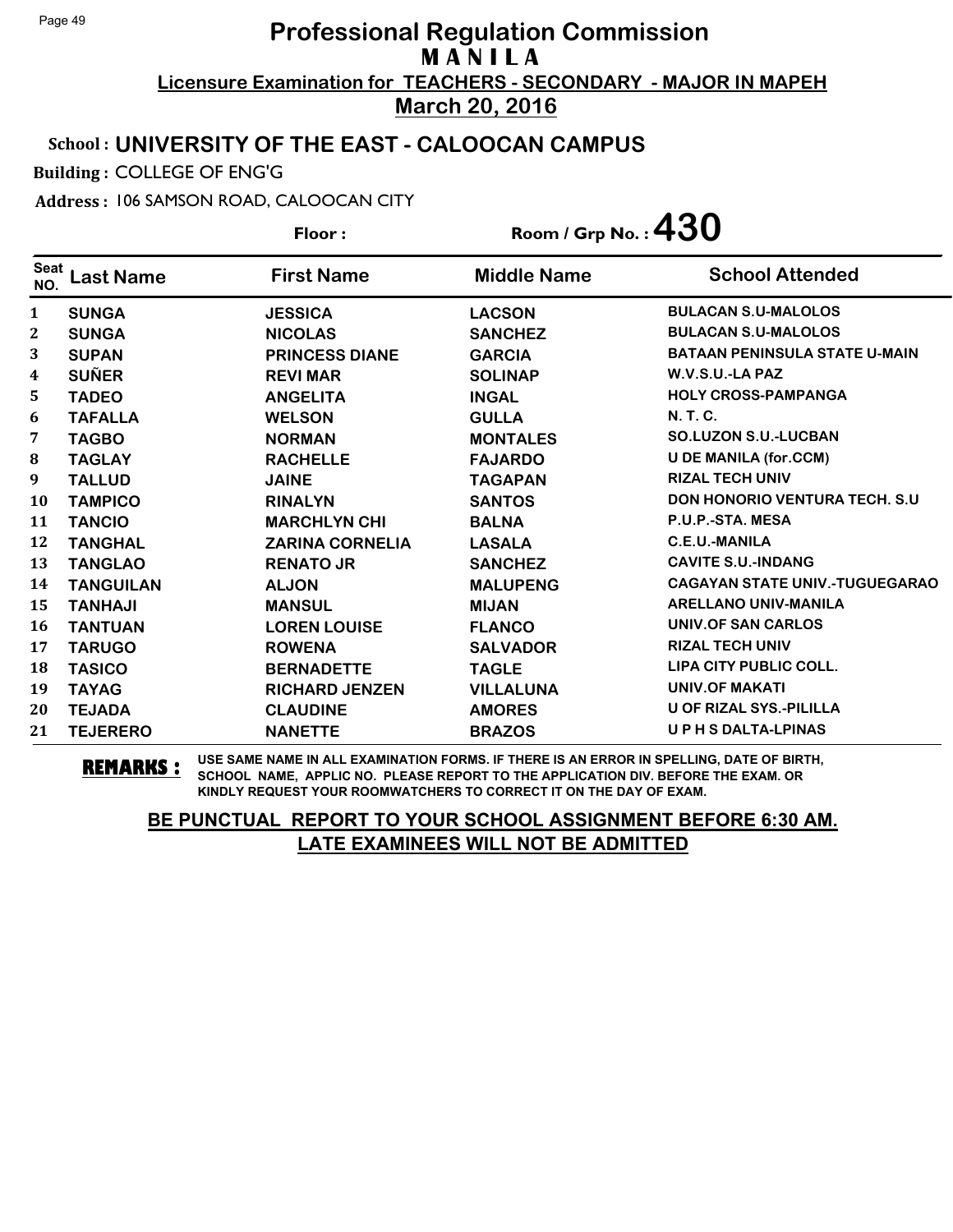### School : **UNIVERSITY OF THE EAST - CALOOCAN CAMPUS**

Building : COLLEGE OF ENG'G

Address : 106 SAMSON ROAD, CALOOCAN CITY

**Last Name First Name Middle Name** Floor : Room / Grp No. :**430** Seat <sup>seat</sup> Last Name First Name Middle Name School Attended **SUNGA JESSICA LACSON BULACAN S.U-MALOLOS SUNGA NICOLAS SANCHEZ BULACAN S.U-MALOLOS SUPAN PRINCESS DIANE GARCIA BATAAN PENINSULA STATE U-MAIN SUÑER REVI MAR SOLINAP W.V.S.U.-LA PAZ TADEO ANGELITA INGAL HOLY CROSS-PAMPANGA TAFALLA WELSON GULLA N. T. C. TAGBO NORMAN MONTALES SO.LUZON S.U.-LUCBAN TAGLAY RACHELLE FAJARDO U DE MANILA (for.CCM) TALLUD JAINE TAGAPAN RIZAL TECH UNIV TAMPICO RINALYN SANTOS DON HONORIO VENTURA TECH. S.U TANCIO MARCHLYN CHI BALNA P.U.P.-STA. MESA TANGHAL ZARINA CORNELIA LASALA C.E.U.-MANILA TANGLAO RENATO JR SANCHEZ CAVITE S.U.-INDANG TANGUILAN ALJON MALUPENG CAGAYAN STATE UNIV.-TUGUEGARAO TANHAJI MANSUL MIJAN ARELLANO UNIV-MANILA TANTUAN LOREN LOUISE FLANCO UNIV.OF SAN CARLOS TARUGO ROWENA SALVADOR RIZAL TECH UNIV TASICO BERNADETTE TAGLE LIPA CITY PUBLIC COLL. TAYAG RICHARD JENZEN VILLALUNA UNIV.OF MAKATI TEJADA CLAUDINE AMORES U OF RIZAL SYS.-PILILLA TEJERERO NANETTE BRAZOS U P H S DALTA-LPINAS**

**REMARKS :** USE SAME NAME IN ALL EXAMINATION FORMS. IF THERE IS AN ERROR IN SPELLING, DATE OF BIRTH, SCHOOL NAME, APPLIC NO. PLEASE REPORT TO THE APPLICATION DIV. BEFORE THE EXAM. OR KINDLY REQUEST YOUR ROOMWATCHERS TO CORRECT IT ON THE DAY OF EXAM.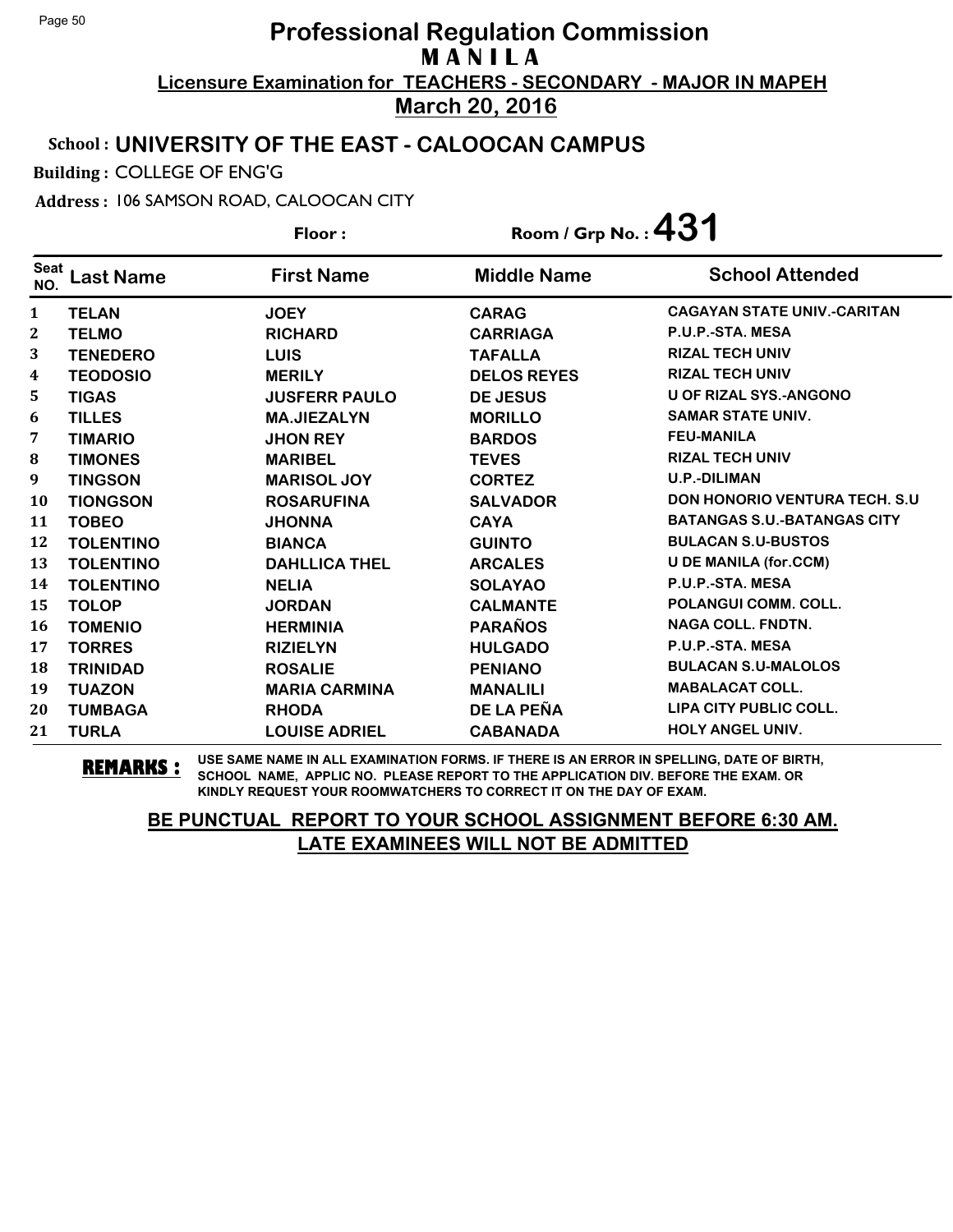### School : **UNIVERSITY OF THE EAST - CALOOCAN CAMPUS**

Building : COLLEGE OF ENG'G

Address : 106 SAMSON ROAD, CALOOCAN CITY

**Last Name First Name Middle Name** Floor : Room / Grp No. :**431** Seat <sup>Seat</sup> Last Name First Name Middle Name School Attended **TELAN JOEY CARAG CAGAYAN STATE UNIV.-CARITAN TELMO RICHARD CARRIAGA P.U.P.-STA. MESA TENEDERO LUIS TAFALLA RIZAL TECH UNIV TEODOSIO MERILY DELOS REYES RIZAL TECH UNIV TIGAS JUSFERR PAULO DE JESUS U OF RIZAL SYS.-ANGONO TILLES MA.JIEZALYN MORILLO SAMAR STATE UNIV. TIMARIO JHON REY BARDOS FEU-MANILA TIMONES MARIBEL TEVES RIZAL TECH UNIV TINGSON MARISOL JOY CORTEZ U.P.-DILIMAN TIONGSON ROSARUFINA SALVADOR DON HONORIO VENTURA TECH. S.U TOBEO JHONNA CAYA BATANGAS S.U.-BATANGAS CITY TOLENTINO BIANCA GUINTO BULACAN S.U-BUSTOS TOLENTINO DAHLLICA THEL ARCALES U DE MANILA (for.CCM) TOLENTINO NELIA SOLAYAO P.U.P.-STA. MESA TOLOP JORDAN CALMANTE POLANGUI COMM. COLL. TOMENIO HERMINIA PARAÑOS NAGA COLL. FNDTN. TORRES RIZIELYN HULGADO P.U.P.-STA. MESA TRINIDAD ROSALIE PENIANO BULACAN S.U-MALOLOS TUAZON MARIA CARMINA MANALILI MABALACAT COLL. TUMBAGA RHODA DE LA PEÑA LIPA CITY PUBLIC COLL. TURLA LOUISE ADRIEL CABANADA HOLY ANGEL UNIV.**

**REMARKS :** USE SAME NAME IN ALL EXAMINATION FORMS. IF THERE IS AN ERROR IN SPELLING, DATE OF BIRTH, SCHOOL NAME, APPLIC NO. PLEASE REPORT TO THE APPLICATION DIV. BEFORE THE EXAM. OR KINDLY REQUEST YOUR ROOMWATCHERS TO CORRECT IT ON THE DAY OF EXAM.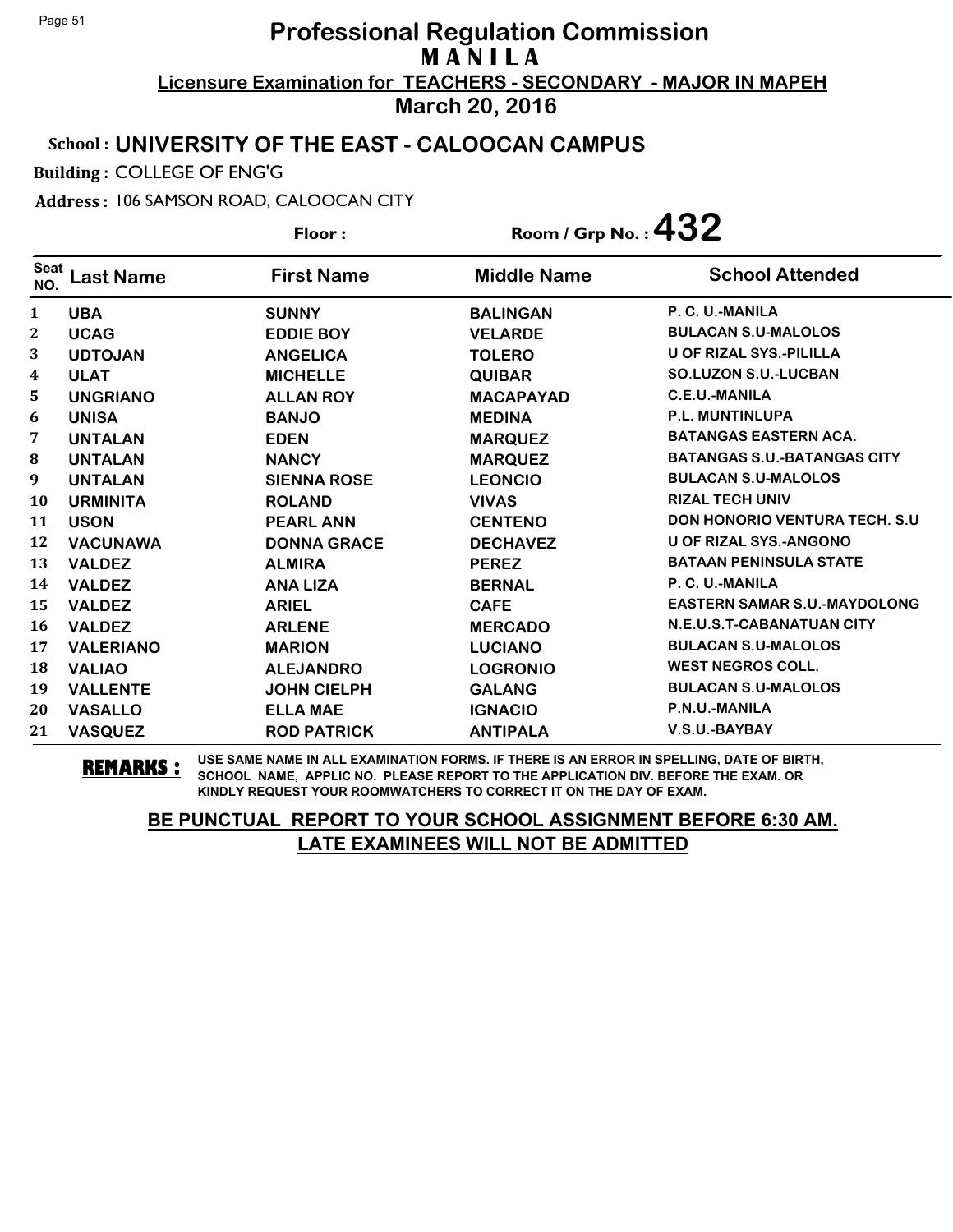#### School : **UNIVERSITY OF THE EAST - CALOOCAN CAMPUS**

Building : COLLEGE OF ENG'G

Address : 106 SAMSON ROAD, CALOOCAN CITY

**Last Name First Name Middle Name** Floor : Room / Grp No. :**432** Seat <sup>seat</sup> Last Name First Name Middle Name School Attended **UBA SUNNY BALINGAN P. C. U.-MANILA UCAG EDDIE BOY VELARDE BULACAN S.U-MALOLOS UDTOJAN ANGELICA TOLERO U OF RIZAL SYS.-PILILLA ULAT MICHELLE QUIBAR SO.LUZON S.U.-LUCBAN UNGRIANO ALLAN ROY MACAPAYAD C.E.U.-MANILA UNISA BANJO MEDINA P.L. MUNTINLUPA UNTALAN EDEN MARQUEZ BATANGAS EASTERN ACA. UNTALAN NANCY MARQUEZ BATANGAS S.U.-BATANGAS CITY UNTALAN SIENNA ROSE LEONCIO BULACAN S.U-MALOLOS URMINITA ROLAND VIVAS RIZAL TECH UNIV USON PEARL ANN CENTENO DON HONORIO VENTURA TECH. S.U VACUNAWA DONNA GRACE DECHAVEZ U OF RIZAL SYS.-ANGONO VALDEZ ALMIRA PEREZ BATAAN PENINSULA STATE VALDEZ ANA LIZA BERNAL P. C. U.-MANILA VALDEZ ARIEL CAFE EASTERN SAMAR S.U.-MAYDOLONG VALDEZ ARLENE MERCADO N.E.U.S.T-CABANATUAN CITY VALERIANO MARION LUCIANO BULACAN S.U-MALOLOS VALIAO ALEJANDRO LOGRONIO WEST NEGROS COLL. VALLENTE JOHN CIELPH GALANG BULACAN S.U-MALOLOS VASALLO ELLA MAE IGNACIO P.N.U.-MANILA VASQUEZ ROD PATRICK ANTIPALA V.S.U.-BAYBAY**

**REMARKS :** USE SAME NAME IN ALL EXAMINATION FORMS. IF THERE IS AN ERROR IN SPELLING, DATE OF BIRTH, SCHOOL NAME, APPLIC NO. PLEASE REPORT TO THE APPLICATION DIV. BEFORE THE EXAM. OR KINDLY REQUEST YOUR ROOMWATCHERS TO CORRECT IT ON THE DAY OF EXAM.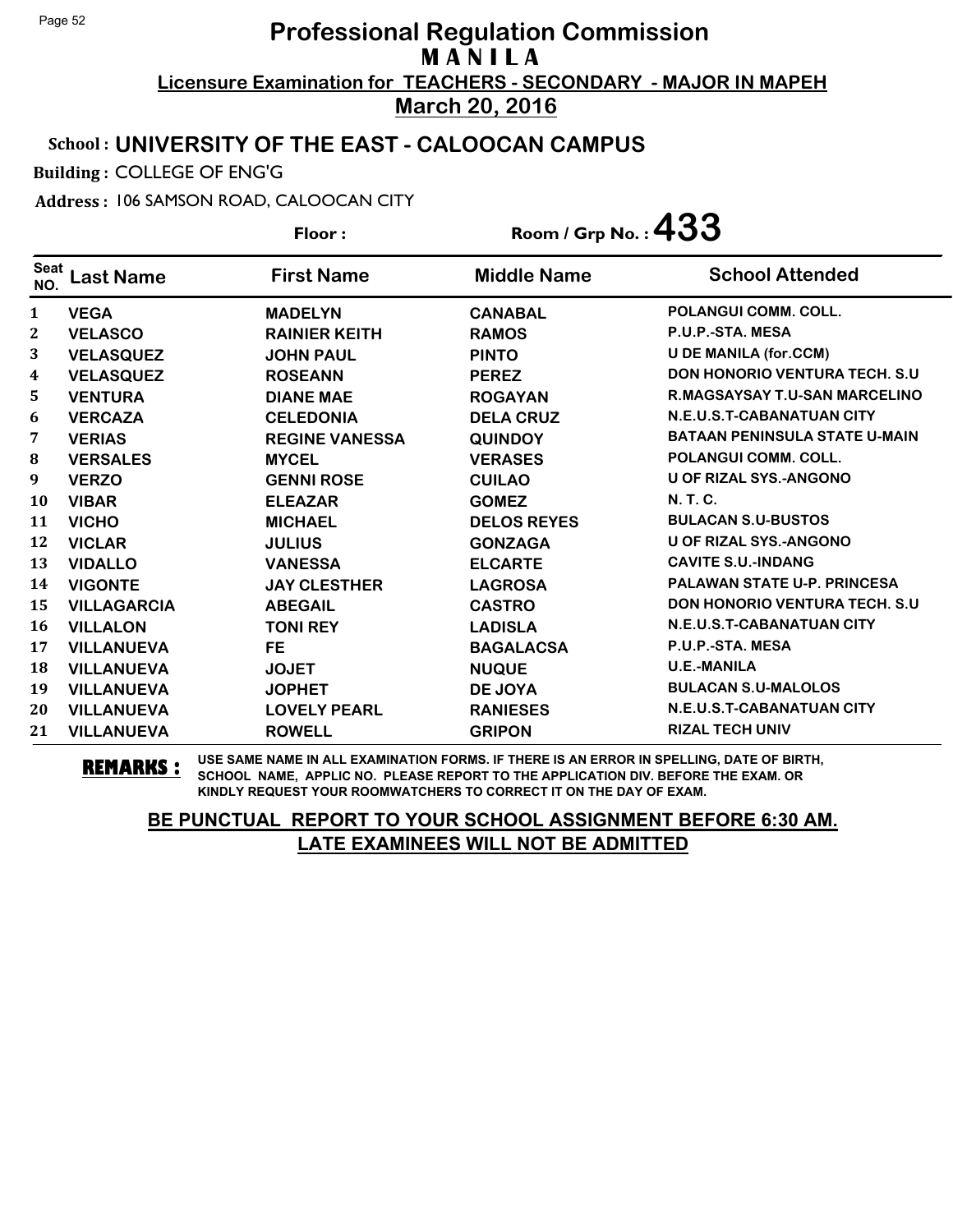### School : **UNIVERSITY OF THE EAST - CALOOCAN CAMPUS**

Building : COLLEGE OF ENG'G

Address : 106 SAMSON ROAD, CALOOCAN CITY

**Last Name First Name Middle Name** Floor : Room / Grp No. :**433** Seat <sup>seat</sup> Last Name First Name Middle Name School Attended **VEGA MADELYN CANABAL POLANGUI COMM. COLL. VELASCO RAINIER KEITH RAMOS P.U.P.-STA. MESA VELASQUEZ JOHN PAUL PINTO U DE MANILA (for.CCM) VELASQUEZ ROSEANN PEREZ DON HONORIO VENTURA TECH. S.U VENTURA DIANE MAE ROGAYAN R.MAGSAYSAY T.U-SAN MARCELINO VERCAZA CELEDONIA DELA CRUZ N.E.U.S.T-CABANATUAN CITY VERIAS REGINE VANESSA QUINDOY BATAAN PENINSULA STATE U-MAIN VERSALES MYCEL VERASES POLANGUI COMM. COLL. VERZO GENNI ROSE CUILAO U OF RIZAL SYS.-ANGONO VIBAR ELEAZAR GOMEZ N. T. C. VICHO MICHAEL DELOS REYES BULACAN S.U-BUSTOS VICLAR JULIUS GONZAGA U OF RIZAL SYS.-ANGONO VIDALLO VANESSA ELCARTE CAVITE S.U.-INDANG VIGONTE JAY CLESTHER LAGROSA PALAWAN STATE U-P. PRINCESA VILLAGARCIA ABEGAIL CASTRO DON HONORIO VENTURA TECH. S.U VILLALON TONI REY LADISLA N.E.U.S.T-CABANATUAN CITY VILLANUEVA FE BAGALACSA P.U.P.-STA. MESA VILLANUEVA JOJET NUQUE U.E.-MANILA VILLANUEVA JOPHET DE JOYA BULACAN S.U-MALOLOS VILLANUEVA LOVELY PEARL RANIESES N.E.U.S.T-CABANATUAN CITY VILLANUEVA ROWELL GRIPON RIZAL TECH UNIV**

**REMARKS :** USE SAME NAME IN ALL EXAMINATION FORMS. IF THERE IS AN ERROR IN SPELLING, DATE OF BIRTH, SCHOOL NAME, APPLIC NO. PLEASE REPORT TO THE APPLICATION DIV. BEFORE THE EXAM. OR KINDLY REQUEST YOUR ROOMWATCHERS TO CORRECT IT ON THE DAY OF EXAM.